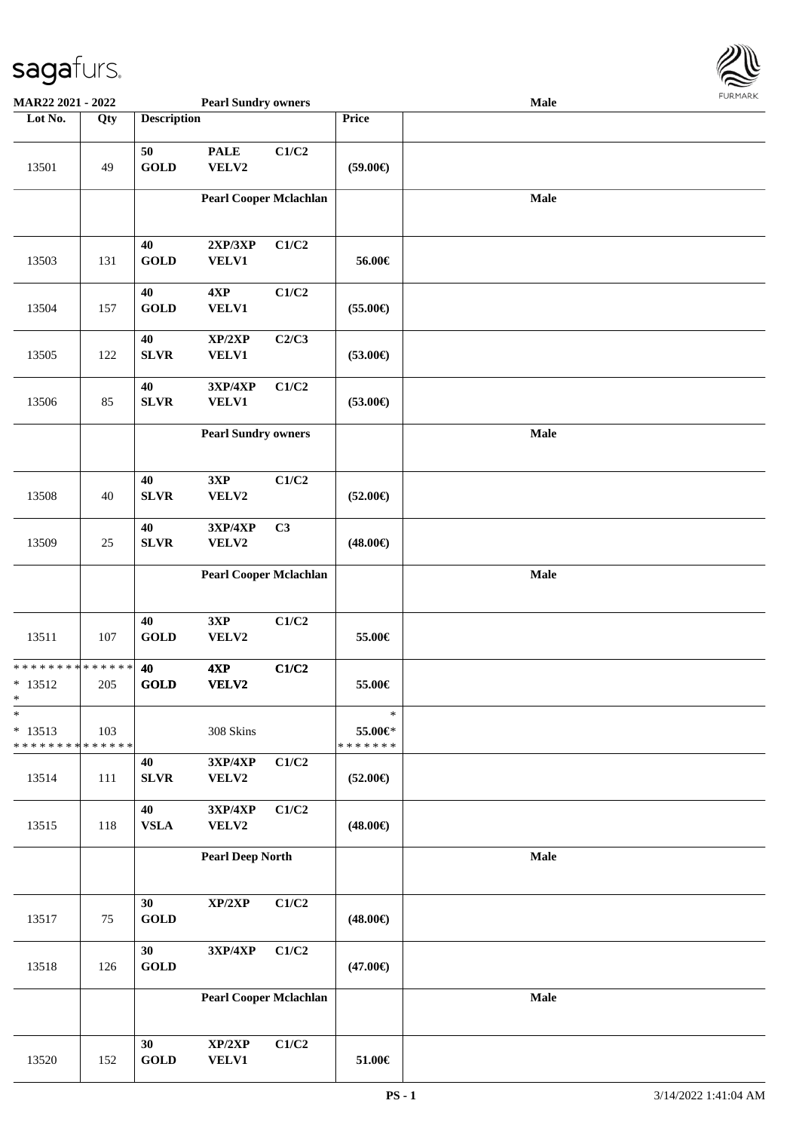

| MAR22 2021 - 2022                                  |               |                       | <b>Pearl Sundry owners</b>                 |       |                                    | <b>Male</b> |  |
|----------------------------------------------------|---------------|-----------------------|--------------------------------------------|-------|------------------------------------|-------------|--|
| Lot No.                                            | Qty           | <b>Description</b>    |                                            |       | Price                              |             |  |
| 13501                                              | 49            | 50<br><b>GOLD</b>     | <b>PALE</b><br>VELV2                       | C1/C2 | $(59.00\epsilon)$                  |             |  |
|                                                    |               |                       | <b>Pearl Cooper Mclachlan</b>              |       |                                    | Male        |  |
| 13503                                              | 131           | 40<br><b>GOLD</b>     | 2XP/3XP<br><b>VELV1</b>                    | C1/C2 | 56.00€                             |             |  |
| 13504                                              | 157           | 40<br><b>GOLD</b>     | 4XP<br><b>VELV1</b>                        | C1/C2 | $(55.00\epsilon)$                  |             |  |
| 13505                                              | 122           | 40<br>${\bf SLVR}$    | XP/2XP<br><b>VELV1</b>                     | C2/C3 | $(53.00\epsilon)$                  |             |  |
| 13506                                              | 85            | 40<br><b>SLVR</b>     | 3XP/4XP<br><b>VELV1</b>                    | C1/C2 | $(53.00\epsilon)$                  |             |  |
|                                                    |               |                       | <b>Pearl Sundry owners</b>                 |       |                                    | Male        |  |
| 13508                                              | 40            | $40\,$<br><b>SLVR</b> | 3XP<br>VELV2                               | C1/C2 | $(52.00\epsilon)$                  |             |  |
| 13509                                              | 25            | 40<br>${\bf SLVR}$    | 3XP/4XP<br>VELV2                           | C3    | $(48.00\epsilon)$                  |             |  |
|                                                    |               |                       | <b>Pearl Cooper Mclachlan</b>              |       |                                    | Male        |  |
| 13511                                              | 107           | 40<br><b>GOLD</b>     | 3XP<br>VELV2                               | C1/C2 | 55.00€                             |             |  |
| * * * * * * * * * * * * * *<br>$* 13512$<br>$\ast$ | 205           | 40<br><b>GOLD</b>     | 4XP<br>VELV2                               | C1/C2 | 55.00€                             |             |  |
| $\ast$<br>$* 13513$<br>* * * * * * * *             | 103<br>****** |                       | 308 Skins                                  |       | $\ast$<br>55.00€*<br>* * * * * * * |             |  |
| 13514                                              | 111           | 40<br>${\bf SLVR}$    | $3{\bf X}{\bf P}/4{\bf X}{\bf P}$<br>VELV2 | C1/C2 | $(52.00\epsilon)$                  |             |  |
| 13515                                              | 118           | 40<br>${\bf VSLA}$    | 3XP/4XP<br>VELV2                           | C1/C2 | $(48.00\epsilon)$                  |             |  |
|                                                    |               |                       | <b>Pearl Deep North</b>                    |       |                                    | Male        |  |
| 13517                                              | $75\,$        | 30<br><b>GOLD</b>     | XP/2XP                                     | C1/C2 | $(48.00\epsilon)$                  |             |  |
| 13518                                              | 126           | 30<br>GOLD            | $3XP/4XP$                                  | C1/C2 | $(47.00\epsilon)$                  |             |  |
|                                                    |               |                       | <b>Pearl Cooper Mclachlan</b>              |       |                                    | Male        |  |
| 13520                                              | 152           | 30<br><b>GOLD</b>     | XP/2XP<br>VELV1                            | C1/C2 | $51.00\in$                         |             |  |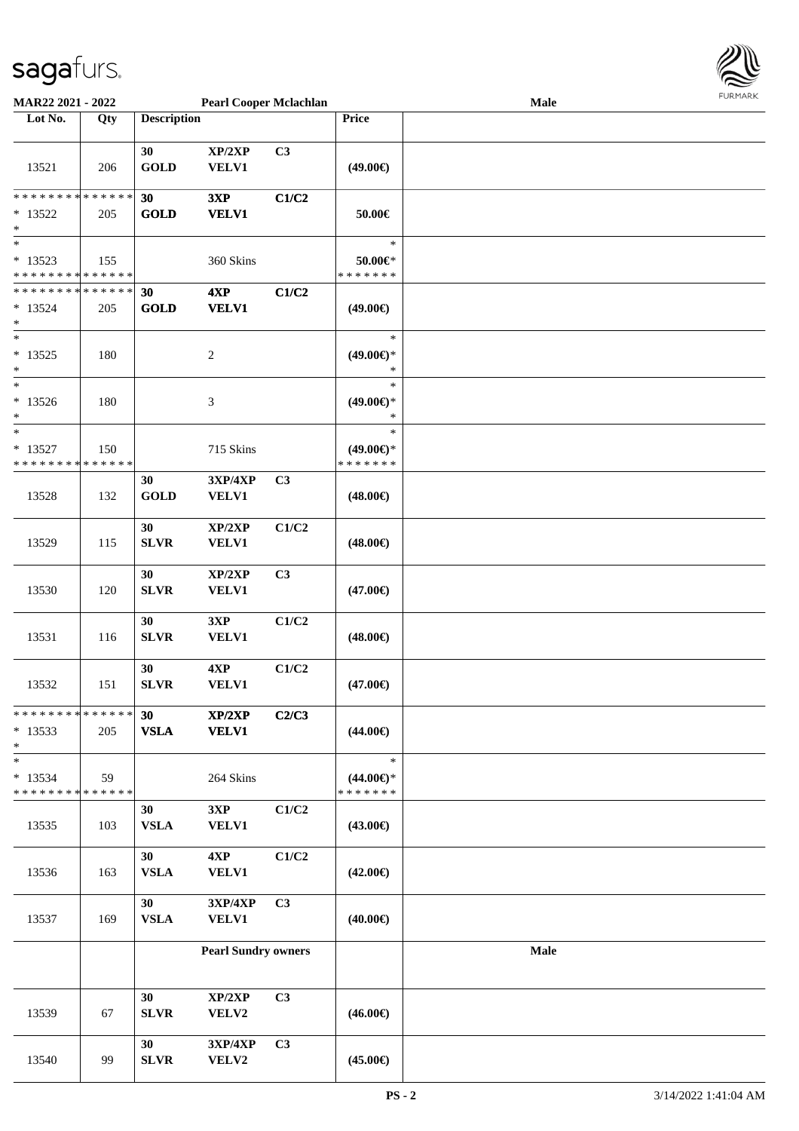

| MAR22 2021 - 2022                                                         |     |                             | <b>Pearl Cooper Mclachlan</b>  |       |                                                | Male        |  |
|---------------------------------------------------------------------------|-----|-----------------------------|--------------------------------|-------|------------------------------------------------|-------------|--|
| Lot No.                                                                   | Qty | <b>Description</b>          |                                |       | Price                                          |             |  |
| 13521                                                                     | 206 | 30<br><b>GOLD</b>           | XP/2XP<br><b>VELV1</b>         | C3    | $(49.00\epsilon)$                              |             |  |
| * * * * * * * * <mark>* * * * * *</mark><br>$* 13522$<br>$\ast$           | 205 | 30<br><b>GOLD</b>           | 3XP<br><b>VELV1</b>            | C1/C2 | 50.00€                                         |             |  |
| $\ast$<br>$* 13523$<br>* * * * * * * * <mark>* * * * * * *</mark>         | 155 |                             | 360 Skins                      |       | $\ast$<br>50.00€*<br>* * * * * * *             |             |  |
| * * * * * * * * <mark>* * * * * *</mark><br>$* 13524$<br>$\ast$<br>$\ast$ | 205 | 30<br><b>GOLD</b>           | 4XP<br><b>VELV1</b>            | C1/C2 | $(49.00\epsilon)$<br>$\ast$                    |             |  |
| $* 13525$<br>$\ast$<br>$\ast$                                             | 180 |                             | $\boldsymbol{2}$               |       | $(49.00\epsilon)$ *<br>$\ast$<br>$\ast$        |             |  |
| $*13526$<br>*<br>$\ast$                                                   | 180 |                             | 3                              |       | $(49.00\epsilon)$ *<br>$\ast$<br>$\ast$        |             |  |
| $* 13527$<br>* * * * * * * * <mark>* * * * * * *</mark>                   | 150 |                             | 715 Skins                      |       | $(49.00\epsilon)$ *<br>* * * * * * *           |             |  |
| 13528                                                                     | 132 | 30<br>$\operatorname{GOLD}$ | <b>3XP/4XP</b><br><b>VELV1</b> | C3    | $(48.00\epsilon)$                              |             |  |
| 13529                                                                     | 115 | 30<br><b>SLVR</b>           | XP/2XP<br><b>VELV1</b>         | C1/C2 | $(48.00\epsilon)$                              |             |  |
| 13530                                                                     | 120 | 30<br><b>SLVR</b>           | XP/2XP<br>VELV1                | C3    | $(47.00\epsilon)$                              |             |  |
| 13531                                                                     | 116 | 30<br><b>SLVR</b>           | 3XP<br><b>VELV1</b>            | C1/C2 | $(48.00\epsilon)$                              |             |  |
| 13532                                                                     | 151 | 30<br><b>SLVR</b>           | 4XP<br><b>VELV1</b>            | C1/C2 | $(47.00\epsilon)$                              |             |  |
| * * * * * * * * * * * * * * *<br>$*13533$<br>$\ast$                       | 205 | 30<br><b>VSLA</b>           | XP/2XP<br><b>VELV1</b>         | C2/C3 | $(44.00\epsilon)$                              |             |  |
| $\ast$<br>$* 13534$<br>* * * * * * * * <mark>* * * * * * *</mark>         | 59  |                             | 264 Skins                      |       | $\ast$<br>$(44.00\epsilon)$ *<br>* * * * * * * |             |  |
| 13535                                                                     | 103 | 30<br><b>VSLA</b>           | 3XP<br><b>VELV1</b>            | C1/C2 | $(43.00\epsilon)$                              |             |  |
| 13536                                                                     | 163 | 30<br>${\bf VSLA}$          | 4XP<br><b>VELV1</b>            | C1/C2 | $(42.00\epsilon)$                              |             |  |
| 13537                                                                     | 169 | 30<br>${\bf VSLA}$          | 3XP/4XP<br><b>VELV1</b>        | C3    | $(40.00\epsilon)$                              |             |  |
|                                                                           |     |                             | <b>Pearl Sundry owners</b>     |       |                                                | <b>Male</b> |  |
| 13539                                                                     | 67  | 30<br>SLVR                  | XP/2XP<br>VELV2                | C3    | $(46.00\epsilon)$                              |             |  |
| 13540                                                                     | 99  | 30<br>SLVR                  | $3XP/4XP$<br>VELV2             | C3    | $(45.00\epsilon)$                              |             |  |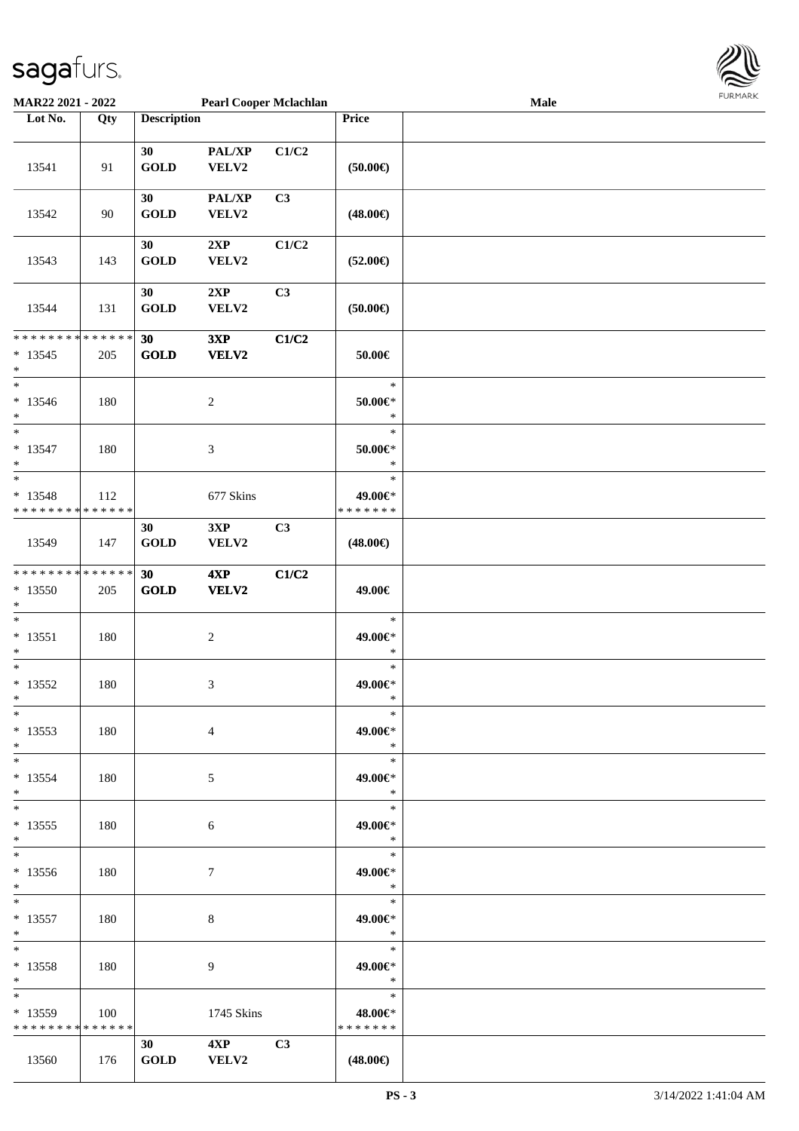

| <b>MAR22 2021 - 2022</b>                   |     |                    | <b>Pearl Cooper Mclachlan</b> |                |                   | <b>Male</b> |  |
|--------------------------------------------|-----|--------------------|-------------------------------|----------------|-------------------|-------------|--|
| Lot No.                                    | Qty | <b>Description</b> |                               |                | Price             |             |  |
|                                            |     |                    |                               |                |                   |             |  |
|                                            |     | 30                 | PAL/XP                        | C1/C2          |                   |             |  |
| 13541                                      | 91  | <b>GOLD</b>        | VELV2                         |                | $(50.00\epsilon)$ |             |  |
|                                            |     |                    |                               |                |                   |             |  |
|                                            |     |                    | PAL/XP                        | C3             |                   |             |  |
|                                            |     | 30                 |                               |                |                   |             |  |
| 13542                                      | 90  | <b>GOLD</b>        | VELV2                         |                | $(48.00\epsilon)$ |             |  |
|                                            |     |                    |                               |                |                   |             |  |
|                                            |     | 30                 | 2XP                           | C1/C2          |                   |             |  |
| 13543                                      | 143 | <b>GOLD</b>        | VELV2                         |                | $(52.00\epsilon)$ |             |  |
|                                            |     |                    |                               |                |                   |             |  |
|                                            |     | 30                 | 2XP                           | C <sub>3</sub> |                   |             |  |
| 13544                                      | 131 | <b>GOLD</b>        | VELV2                         |                | $(50.00\epsilon)$ |             |  |
|                                            |     |                    |                               |                |                   |             |  |
| * * * * * * * * <mark>* * * * * * *</mark> |     | 30                 | 3XP                           | C1/C2          |                   |             |  |
|                                            |     |                    |                               |                |                   |             |  |
| $*13545$                                   | 205 | <b>GOLD</b>        | VELV2                         |                | 50.00€            |             |  |
| $\ast$                                     |     |                    |                               |                |                   |             |  |
| $\ast$                                     |     |                    |                               |                | $\ast$            |             |  |
| $*13546$                                   | 180 |                    | $\overline{c}$                |                | $50.00 \in$       |             |  |
| $\ast$                                     |     |                    |                               |                | $\ast$            |             |  |
| $\overline{\ast}$                          |     |                    |                               |                | $\ast$            |             |  |
| $* 13547$                                  | 180 |                    | $\mathfrak{Z}$                |                | $50.00 \in$ *     |             |  |
| $\ast$                                     |     |                    |                               |                | $\ast$            |             |  |
| $\ast$                                     |     |                    |                               |                | $\ast$            |             |  |
| $* 13548$                                  |     |                    | 677 Skins                     |                | 49.00€*           |             |  |
| * * * * * * * * <mark>* * * * * *</mark>   | 112 |                    |                               |                | * * * * * * *     |             |  |
|                                            |     |                    |                               |                |                   |             |  |
|                                            |     | 30                 | 3XP                           | C3             |                   |             |  |
| 13549                                      | 147 | <b>GOLD</b>        | VELV2                         |                | $(48.00\epsilon)$ |             |  |
|                                            |     |                    |                               |                |                   |             |  |
| * * * * * * * * <mark>* * * * * * *</mark> |     | 30                 | 4XP                           | C1/C2          |                   |             |  |
| $*13550$                                   | 205 | <b>GOLD</b>        | VELV2                         |                | 49.00€            |             |  |
| $*$                                        |     |                    |                               |                |                   |             |  |
| $\ast$                                     |     |                    |                               |                | $\ast$            |             |  |
| $* 13551$                                  | 180 |                    | $\sqrt{2}$                    |                | 49.00€*           |             |  |
| $\ast$                                     |     |                    |                               |                | $\ast$            |             |  |
| $*$                                        |     |                    |                               |                | $\ast$            |             |  |
| $*13552$                                   |     |                    |                               |                | 49.00€*           |             |  |
|                                            | 180 |                    | 3                             |                |                   |             |  |
| $*$                                        |     |                    |                               |                | $\ast$            |             |  |
| $\ast$                                     |     |                    |                               |                | $\ast$            |             |  |
| $*13553$                                   | 180 |                    | 4                             |                | 49.00€*           |             |  |
| $\ast$                                     |     |                    |                               |                | $\ast$            |             |  |
| $*$ $-$                                    |     |                    |                               |                | $\ast$            |             |  |
| $*13554$                                   | 180 |                    | 5                             |                | 49.00€*           |             |  |
| $\ast$                                     |     |                    |                               |                | $\ast$            |             |  |
| $\ddot{x}$                                 |     |                    |                               |                | $\ast$            |             |  |
| $*13555$                                   | 180 |                    | 6                             |                | 49.00€*           |             |  |
| $\ast$                                     |     |                    |                               |                | $\ast$            |             |  |
|                                            |     |                    |                               |                |                   |             |  |
| $\ddot{x}$                                 |     |                    |                               |                | $\ast$            |             |  |
| $*13556$                                   | 180 |                    | 7                             |                | 49.00€*           |             |  |
| $\ddot{x}$                                 |     |                    |                               |                | $\ast$            |             |  |
| $*$ $*$                                    |     |                    |                               |                | $\ast$            |             |  |
| $* 13557$                                  | 180 |                    | 8                             |                | 49.00€*           |             |  |
| $*$                                        |     |                    |                               |                | $\ast$            |             |  |
| $*$ $-$                                    |     |                    |                               |                | $\ast$            |             |  |
| $* 13558$                                  | 180 |                    | 9                             |                | 49.00€*           |             |  |
| $*$                                        |     |                    |                               |                | $\ast$            |             |  |
| $*$                                        |     |                    |                               |                | $\ast$            |             |  |
|                                            |     |                    |                               |                |                   |             |  |
| $*13559$                                   | 100 |                    | 1745 Skins                    |                | 48.00€*           |             |  |
| * * * * * * * * * * * * * *                |     |                    |                               |                | * * * * * * *     |             |  |
|                                            |     | 30                 | $4XP$ $C3$                    |                |                   |             |  |
| 13560                                      | 176 | <b>GOLD</b>        | <b>VELV2</b>                  |                | $(48.00\epsilon)$ |             |  |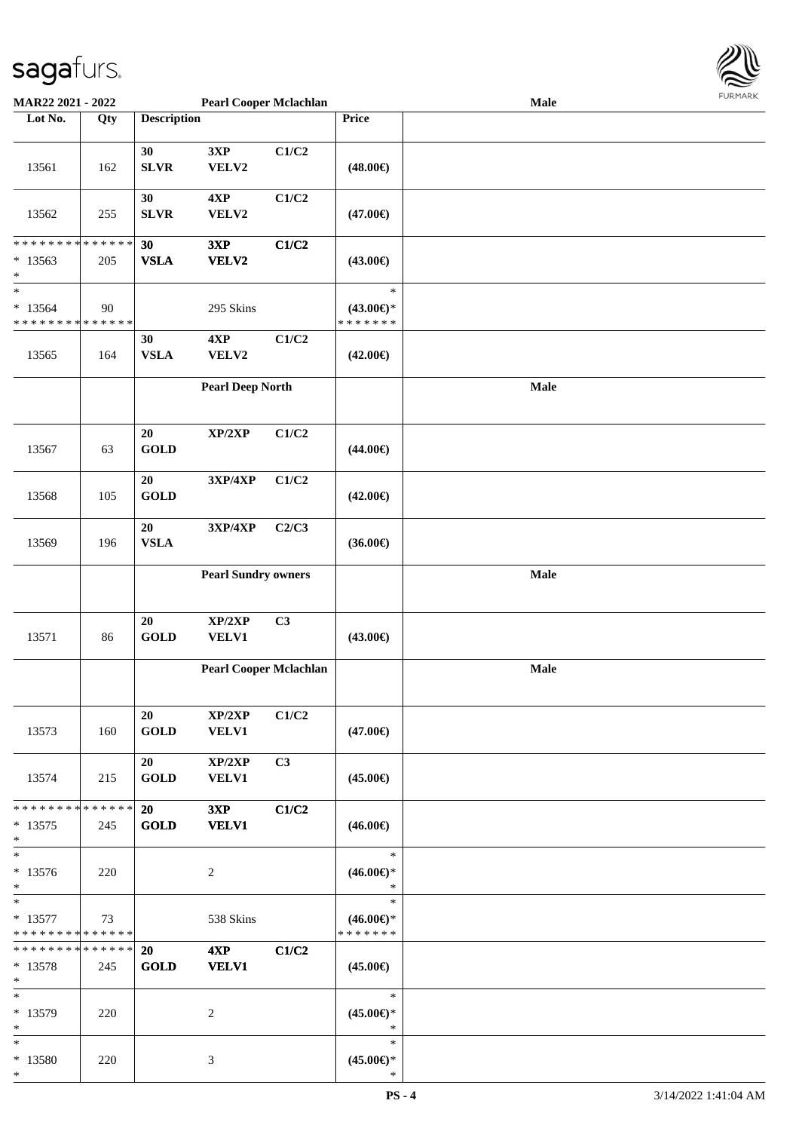

| <b>MAR22 2021 - 2022</b>                 |             |                    | <b>Pearl Cooper Mclachlan</b> |       |                     | <b>Male</b> |  |
|------------------------------------------|-------------|--------------------|-------------------------------|-------|---------------------|-------------|--|
| Lot No.                                  | Qty         | <b>Description</b> |                               |       | Price               |             |  |
|                                          |             |                    |                               |       |                     |             |  |
|                                          |             | 30                 | 3XP                           | C1/C2 |                     |             |  |
|                                          |             |                    |                               |       |                     |             |  |
| 13561                                    | 162         | <b>SLVR</b>        | ${\bf VELV2}$                 |       | $(48.00\epsilon)$   |             |  |
|                                          |             |                    |                               |       |                     |             |  |
|                                          |             | 30                 | 4XP                           | C1/C2 |                     |             |  |
| 13562                                    | 255         | <b>SLVR</b>        | VELV2                         |       | $(47.00\epsilon)$   |             |  |
|                                          |             |                    |                               |       |                     |             |  |
| * * * * * * * * * * * * * * *            |             |                    |                               |       |                     |             |  |
|                                          |             | 30                 | 3XP                           | C1/C2 |                     |             |  |
| $*13563$                                 | 205         | <b>VSLA</b>        | VELV2                         |       | $(43.00\epsilon)$   |             |  |
| $\ast$                                   |             |                    |                               |       |                     |             |  |
| $\ast$                                   |             |                    |                               |       | $\ast$              |             |  |
| $* 13564$                                | 90          |                    | 295 Skins                     |       | $(43.00\epsilon)$ * |             |  |
| * * * * * * * * * * * * * *              |             |                    |                               |       | * * * * * * *       |             |  |
|                                          |             | 30                 | 4XP                           | C1/C2 |                     |             |  |
| 13565                                    | 164         | <b>VSLA</b>        | VELV2                         |       | $(42.00\epsilon)$   |             |  |
|                                          |             |                    |                               |       |                     |             |  |
|                                          |             |                    |                               |       |                     |             |  |
|                                          |             |                    | <b>Pearl Deep North</b>       |       |                     | Male        |  |
|                                          |             |                    |                               |       |                     |             |  |
|                                          |             |                    |                               |       |                     |             |  |
|                                          |             | 20                 | XP/2XP                        | C1/C2 |                     |             |  |
| 13567                                    | 63          | <b>GOLD</b>        |                               |       | $(44.00\epsilon)$   |             |  |
|                                          |             |                    |                               |       |                     |             |  |
|                                          |             | 20                 | 3XP/4XP                       | C1/C2 |                     |             |  |
|                                          |             |                    |                               |       |                     |             |  |
| 13568                                    | 105         | <b>GOLD</b>        |                               |       | $(42.00\epsilon)$   |             |  |
|                                          |             |                    |                               |       |                     |             |  |
|                                          |             | 20                 | 3XP/4XP                       | C2/C3 |                     |             |  |
| 13569                                    | 196         | <b>VSLA</b>        |                               |       | $(36.00\epsilon)$   |             |  |
|                                          |             |                    |                               |       |                     |             |  |
|                                          |             |                    | <b>Pearl Sundry owners</b>    |       |                     | Male        |  |
|                                          |             |                    |                               |       |                     |             |  |
|                                          |             |                    |                               |       |                     |             |  |
|                                          |             | 20                 | XP/2XP                        | C3    |                     |             |  |
|                                          |             |                    |                               |       |                     |             |  |
| 13571                                    | 86          | <b>GOLD</b>        | VELV1                         |       | $(43.00\epsilon)$   |             |  |
|                                          |             |                    |                               |       |                     |             |  |
|                                          |             |                    | <b>Pearl Cooper Mclachlan</b> |       |                     | Male        |  |
|                                          |             |                    |                               |       |                     |             |  |
|                                          |             |                    |                               |       |                     |             |  |
|                                          |             | 20                 | XP/2XP                        | C1/C2 |                     |             |  |
| 13573                                    | 160         | <b>GOLD</b>        | <b>VELV1</b>                  |       | $(47.00\epsilon)$   |             |  |
|                                          |             |                    |                               |       |                     |             |  |
|                                          |             | 20                 | XP/2XP                        | C3    |                     |             |  |
| 13574                                    | 215         | <b>GOLD</b>        | <b>VELV1</b>                  |       | $(45.00\epsilon)$   |             |  |
|                                          |             |                    |                               |       |                     |             |  |
|                                          |             |                    |                               |       |                     |             |  |
| * * * * * * * *                          | * * * * * * | <b>20</b>          | 3XP                           | C1/C2 |                     |             |  |
| $*13575$                                 | 245         | <b>GOLD</b>        | <b>VELV1</b>                  |       | $(46.00\epsilon)$   |             |  |
| $\ast$                                   |             |                    |                               |       |                     |             |  |
| $\ast$                                   |             |                    |                               |       | $\ast$              |             |  |
| $* 13576$                                | 220         |                    | 2                             |       | $(46.00\epsilon)$ * |             |  |
| $*$                                      |             |                    |                               |       | $\ast$              |             |  |
| $*$ $-$                                  |             |                    |                               |       | $\ast$              |             |  |
| $* 13577$                                | 73          |                    | 538 Skins                     |       | $(46.00\epsilon)$ * |             |  |
| * * * * * * * * <mark>* * * * * *</mark> |             |                    |                               |       | * * * * * * *       |             |  |
| * * * * * * * * * * * * * * *            |             | <b>20</b>          | 4XP                           | C1/C2 |                     |             |  |
|                                          |             |                    |                               |       |                     |             |  |
| $* 13578$                                | 245         | <b>GOLD</b>        | <b>VELV1</b>                  |       | $(45.00\epsilon)$   |             |  |
| $*$                                      |             |                    |                               |       |                     |             |  |
| $*$                                      |             |                    |                               |       | $\ast$              |             |  |
| * 13579                                  | 220         |                    | 2                             |       | $(45.00\epsilon)$ * |             |  |
| $*$                                      |             |                    |                               |       | $\ast$              |             |  |
| $*$                                      |             |                    |                               |       | $\ast$              |             |  |
| * 13580                                  | 220         |                    | 3                             |       | $(45.00\epsilon)$ * |             |  |
| $\ast$                                   |             |                    |                               |       | $\ast$              |             |  |
|                                          |             |                    |                               |       |                     |             |  |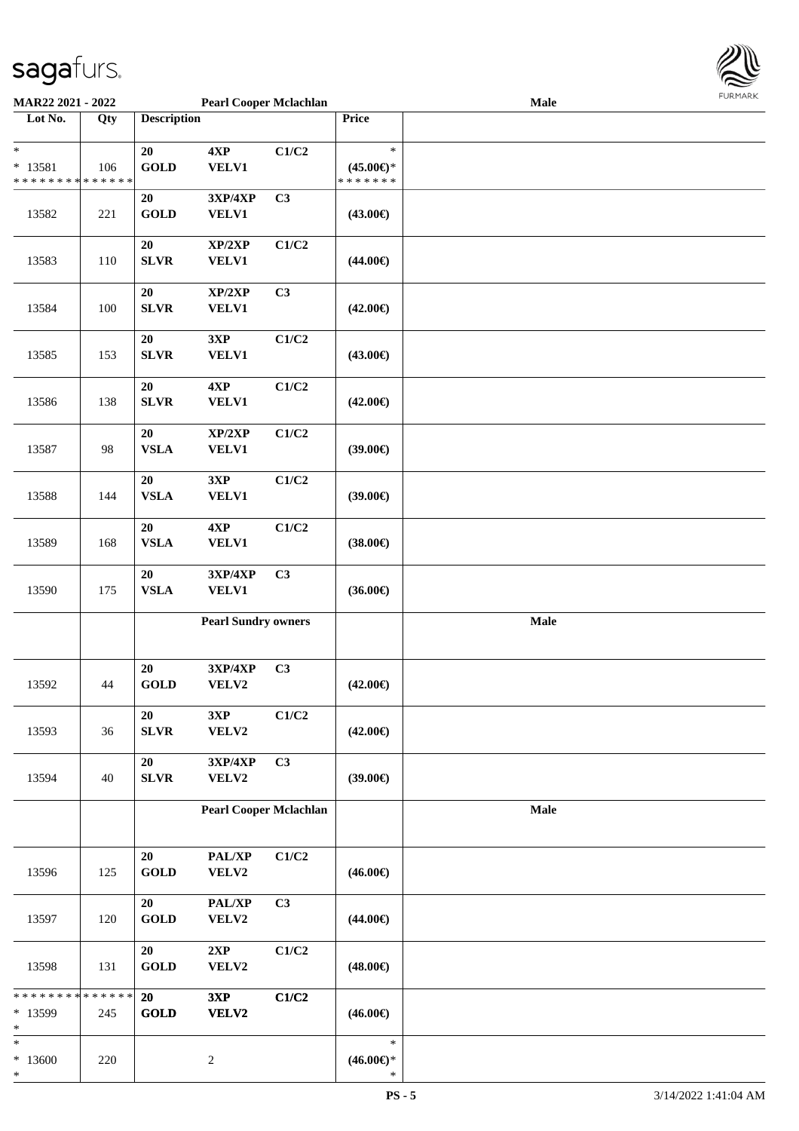

| <b>MAR22 2021 - 2022</b>    |      |                    | <b>Pearl Cooper Mclachlan</b> |       |                     | <b>Male</b> |  |
|-----------------------------|------|--------------------|-------------------------------|-------|---------------------|-------------|--|
| Lot No.                     | Qty  | <b>Description</b> |                               |       | Price               |             |  |
|                             |      |                    |                               |       |                     |             |  |
| $\ast$                      |      | 20                 | 4XP                           | C1/C2 | $\ast$              |             |  |
| * 13581                     | 106  | <b>GOLD</b>        | <b>VELV1</b>                  |       | $(45.00\epsilon)$ * |             |  |
| * * * * * * * * * * * * * * |      |                    |                               |       | * * * * * * *       |             |  |
|                             |      | 20                 | 3XP/4XP                       | C3    |                     |             |  |
| 13582                       | 221  | <b>GOLD</b>        | <b>VELV1</b>                  |       | $(43.00\epsilon)$   |             |  |
|                             |      |                    |                               |       |                     |             |  |
|                             |      | $20\,$             | XP/2XP                        | C1/C2 |                     |             |  |
|                             |      |                    |                               |       |                     |             |  |
| 13583                       | 110  | <b>SLVR</b>        | VELV1                         |       | $(44.00\epsilon)$   |             |  |
|                             |      |                    |                               |       |                     |             |  |
|                             |      | 20                 | XP/2XP                        | C3    |                     |             |  |
| 13584                       | 100  | SLVR               | <b>VELV1</b>                  |       | $(42.00\epsilon)$   |             |  |
|                             |      |                    |                               |       |                     |             |  |
|                             |      | 20                 | 3XP                           | C1/C2 |                     |             |  |
| 13585                       | 153  | SLVR               | <b>VELV1</b>                  |       | $(43.00\epsilon)$   |             |  |
|                             |      |                    |                               |       |                     |             |  |
|                             |      | 20                 | 4XP                           | C1/C2 |                     |             |  |
| 13586                       | 138  | SLVR               | <b>VELV1</b>                  |       | $(42.00\epsilon)$   |             |  |
|                             |      |                    |                               |       |                     |             |  |
|                             |      | 20                 | XP/2XP                        | C1/C2 |                     |             |  |
| 13587                       | 98   | ${\bf VSLA}$       | <b>VELV1</b>                  |       | $(39.00\epsilon)$   |             |  |
|                             |      |                    |                               |       |                     |             |  |
|                             |      | 20                 | 3XP                           | C1/C2 |                     |             |  |
| 13588                       | 144  | <b>VSLA</b>        | <b>VELV1</b>                  |       | (39.00)             |             |  |
|                             |      |                    |                               |       |                     |             |  |
|                             |      | 20                 | 4XP                           | C1/C2 |                     |             |  |
| 13589                       | 168  | <b>VSLA</b>        | <b>VELV1</b>                  |       | $(38.00\epsilon)$   |             |  |
|                             |      |                    |                               |       |                     |             |  |
|                             |      | 20                 | 3XP/4XP                       | C3    |                     |             |  |
| 13590                       | 175  | ${\bf VSLA}$       | <b>VELV1</b>                  |       | $(36.00\epsilon)$   |             |  |
|                             |      |                    |                               |       |                     |             |  |
|                             |      |                    | <b>Pearl Sundry owners</b>    |       |                     | Male        |  |
|                             |      |                    |                               |       |                     |             |  |
|                             |      |                    |                               |       |                     |             |  |
|                             |      | 20                 | 3XP/4XP                       | C3    |                     |             |  |
| 13592                       | $44$ | <b>GOLD</b>        | VELV2                         |       | $(42.00\epsilon)$   |             |  |
|                             |      |                    |                               |       |                     |             |  |
|                             |      | 20                 | 3XP                           | C1/C2 |                     |             |  |
| 13593                       | 36   | SLVR               | VELV2                         |       | $(42.00\epsilon)$   |             |  |
|                             |      |                    |                               |       |                     |             |  |
|                             |      | 20                 | 3XP/4XP                       | C3    |                     |             |  |
| 13594                       | 40   | SLVR               | VELV2                         |       | $(39.00\epsilon)$   |             |  |
|                             |      |                    |                               |       |                     |             |  |
|                             |      |                    | <b>Pearl Cooper Mclachlan</b> |       |                     | Male        |  |
|                             |      |                    |                               |       |                     |             |  |
|                             |      |                    |                               |       |                     |             |  |
|                             |      | 20                 | PAL/XP                        | C1/C2 |                     |             |  |
|                             |      |                    |                               |       |                     |             |  |
| 13596                       | 125  | <b>GOLD</b>        | VELV2                         |       | $(46.00\epsilon)$   |             |  |
|                             |      |                    |                               |       |                     |             |  |
|                             |      | 20                 | PAL/XP                        | C3    |                     |             |  |
| 13597                       | 120  | <b>GOLD</b>        | VELV2                         |       | $(44.00\epsilon)$   |             |  |
|                             |      |                    |                               |       |                     |             |  |
|                             |      | 20                 | 2XP                           | C1/C2 |                     |             |  |
| 13598                       | 131  | <b>GOLD</b>        | VELV2                         |       | $(48.00\epsilon)$   |             |  |
|                             |      |                    |                               |       |                     |             |  |
| * * * * * * * * * * * * * * |      | 20                 | 3XP                           | C1/C2 |                     |             |  |
| * 13599                     | 245  | <b>GOLD</b>        | <b>VELV2</b>                  |       | $(46.00\epsilon)$   |             |  |
| $\ast$                      |      |                    |                               |       |                     |             |  |
| $\ast$                      |      |                    |                               |       | $\ast$              |             |  |
| $*13600$                    | 220  |                    | $\sqrt{2}$                    |       | $(46.00\epsilon)$ * |             |  |
| *                           |      |                    |                               |       | $\ast$              |             |  |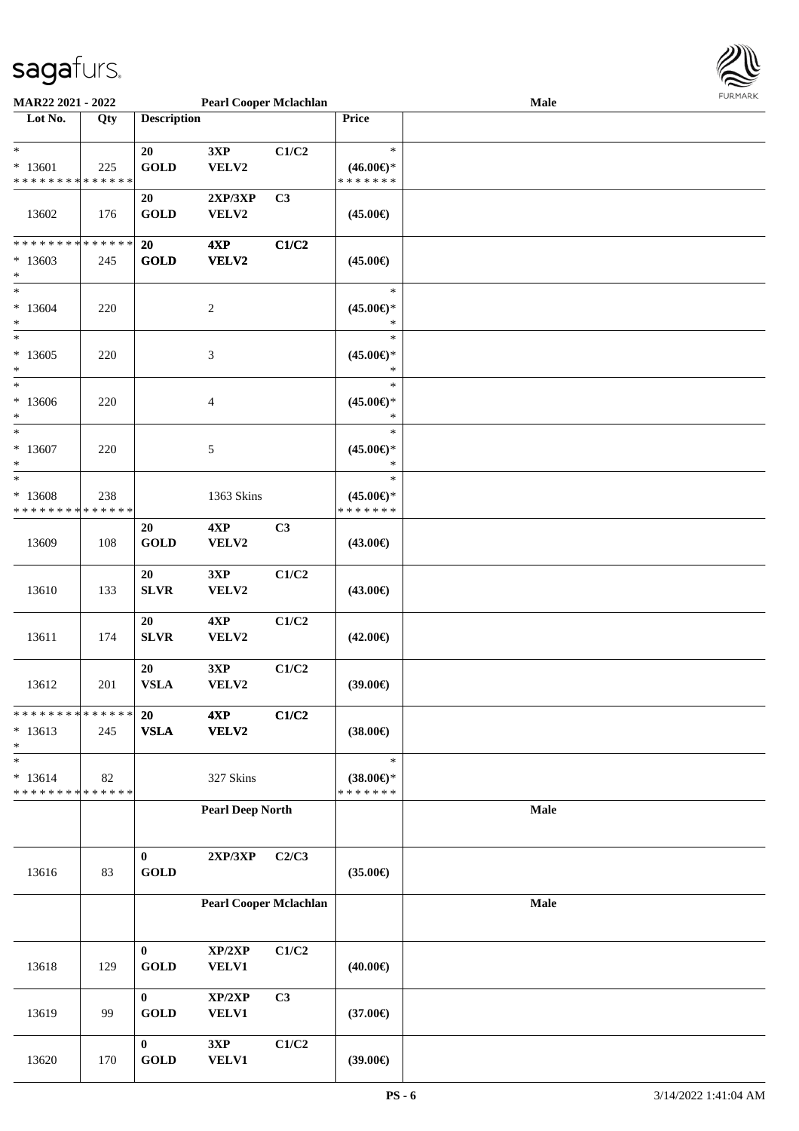

| MAR22 2021 - 2022                          |             |                    | <b>Pearl Cooper Mclachlan</b> |       |                     | <b>Male</b> | $1 \times 1 \times 1 \times 1 \times 1$ |
|--------------------------------------------|-------------|--------------------|-------------------------------|-------|---------------------|-------------|-----------------------------------------|
| Lot No.                                    | Qty         | <b>Description</b> |                               |       | Price               |             |                                         |
|                                            |             |                    |                               |       |                     |             |                                         |
| $\ast$                                     |             | 20                 | 3XP                           | C1/C2 | $\ast$              |             |                                         |
| $* 13601$                                  | 225         | <b>GOLD</b>        | VELV2                         |       | $(46.00\epsilon)$ * |             |                                         |
| * * * * * * * * * * * * * *                |             |                    |                               |       | * * * * * * *       |             |                                         |
|                                            |             | 20                 | 2XP/3XP                       | C3    |                     |             |                                         |
| 13602                                      | 176         | <b>GOLD</b>        | VELV2                         |       | $(45.00\epsilon)$   |             |                                         |
|                                            |             |                    |                               |       |                     |             |                                         |
| * * * * * * * * <mark>* * * * * * *</mark> |             | 20                 | 4XP                           | C1/C2 |                     |             |                                         |
| $*13603$<br>$\ast$                         | 245         | <b>GOLD</b>        | VELV2                         |       | $(45.00\epsilon)$   |             |                                         |
| $\overline{\ast}$                          |             |                    |                               |       | $\ast$              |             |                                         |
| $* 13604$                                  | 220         |                    | $\boldsymbol{2}$              |       | $(45.00\epsilon)$ * |             |                                         |
| $\ast$                                     |             |                    |                               |       | $\ast$              |             |                                         |
| $_{*}^{-}$                                 |             |                    |                               |       | $\ast$              |             |                                         |
| $*13605$                                   | 220         |                    | $\mathfrak{Z}$                |       | $(45.00\epsilon)$ * |             |                                         |
| $\ast$                                     |             |                    |                               |       | $\ast$              |             |                                         |
| $*$                                        |             |                    |                               |       | $\ast$              |             |                                         |
| * 13606                                    | 220         |                    | 4                             |       | $(45.00\epsilon)$ * |             |                                         |
| $\ast$                                     |             |                    |                               |       | $\ast$              |             |                                         |
| $*$                                        |             |                    |                               |       | $\ast$              |             |                                         |
| $*13607$                                   | 220         |                    | 5                             |       | $(45.00\epsilon)$ * |             |                                         |
| *                                          |             |                    |                               |       | $\ast$              |             |                                         |
| $\ast$                                     |             |                    |                               |       | $\ast$              |             |                                         |
| * 13608                                    | 238         |                    | 1363 Skins                    |       | $(45.00\epsilon)$ * |             |                                         |
| * * * * * * * *                            | * * * * * * |                    |                               |       | * * * * * * *       |             |                                         |
|                                            |             | 20                 | 4XP                           | C3    |                     |             |                                         |
| 13609                                      | 108         | <b>GOLD</b>        | VELV2                         |       | (43.00€)            |             |                                         |
|                                            |             |                    |                               |       |                     |             |                                         |
|                                            |             | 20                 | 3XP                           | C1/C2 |                     |             |                                         |
| 13610                                      | 133         | <b>SLVR</b>        | VELV2                         |       | $(43.00\epsilon)$   |             |                                         |
|                                            |             |                    |                               |       |                     |             |                                         |
|                                            |             | 20                 | 4XP                           | C1/C2 |                     |             |                                         |
| 13611                                      | 174         | <b>SLVR</b>        | VELV2                         |       | $(42.00\epsilon)$   |             |                                         |
|                                            |             |                    |                               |       |                     |             |                                         |
|                                            |             | 20                 | 3XP                           | C1/C2 |                     |             |                                         |
| 13612                                      | 201         | <b>VSLA</b>        | VELV2                         |       | $(39.00\epsilon)$   |             |                                         |
| * * * * * * * * <mark>* * * * * *</mark> * |             | 20                 | 4XP                           | C1/C2 |                     |             |                                         |
| $* 13613$                                  | 245         | <b>VSLA</b>        | VELV2                         |       | $(38.00\epsilon)$   |             |                                         |
| $\ast$                                     |             |                    |                               |       |                     |             |                                         |
| $\ast$                                     |             |                    |                               |       | $\ast$              |             |                                         |
| $* 13614$                                  | 82          |                    | 327 Skins                     |       | $(38.00\epsilon)$ * |             |                                         |
| * * * * * * * * * * * * * *                |             |                    |                               |       | * * * * * * *       |             |                                         |
|                                            |             |                    | <b>Pearl Deep North</b>       |       |                     | Male        |                                         |
|                                            |             |                    |                               |       |                     |             |                                         |
|                                            |             |                    |                               |       |                     |             |                                         |
|                                            |             | $\bf{0}$           | 2XP/3XP                       | C2/C3 |                     |             |                                         |
| 13616                                      | 83          | <b>GOLD</b>        |                               |       | $(35.00\epsilon)$   |             |                                         |
|                                            |             |                    |                               |       |                     |             |                                         |
|                                            |             |                    | <b>Pearl Cooper Mclachlan</b> |       |                     | Male        |                                         |
|                                            |             |                    |                               |       |                     |             |                                         |
|                                            |             |                    |                               |       |                     |             |                                         |
|                                            |             | $\bf{0}$           | XP/2XP                        | C1/C2 |                     |             |                                         |
| 13618                                      | 129         | <b>GOLD</b>        | <b>VELV1</b>                  |       | $(40.00\epsilon)$   |             |                                         |
|                                            |             | $\bf{0}$           | XP/2XP                        | C3    |                     |             |                                         |
| 13619                                      | 99          | <b>GOLD</b>        | <b>VELV1</b>                  |       | $(37.00\epsilon)$   |             |                                         |
|                                            |             |                    |                               |       |                     |             |                                         |
|                                            |             | $\bf{0}$           | 3XP                           | C1/C2 |                     |             |                                         |
| 13620                                      | 170         | <b>GOLD</b>        | VELV1                         |       | $(39.00\epsilon)$   |             |                                         |
|                                            |             |                    |                               |       |                     |             |                                         |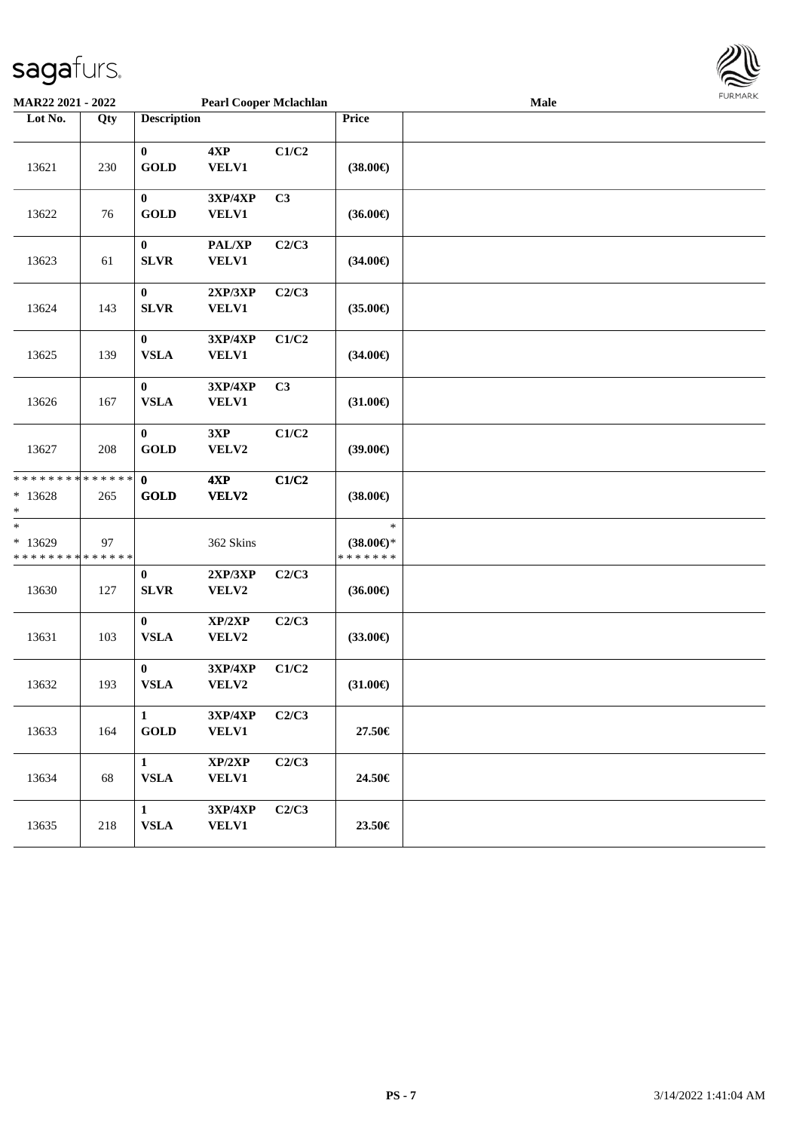

| MAR22 2021 - 2022                                                |     | <b>Pearl Cooper Mclachlan</b> |                         |       |                                                | Male | <b>FUNITANN</b> |
|------------------------------------------------------------------|-----|-------------------------------|-------------------------|-------|------------------------------------------------|------|-----------------|
| Lot No.                                                          | Qty | <b>Description</b>            |                         |       | Price                                          |      |                 |
| 13621                                                            | 230 | $\bf{0}$<br><b>GOLD</b>       | 4XP<br><b>VELV1</b>     | C1/C2 | $(38.00\epsilon)$                              |      |                 |
| 13622                                                            | 76  | $\bf{0}$<br><b>GOLD</b>       | 3XP/4XP<br><b>VELV1</b> | C3    | $(36.00\epsilon)$                              |      |                 |
| 13623                                                            | 61  | $\bf{0}$<br><b>SLVR</b>       | PAL/XP<br><b>VELV1</b>  | C2/C3 | $(34.00\epsilon)$                              |      |                 |
| 13624                                                            | 143 | $\bf{0}$<br><b>SLVR</b>       | 2XP/3XP<br><b>VELV1</b> | C2/C3 | $(35.00\epsilon)$                              |      |                 |
| 13625                                                            | 139 | $\bf{0}$<br><b>VSLA</b>       | 3XP/4XP<br><b>VELV1</b> | C1/C2 | $(34.00\epsilon)$                              |      |                 |
| 13626                                                            | 167 | $\bf{0}$<br><b>VSLA</b>       | 3XP/4XP<br><b>VELV1</b> | C3    | $(31.00\epsilon)$                              |      |                 |
| 13627                                                            | 208 | $\bf{0}$<br><b>GOLD</b>       | 3XP<br>VELV2            | C1/C2 | $(39.00\epsilon)$                              |      |                 |
| * * * * * * * * * * * * * *<br>$*13628$<br>*                     | 265 | $\mathbf{0}$<br><b>GOLD</b>   | 4XP<br><b>VELV2</b>     | C1/C2 | $(38.00\epsilon)$                              |      |                 |
| $\ast$<br>$*13629$<br>* * * * * * * * <mark>* * * * * * *</mark> | 97  |                               | 362 Skins               |       | $\ast$<br>$(38.00\epsilon)$ *<br>* * * * * * * |      |                 |
| 13630                                                            | 127 | $\bf{0}$<br><b>SLVR</b>       | 2XP/3XP<br>VELV2        | C2/C3 | $(36.00\epsilon)$                              |      |                 |
| 13631                                                            | 103 | $\bf{0}$<br><b>VSLA</b>       | XP/2XP<br>VELV2         | C2/C3 | $(33.00\epsilon)$                              |      |                 |
| 13632                                                            | 193 | $\bf{0}$<br><b>VSLA</b>       | 3XP/4XP<br>VELV2        | C1/C2 | $(31.00\epsilon)$                              |      |                 |
| 13633                                                            | 164 | $\mathbf{1}$<br><b>GOLD</b>   | 3XP/4XP<br><b>VELV1</b> | C2/C3 | 27.50€                                         |      |                 |
| 13634                                                            | 68  | $\mathbf{1}$<br><b>VSLA</b>   | XP/2XP<br><b>VELV1</b>  | C2/C3 | 24.50€                                         |      |                 |
| 13635                                                            | 218 | $\mathbf{1}$<br><b>VSLA</b>   | 3XP/4XP<br><b>VELV1</b> | C2/C3 | 23.50€                                         |      |                 |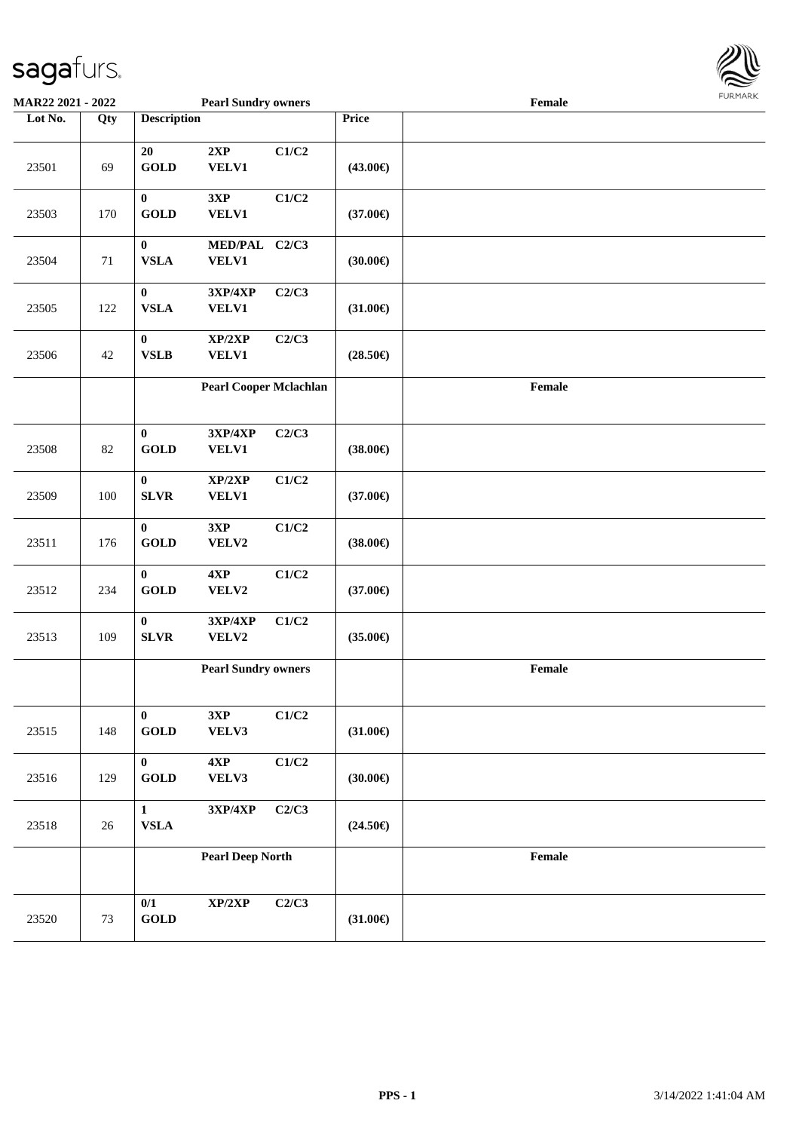

| MAR22 2021 - 2022 |     |                                       | <b>Pearl Sundry owners</b>        |       |                   | Female                                      |  |
|-------------------|-----|---------------------------------------|-----------------------------------|-------|-------------------|---------------------------------------------|--|
| Lot No.           | Qty | <b>Description</b>                    |                                   |       | Price             |                                             |  |
| 23501             | 69  | 20<br><b>GOLD</b>                     | 2XP<br>VELV1                      | C1/C2 | $(43.00\epsilon)$ |                                             |  |
| 23503             | 170 | $\pmb{0}$<br>GOLD                     | 3XP<br><b>VELV1</b>               | C1/C2 | $(37.00\epsilon)$ |                                             |  |
| 23504             | 71  | $\boldsymbol{0}$<br><b>VSLA</b>       | MED/PAL C2/C3<br>VELV1            |       | (30.00)           |                                             |  |
| 23505             | 122 | $\pmb{0}$<br><b>VSLA</b>              | 3XP/4XP<br>VELV1                  | C2/C3 | $(31.00\epsilon)$ |                                             |  |
| 23506             | 42  | $\bf{0}$<br><b>VSLB</b>               | XP/2XP<br><b>VELV1</b>            | C2/C3 | $(28.50\epsilon)$ |                                             |  |
|                   |     |                                       | <b>Pearl Cooper Mclachlan</b>     |       |                   | $\ensuremath{\textnormal{\textbf{Female}}}$ |  |
| 23508             | 82  | $\bf{0}$<br><b>GOLD</b>               | 3XP/4XP<br><b>VELV1</b>           | C2/C3 | $(38.00\epsilon)$ |                                             |  |
| 23509             | 100 | $\bf{0}$<br><b>SLVR</b>               | XP/2XP<br><b>VELV1</b>            | C1/C2 | $(37.00\epsilon)$ |                                             |  |
| 23511             | 176 | $\bf{0}$<br><b>GOLD</b>               | 3XP<br>VELV2                      | C1/C2 | $(38.00\epsilon)$ |                                             |  |
| 23512             | 234 | $\bf{0}$<br>GOLD                      | 4XP<br>VELV2                      | C1/C2 | $(37.00\epsilon)$ |                                             |  |
| 23513             | 109 | $\mathbf{0}$<br>${\bf SLVR}$          | <b>3XP/4XP</b><br>VELV2           | C1/C2 | $(35.00\epsilon)$ |                                             |  |
|                   |     |                                       | <b>Pearl Sundry owners</b>        |       |                   | Female                                      |  |
| 23515             | 148 | $\bf{0}$<br>$\operatorname{GOLD}$     | 3XP<br>VELV3                      | C1/C2 | $(31.00\epsilon)$ |                                             |  |
| 23516             | 129 | $\mathbf{0}$<br>$\operatorname{GOLD}$ | 4XP<br>VELV3                      | C1/C2 | (30.00)           |                                             |  |
| 23518             | 26  | $\mathbf{1}$<br>${\bf VSLA}$          | $3{\bf X}{\bf P}/4{\bf X}{\bf P}$ | C2/C3 | $(24.50\epsilon)$ |                                             |  |
|                   |     |                                       | <b>Pearl Deep North</b>           |       |                   | Female                                      |  |
| 23520             | 73  | 0/1<br>$\operatorname{GOLD}$          | XP/2XP                            | C2/C3 | $(31.00\epsilon)$ |                                             |  |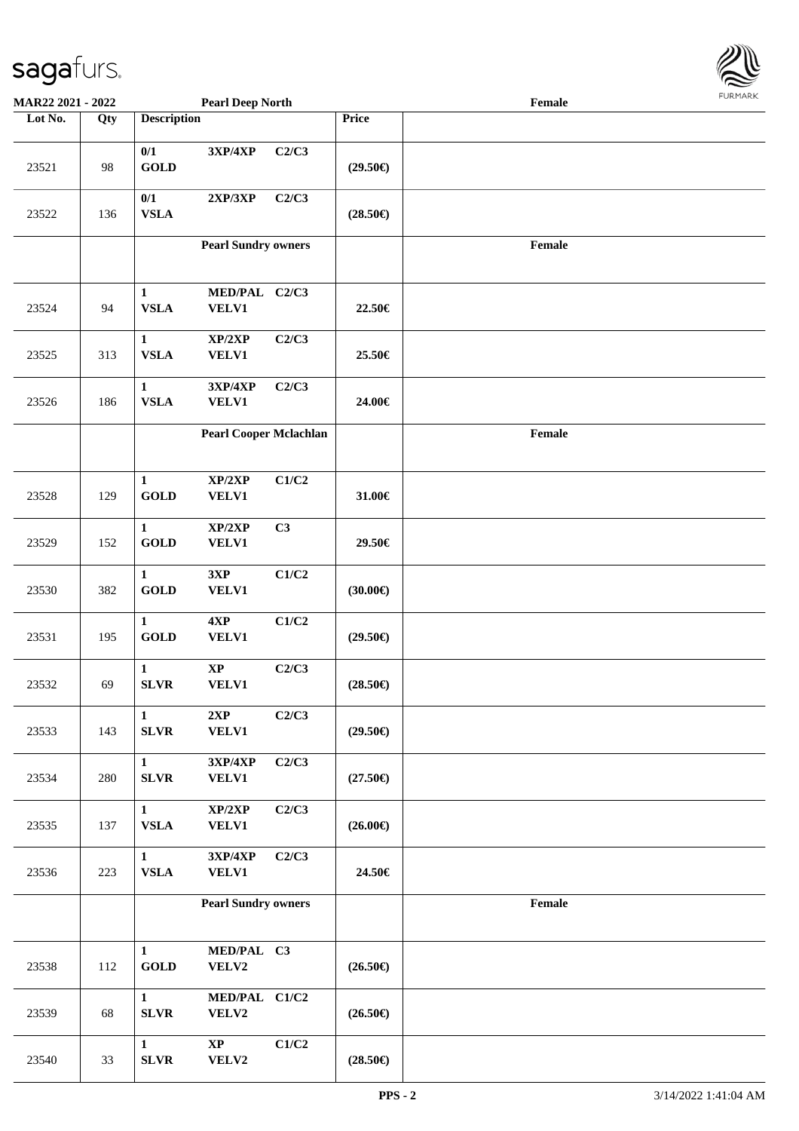

| MAR22 2021 - 2022 |     |                              | <b>Pearl Deep North</b>                    |       |                   | Female | <b>FUNITANN</b> |
|-------------------|-----|------------------------------|--------------------------------------------|-------|-------------------|--------|-----------------|
| Lot No.           | Qty | <b>Description</b>           |                                            |       | Price             |        |                 |
| 23521             | 98  | 0/1<br><b>GOLD</b>           | 3XP/4XP                                    | C2/C3 | $(29.50\epsilon)$ |        |                 |
| 23522             | 136 | 0/1<br><b>VSLA</b>           | 2XP/3XP                                    | C2/C3 | $(28.50\epsilon)$ |        |                 |
|                   |     |                              | <b>Pearl Sundry owners</b>                 |       |                   | Female |                 |
| 23524             | 94  | $\mathbf{1}$<br><b>VSLA</b>  | MED/PAL C2/C3<br><b>VELV1</b>              |       | 22.50€            |        |                 |
| 23525             | 313 | $\mathbf{1}$<br><b>VSLA</b>  | $\mathbf{XP}/2\mathbf{XP}$<br><b>VELV1</b> | C2/C3 | 25.50€            |        |                 |
| 23526             | 186 | $\mathbf{1}$<br><b>VSLA</b>  | 3XP/4XP<br><b>VELV1</b>                    | C2/C3 | 24.00€            |        |                 |
|                   |     |                              | <b>Pearl Cooper Mclachlan</b>              |       |                   | Female |                 |
| 23528             | 129 | $\mathbf{1}$<br><b>GOLD</b>  | XP/2XP<br><b>VELV1</b>                     | C1/C2 | 31.00€            |        |                 |
| 23529             | 152 | $\mathbf{1}$<br><b>GOLD</b>  | XP/2XP<br><b>VELV1</b>                     | C3    | 29.50€            |        |                 |
| 23530             | 382 | $\mathbf 1$<br><b>GOLD</b>   | 3XP<br><b>VELV1</b>                        | C1/C2 | $(30.00\epsilon)$ |        |                 |
| 23531             | 195 | $\mathbf{1}$<br><b>GOLD</b>  | $4{\bf X}{\bf P}$<br><b>VELV1</b>          | C1/C2 | $(29.50\epsilon)$ |        |                 |
| 23532             | 69  | $\mathbf{1}$<br><b>SLVR</b>  | $\bold{XP}$<br><b>VELV1</b>                | C2/C3 | $(28.50\epsilon)$ |        |                 |
| 23533             | 143 | $\mathbf{1}$<br>SLVR         | 2XP<br><b>VELV1</b>                        | C2/C3 | $(29.50\epsilon)$ |        |                 |
| 23534             | 280 | $\mathbf{1}$<br><b>SLVR</b>  | 3XP/4XP<br><b>VELV1</b>                    | C2/C3 | $(27.50\epsilon)$ |        |                 |
| 23535             | 137 | $\mathbf{1}$<br><b>VSLA</b>  | XP/2XP<br><b>VELV1</b>                     | C2/C3 | $(26.00\epsilon)$ |        |                 |
| 23536             | 223 | $\mathbf{1}$<br>${\bf VSLA}$ | 3XP/4XP<br><b>VELV1</b>                    | C2/C3 | 24.50€            |        |                 |
|                   |     |                              | <b>Pearl Sundry owners</b>                 |       |                   | Female |                 |
| 23538             | 112 | $\mathbf{1}$<br><b>GOLD</b>  | MED/PAL C3<br>VELV2                        |       | $(26.50\epsilon)$ |        |                 |
| 23539             | 68  | $\mathbf{1}$<br><b>SLVR</b>  | MED/PAL C1/C2<br>VELV2                     |       | $(26.50\epsilon)$ |        |                 |
| 23540             | 33  | $\mathbf{1}$<br><b>SLVR</b>  | $\bold{XP}$<br>VELV2                       | C1/C2 | $(28.50\epsilon)$ |        |                 |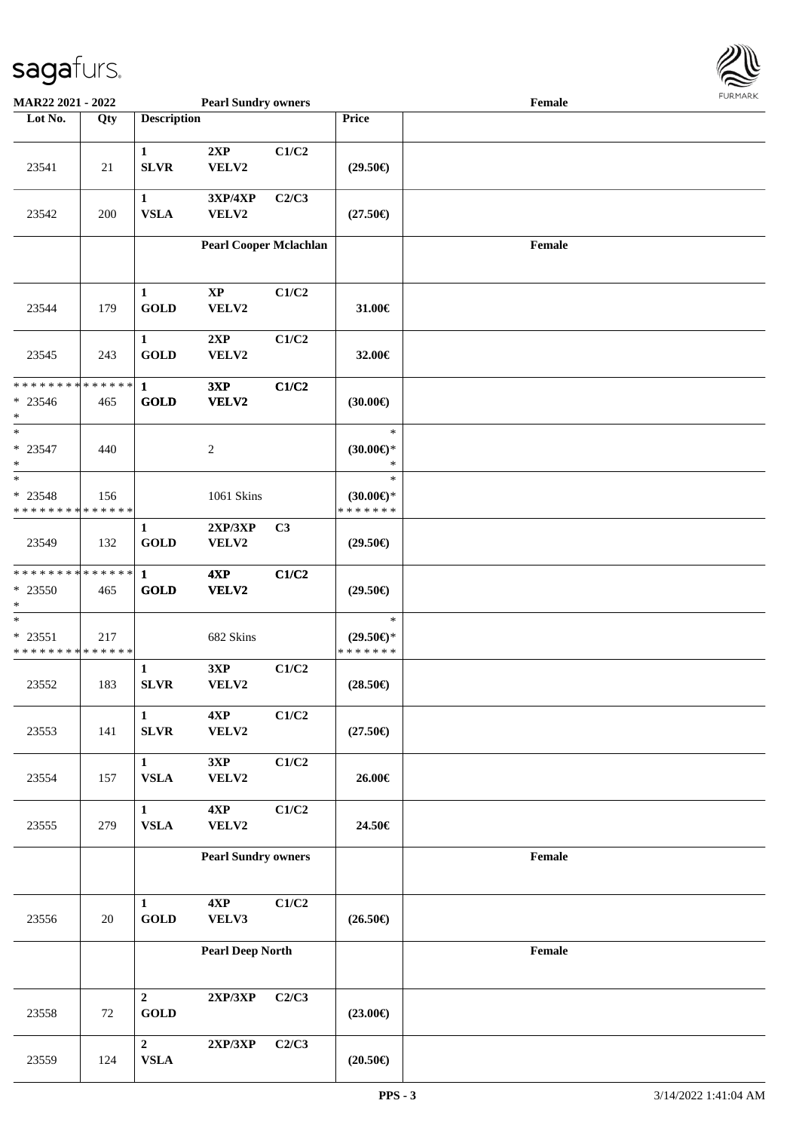

| <b>MAR22 2021 - 2022</b>                                     |     |                                | <b>Pearl Sundry owners</b>      |                |                                                | Female |  |
|--------------------------------------------------------------|-----|--------------------------------|---------------------------------|----------------|------------------------------------------------|--------|--|
| Lot No.                                                      | Qty | <b>Description</b>             |                                 |                | <b>Price</b>                                   |        |  |
| 23541                                                        | 21  | $\mathbf{1}$<br><b>SLVR</b>    | 2XP<br>VELV2                    | C1/C2          | $(29.50\epsilon)$                              |        |  |
| 23542                                                        | 200 | $\mathbf{1}$<br><b>VSLA</b>    | $3XP/4XP$<br>VELV2              | C2/C3          | $(27.50\epsilon)$                              |        |  |
|                                                              |     |                                | <b>Pearl Cooper Mclachlan</b>   |                |                                                | Female |  |
| 23544                                                        | 179 | $\mathbf{1}$<br><b>GOLD</b>    | $\mathbf{X}\mathbf{P}$<br>VELV2 | C1/C2          | 31.00€                                         |        |  |
| 23545                                                        | 243 | $\mathbf{1}$<br><b>GOLD</b>    | 2XP<br>VELV2                    | C1/C2          | 32.00€                                         |        |  |
| * * * * * * * * * * * * * *<br>$* 23546$<br>$*$              | 465 | $\mathbf{1}$<br><b>GOLD</b>    | 3XP<br>VELV2                    | C1/C2          | $(30.00\epsilon)$                              |        |  |
| $*$<br>$* 23547$<br>$\ast$                                   | 440 |                                | $\sqrt{2}$                      |                | $\ast$<br>$(30.00\epsilon)$ *<br>$\ast$        |        |  |
| $*$<br>* 23548<br>* * * * * * * * * * * * * *                | 156 |                                | 1061 Skins                      |                | $\ast$<br>$(30.00\epsilon)$ *<br>* * * * * * * |        |  |
| 23549                                                        | 132 | $\mathbf{1}$<br><b>GOLD</b>    | 2XP/3XP<br>VELV2                | C <sub>3</sub> | $(29.50\epsilon)$                              |        |  |
| * * * * * * * * <mark>* * * * * * *</mark><br>* 23550<br>$*$ | 465 | $\mathbf{1}$<br><b>GOLD</b>    | 4XP<br>VELV2                    | C1/C2          | $(29.50\epsilon)$                              |        |  |
| $*$<br>$* 23551$<br>* * * * * * * * * * * * * *              | 217 |                                | 682 Skins                       |                | $\ast$<br>$(29.50\epsilon)$ *<br>* * * * * * * |        |  |
| 23552                                                        | 183 | $\mathbf{1}$<br><b>SLVR</b>    | 3XP<br>VELV2                    | C1/C2          | $(28.50\epsilon)$                              |        |  |
| 23553                                                        | 141 | $\mathbf{1}$<br><b>SLVR</b>    | 4XP<br>VELV2                    | C1/C2          | $(27.50\epsilon)$                              |        |  |
| 23554                                                        | 157 | $\mathbf{1}$<br>${\bf VSLA}$   | 3XP<br>VELV2                    | C1/C2          | 26.00€                                         |        |  |
| 23555                                                        | 279 | $\mathbf{1}$<br>${\bf VSLA}$   | 4XP<br>VELV2                    | C1/C2          | 24.50€                                         |        |  |
|                                                              |     |                                | <b>Pearl Sundry owners</b>      |                |                                                | Female |  |
| 23556                                                        | 20  | $\mathbf{1}$<br><b>GOLD</b>    | $4{\bf XP}$<br>VELV3            | C1/C2          | $(26.50\epsilon)$                              |        |  |
|                                                              |     |                                | <b>Pearl Deep North</b>         |                |                                                | Female |  |
| 23558                                                        | 72  | $\overline{2}$<br><b>GOLD</b>  | 2XP/3XP                         | C2/C3          | $(23.00\epsilon)$                              |        |  |
| 23559                                                        | 124 | $\overline{2}$<br>${\bf VSLA}$ | 2XP/3XP                         | C2/C3          | $(20.50\epsilon)$                              |        |  |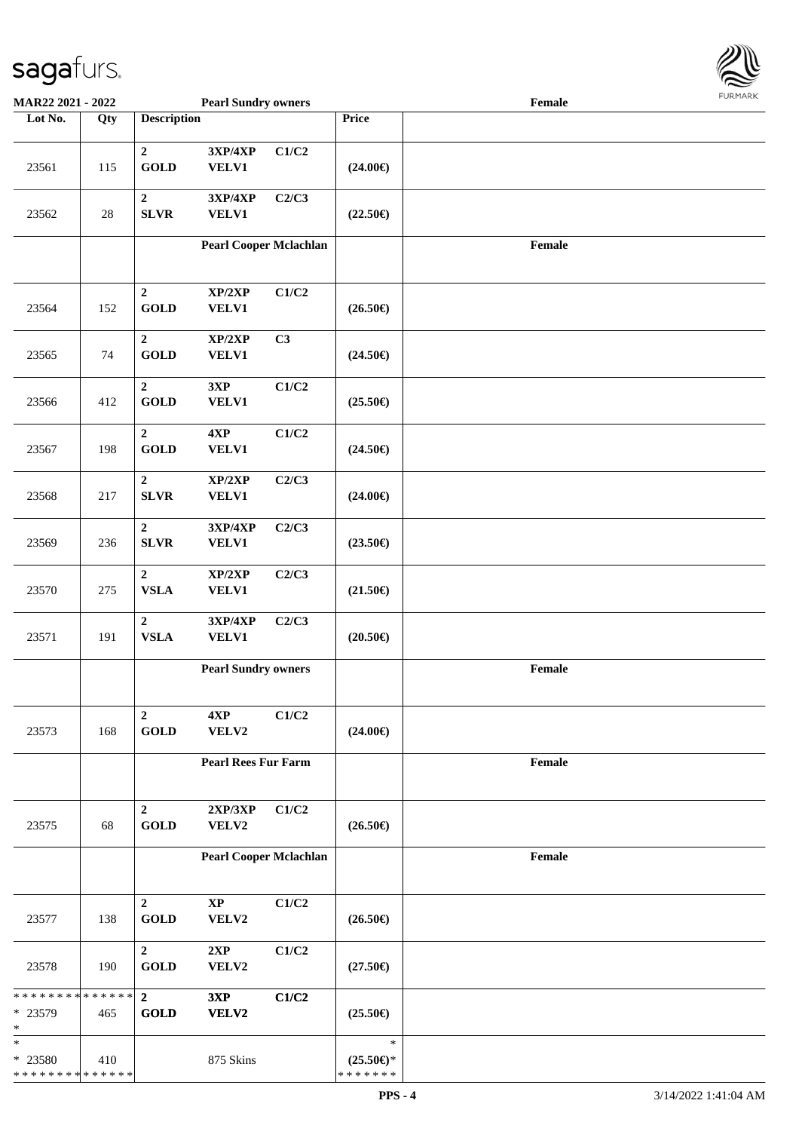

| <b>MAR22 2021 - 2022</b>                           |     |                                           | <b>Pearl Sundry owners</b>     |       |                                                | Female |  |
|----------------------------------------------------|-----|-------------------------------------------|--------------------------------|-------|------------------------------------------------|--------|--|
| Lot No.                                            | Qty | <b>Description</b>                        |                                |       | Price                                          |        |  |
| 23561                                              | 115 | $\mathbf{2}$<br>GOLD                      | 3XP/4XP<br><b>VELV1</b>        | C1/C2 | $(24.00\epsilon)$                              |        |  |
| 23562                                              | 28  | $\boldsymbol{2}$<br><b>SLVR</b>           | 3XP/4XP<br><b>VELV1</b>        | C2/C3 | $(22.50\epsilon)$                              |        |  |
|                                                    |     |                                           | <b>Pearl Cooper Mclachlan</b>  |       |                                                | Female |  |
| 23564                                              | 152 | $\boldsymbol{2}$<br>GOLD                  | XP/2XP<br><b>VELV1</b>         | C1/C2 | $(26.50\epsilon)$                              |        |  |
| 23565                                              | 74  | $\boldsymbol{2}$<br>GOLD                  | XP/2XP<br><b>VELV1</b>         | C3    | $(24.50\epsilon)$                              |        |  |
| 23566                                              | 412 | $\overline{2}$<br><b>GOLD</b>             | 3XP<br><b>VELV1</b>            | C1/C2 | $(25.50\epsilon)$                              |        |  |
| 23567                                              | 198 | $\boldsymbol{2}$<br>$\operatorname{GOLD}$ | 4XP<br><b>VELV1</b>            | C1/C2 | $(24.50\epsilon)$                              |        |  |
| 23568                                              | 217 | $\mathbf 2$<br><b>SLVR</b>                | XP/2XP<br><b>VELV1</b>         | C2/C3 | $(24.00\epsilon)$                              |        |  |
| 23569                                              | 236 | $\boldsymbol{2}$<br><b>SLVR</b>           | <b>3XP/4XP</b><br><b>VELV1</b> | C2/C3 | $(23.50\epsilon)$                              |        |  |
| 23570                                              | 275 | $\boldsymbol{2}$<br><b>VSLA</b>           | XP/2XP<br><b>VELV1</b>         | C2/C3 | $(21.50\epsilon)$                              |        |  |
| 23571                                              | 191 | $\overline{2}$<br>${\bf VSLA}$            | 3XP/4XP<br><b>VELV1</b>        | C2/C3 | $(20.50\epsilon)$                              |        |  |
|                                                    |     |                                           | <b>Pearl Sundry owners</b>     |       |                                                | Female |  |
| 23573                                              | 168 | $\overline{2}$<br>$\operatorname{GOLD}$   | 4XP<br>VELV2                   | C1/C2 | $(24.00\epsilon)$                              |        |  |
|                                                    |     |                                           | <b>Pearl Rees Fur Farm</b>     |       |                                                | Female |  |
| 23575                                              | 68  | $\boldsymbol{2}$<br><b>GOLD</b>           | 2XP/3XP<br>VELV2               | C1/C2 | $(26.50\epsilon)$                              |        |  |
|                                                    |     |                                           | <b>Pearl Cooper Mclachlan</b>  |       |                                                | Female |  |
| 23577                                              | 138 | $\overline{2}$<br><b>GOLD</b>             | $\bold{XP}$<br>VELV2           | C1/C2 | $(26.50\epsilon)$                              |        |  |
| 23578                                              | 190 | $\overline{2}$<br><b>GOLD</b>             | 2XP<br>VELV2                   | C1/C2 | $(27.50\epsilon)$                              |        |  |
| * * * * * * * * * * * * * * *<br>* 23579<br>$\ast$ | 465 | $\overline{2}$<br><b>GOLD</b>             | 3XP<br>VELV2                   | C1/C2 | $(25.50\epsilon)$                              |        |  |
| $\ast$<br>* 23580<br>* * * * * * * * * * * * * *   | 410 |                                           | 875 Skins                      |       | $\ast$<br>$(25.50\epsilon)$ *<br>* * * * * * * |        |  |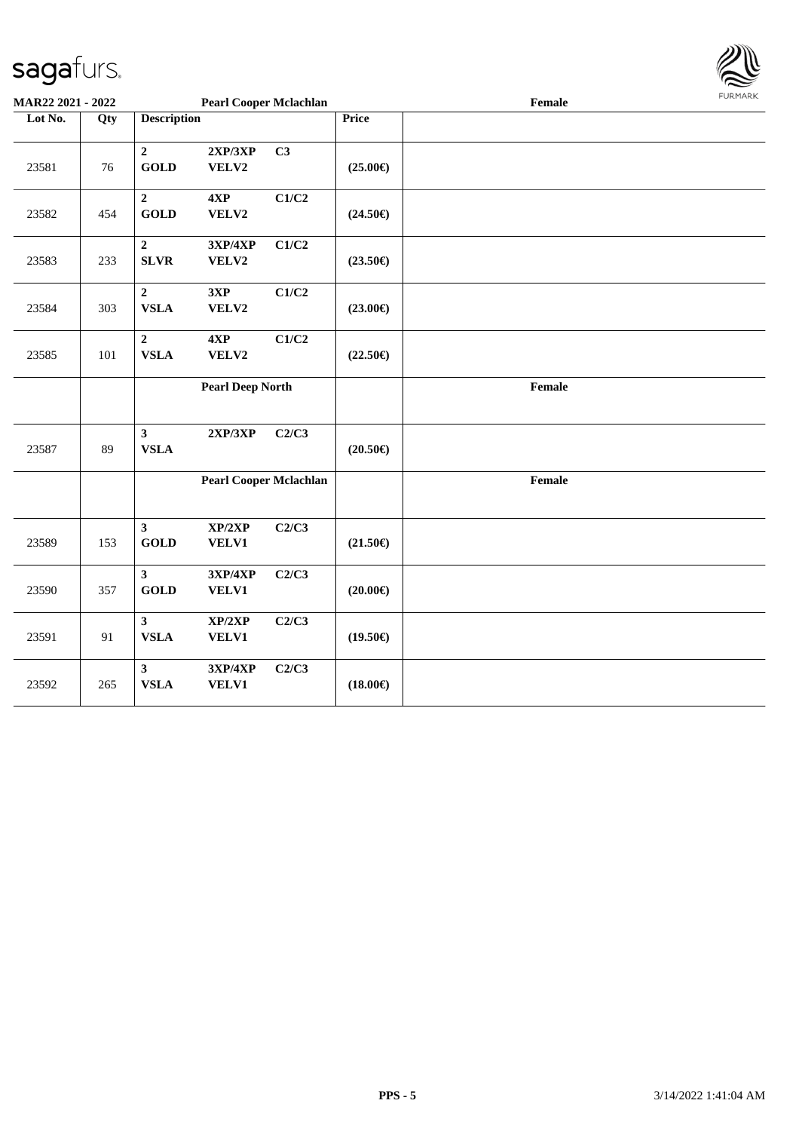

| MAR22 2021 - 2022 |     |                                        | <b>Pearl Cooper Mclachlan</b>  |       |                   | <b>FUNITAN</b><br>Female |  |  |  |  |
|-------------------|-----|----------------------------------------|--------------------------------|-------|-------------------|--------------------------|--|--|--|--|
| Lot No.           | Qty | <b>Description</b>                     |                                |       | <b>Price</b>      |                          |  |  |  |  |
| 23581             | 76  | $\overline{2}$<br><b>GOLD</b>          | 2XP/3XP<br>VELV2               | C3    | $(25.00\epsilon)$ |                          |  |  |  |  |
| 23582             | 454 | $\overline{2}$<br><b>GOLD</b>          | 4XP<br>VELV2                   | C1/C2 | $(24.50\epsilon)$ |                          |  |  |  |  |
| 23583             | 233 | $\overline{2}$<br><b>SLVR</b>          | 3XP/4XP<br>VELV2               | C1/C2 | $(23.50\epsilon)$ |                          |  |  |  |  |
| 23584             | 303 | $\mathbf 2$<br><b>VSLA</b>             | 3XP<br>VELV2                   | C1/C2 | $(23.00\epsilon)$ |                          |  |  |  |  |
| 23585             | 101 | $\mathbf 2$<br><b>VSLA</b>             | 4XP<br>VELV2                   | C1/C2 | $(22.50\epsilon)$ |                          |  |  |  |  |
|                   |     |                                        | <b>Pearl Deep North</b>        |       |                   | Female                   |  |  |  |  |
| 23587             | 89  | $\overline{\mathbf{3}}$<br><b>VSLA</b> | 2XP/3XP                        | C2/C3 | $(20.50\epsilon)$ |                          |  |  |  |  |
|                   |     |                                        | <b>Pearl Cooper Mclachlan</b>  |       |                   | Female                   |  |  |  |  |
| 23589             | 153 | $\mathbf{3}$<br><b>GOLD</b>            | XP/2XP<br><b>VELV1</b>         | C2/C3 | $(21.50\epsilon)$ |                          |  |  |  |  |
| 23590             | 357 | $\mathbf{3}$<br><b>GOLD</b>            | 3XP/4XP<br><b>VELV1</b>        | C2/C3 | $(20.00\epsilon)$ |                          |  |  |  |  |
| 23591             | 91  | $\mathbf{3}$<br>${\bf VSLA}$           | XP/2XP<br>VELV1                | C2/C3 | $(19.50\epsilon)$ |                          |  |  |  |  |
| 23592             | 265 | $\mathbf{3}$<br><b>VSLA</b>            | <b>3XP/4XP</b><br><b>VELV1</b> | C2/C3 | $(18.00\epsilon)$ |                          |  |  |  |  |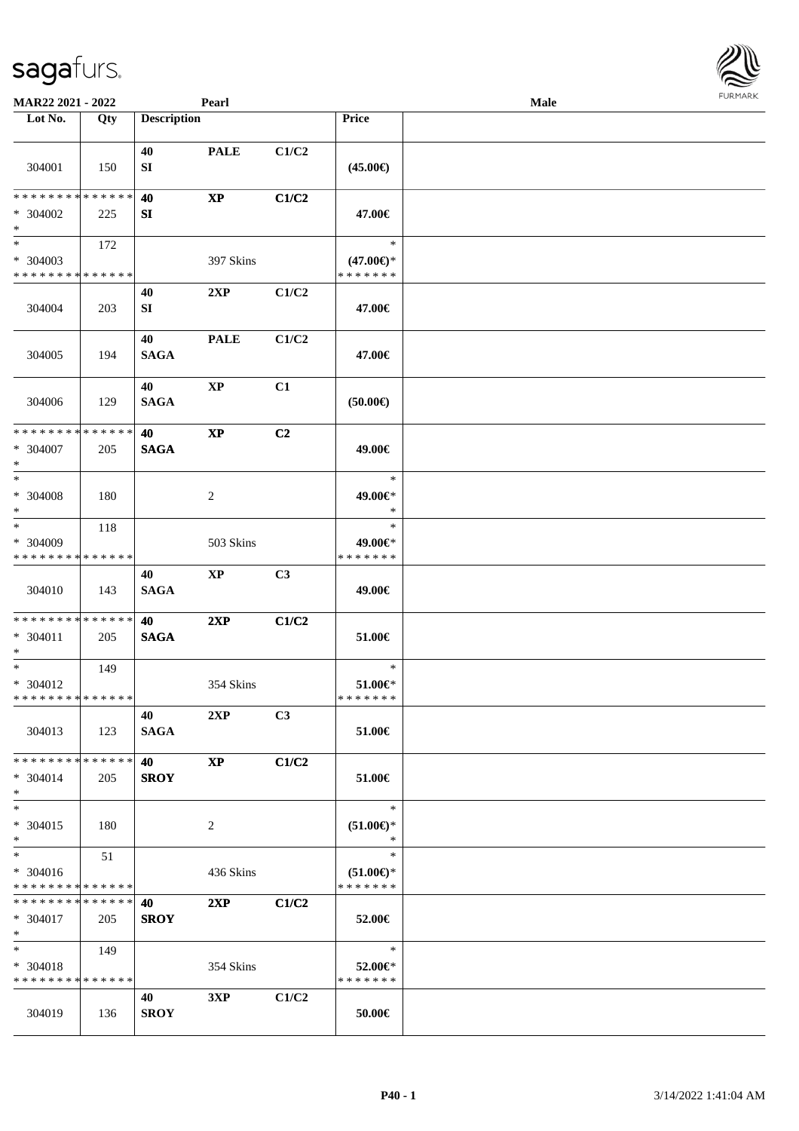| <b>MAR22 2021 - 2022</b>                                      |     |                          | Pearl                  |                |                                                | Male |  |
|---------------------------------------------------------------|-----|--------------------------|------------------------|----------------|------------------------------------------------|------|--|
| Lot No.                                                       | Qty | <b>Description</b>       |                        |                | <b>Price</b>                                   |      |  |
| 304001                                                        | 150 | 40<br>SI                 | <b>PALE</b>            | C1/C2          | $(45.00\epsilon)$                              |      |  |
| * * * * * * * * * * * * * *<br>* 304002<br>$*$                | 225 | 40<br>SI                 | $\mathbf{X}\mathbf{P}$ | C1/C2          | 47.00€                                         |      |  |
| $*$<br>* 304003<br>* * * * * * * * <mark>* * * * * * *</mark> | 172 |                          | 397 Skins              |                | $\ast$<br>$(47.00\epsilon)$ *<br>* * * * * * * |      |  |
| 304004                                                        | 203 | 40<br>SI                 | 2XP                    | C1/C2          | 47.00€                                         |      |  |
| 304005                                                        | 194 | 40<br><b>SAGA</b>        | <b>PALE</b>            | C1/C2          | 47.00€                                         |      |  |
| 304006                                                        | 129 | 40<br><b>SAGA</b>        | $\mathbf{X}\mathbf{P}$ | C1             | $(50.00\epsilon)$                              |      |  |
| * * * * * * * * * * * * * *<br>* 304007<br>$*$                | 205 | 40<br><b>SAGA</b>        | $\mathbf{X}\mathbf{P}$ | C <sub>2</sub> | 49.00€                                         |      |  |
| $*$<br>$* 304008$<br>$\ast$                                   | 180 |                          | 2                      |                | $\ast$<br>49.00€*<br>$\ast$                    |      |  |
| $*$<br>* 304009<br>* * * * * * * * <mark>* * * * * * *</mark> | 118 |                          | 503 Skins              |                | $\ast$<br>49.00€*<br>* * * * * * *             |      |  |
| 304010                                                        | 143 | 40<br><b>SAGA</b>        | XP                     | C3             | 49.00€                                         |      |  |
| * * * * * * * * * * * * * * *<br>* 304011<br>$*$              | 205 | 40<br><b>SAGA</b>        | 2XP                    | C1/C2          | 51.00€                                         |      |  |
| $*$<br>* 304012<br>* * * * * * * * * * * * * * *              | 149 |                          | 354 Skins              |                | $\ast$<br>$51.00 \in$<br>* * * * * * *         |      |  |
| 304013                                                        | 123 | 40<br><b>SAGA</b>        | 2XP                    | C <sub>3</sub> | 51.00€                                         |      |  |
| * * * * * * * * * * * * * * *<br>$* 304014$<br>$*$            | 205 | 40<br><b>SROY</b>        | <b>XP</b>              | C1/C2          | 51.00€                                         |      |  |
| $*$<br>* 304015<br>$*$                                        | 180 |                          | 2                      |                | $\ast$<br>$(51.00ε)$ *<br>$\ast$               |      |  |
| $*$<br>* 304016<br>* * * * * * * * * * * * * *                | 51  |                          | 436 Skins              |                | $\ast$<br>$(51.00 \in )^*$<br>* * * * * * *    |      |  |
| * * * * * * * * * * * * * * *<br>* 304017<br>$*$ $-$          | 205 | <b>40</b><br><b>SROY</b> | 2XP                    | C1/C2          | 52.00€                                         |      |  |
| $*$ and $*$<br>* 304018<br>* * * * * * * * * * * * * *        | 149 |                          | 354 Skins              |                | $\ast$<br>52.00€*<br>* * * * * * *             |      |  |
| 304019                                                        | 136 | 40<br><b>SROY</b>        | 3XP                    | C1/C2          | 50.00€                                         |      |  |

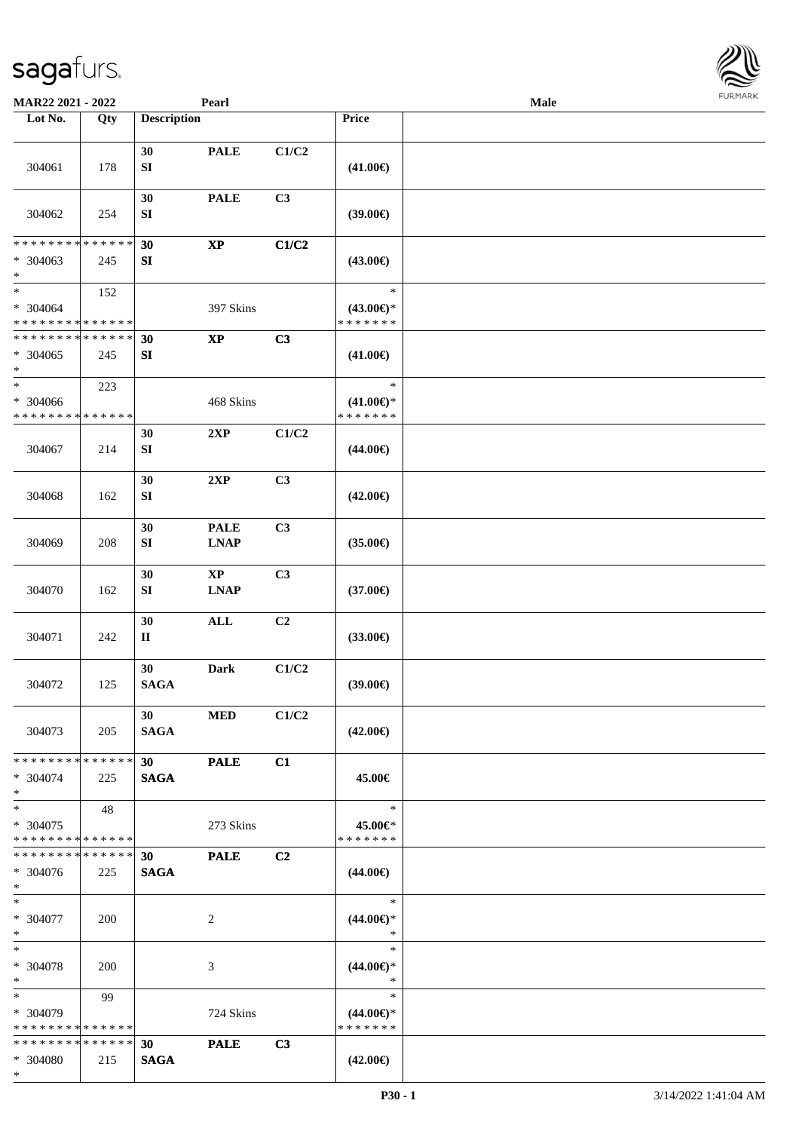

| MAR22 2021 - 2022           |     |                                | Pearl                  |                           |                                      | Male |  |
|-----------------------------|-----|--------------------------------|------------------------|---------------------------|--------------------------------------|------|--|
| Lot No.                     | Qty | <b>Description</b>             |                        |                           | Price                                |      |  |
| 304061                      | 178 | 30<br>${\bf S}{\bf I}$         | <b>PALE</b>            | C1/C2                     | $(41.00\epsilon)$                    |      |  |
| 304062                      | 254 | 30<br>SI                       | <b>PALE</b>            | C3                        | (39.00)                              |      |  |
| * * * * * * * * * * * * * * |     | 30                             | $\bold{XP}$            | C1/C2                     |                                      |      |  |
| $* 304063$<br>$\ast$        | 245 | ${\bf S}{\bf I}$               |                        |                           | $(43.00\epsilon)$                    |      |  |
| $\overline{\phantom{a}^*}$  | 152 |                                |                        |                           | $\ast$                               |      |  |
| $* 304064$                  |     |                                | 397 Skins              |                           | $(43.00\epsilon)$ *                  |      |  |
| * * * * * * * * * * * * * * |     |                                |                        |                           | * * * * * * *                        |      |  |
| * * * * * * * * * * * * * * |     | 30                             | $\mathbf{X}\mathbf{P}$ | C3                        |                                      |      |  |
| $* 304065$<br>$\ast$        | 245 | SI                             |                        |                           | $(41.00\epsilon)$                    |      |  |
| $\ast$                      | 223 |                                |                        |                           | $\ast$                               |      |  |
| * 304066                    |     |                                | 468 Skins              |                           | $(41.00\epsilon)$ *<br>* * * * * * * |      |  |
| * * * * * * * * * * * * * * |     |                                |                        |                           |                                      |      |  |
| 304067                      | 214 | 30<br>${\bf S}{\bf I}$         | 2XP                    | C1/C2                     | $(44.00\epsilon)$                    |      |  |
|                             |     | 30                             | 2XP                    | C3                        |                                      |      |  |
| 304068                      | 162 | SI                             |                        |                           | $(42.00\epsilon)$                    |      |  |
|                             |     | 30                             | <b>PALE</b>            | C3                        |                                      |      |  |
| 304069                      | 208 | SI                             | <b>LNAP</b>            |                           | $(35.00\epsilon)$                    |      |  |
|                             |     | 30                             | $\bold{XP}$            | C3                        |                                      |      |  |
| 304070                      | 162 | ${\bf S}{\bf I}$               | <b>LNAP</b>            |                           | $(37.00\epsilon)$                    |      |  |
|                             |     | 30                             | $\mathbf{ALL}$         | C <sub>2</sub>            |                                      |      |  |
| 304071                      | 242 | П                              |                        |                           | $(33.00\epsilon)$                    |      |  |
| 304072                      | 125 | 30<br><b>SAGA</b>              | <b>Dark</b>            | $\mathbf{C1}/\mathbf{C2}$ | (39.00)                              |      |  |
| 304073                      | 205 | 30 <sup>°</sup><br><b>SAGA</b> | <b>MED</b>             | C1/C2                     | $(42.00\epsilon)$                    |      |  |
| * * * * * * * * * * * * * * |     | 30                             | <b>PALE</b>            | C1                        |                                      |      |  |
| $* 304074$<br>$*$           | 225 | <b>SAGA</b>                    |                        |                           | 45.00€                               |      |  |
| $\ast$                      | 48  |                                |                        |                           | $\ast$                               |      |  |
| $* 304075$                  |     |                                | 273 Skins              |                           | 45.00€*                              |      |  |
| * * * * * * * * * * * * * * |     |                                |                        |                           | * * * * * * *                        |      |  |
| * * * * * * * * * * * * * * |     | 30 <sub>o</sub>                | <b>PALE</b>            | C2                        |                                      |      |  |
| * 304076                    | 225 | <b>SAGA</b>                    |                        |                           | $(44.00\epsilon)$                    |      |  |
| $*$                         |     |                                |                        |                           |                                      |      |  |
| $\ast$                      |     |                                |                        |                           | $\ast$                               |      |  |
| * 304077                    | 200 |                                | $\overline{2}$         |                           | $(44.00\epsilon)$ *                  |      |  |
| $*$                         |     |                                |                        |                           | $\ast$                               |      |  |
| $\ast$                      |     |                                |                        |                           | $\ast$                               |      |  |
| * 304078<br>$\ast$          | 200 |                                | $\mathfrak{Z}$         |                           | $(44.00\epsilon)$ *<br>$\ast$        |      |  |
| $\ast$                      | 99  |                                |                        |                           | $\ast$                               |      |  |
| * 304079                    |     |                                | 724 Skins              |                           | $(44.00\epsilon)$ *                  |      |  |
| * * * * * * * * * * * * * * |     |                                |                        |                           | * * * * * * *                        |      |  |
| * * * * * * * * * * * * * * |     | 30                             | <b>PALE</b>            | C3                        |                                      |      |  |
| * 304080                    | 215 | <b>SAGA</b>                    |                        |                           | $(42.00\epsilon)$                    |      |  |
| $*$                         |     |                                |                        |                           |                                      |      |  |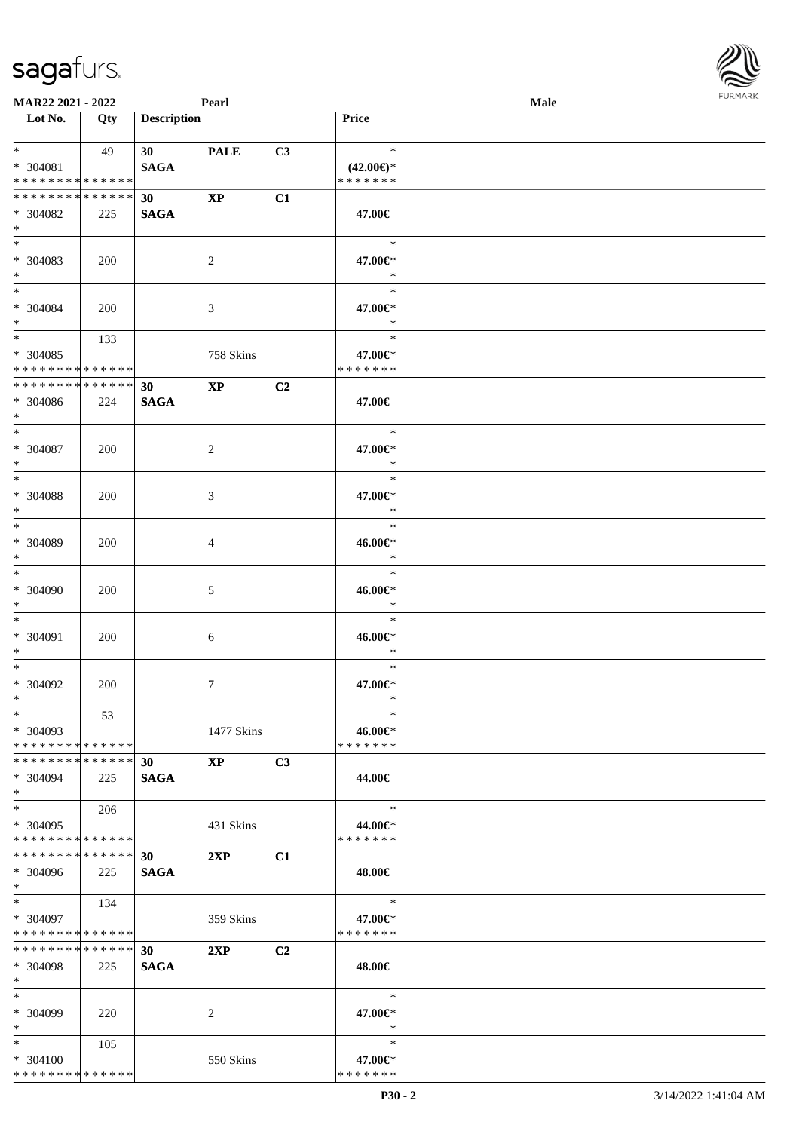| MAR22 2021 - 2022                                  |     |                                | Pearl                  |                |                                                | <b>Male</b> |  |
|----------------------------------------------------|-----|--------------------------------|------------------------|----------------|------------------------------------------------|-------------|--|
| $\overline{\phantom{a}}$ Lot No.                   | Qty | <b>Description</b>             |                        |                | Price                                          |             |  |
| $*$ $*$<br>* 304081<br>* * * * * * * * * * * * * * | 49  | 30<br><b>SAGA</b>              | <b>PALE</b>            | C3             | $\ast$<br>$(42.00\epsilon)$ *<br>* * * * * * * |             |  |
| * * * * * * * * * * * * * *<br>* 304082<br>$*$     | 225 | 30<br><b>SAGA</b>              | $\mathbf{XP}$          | C1             | 47.00€                                         |             |  |
| * 304083<br>$*$                                    | 200 |                                | $\overline{2}$         |                | $\ast$<br>47.00€*<br>$\ast$                    |             |  |
| $*$<br>$* 304084$<br>$*$                           | 200 |                                | 3                      |                | $\ast$<br>47.00€*<br>$\ast$                    |             |  |
| $*$<br>* 304085<br>* * * * * * * * * * * * * *     | 133 |                                | 758 Skins              |                | $\ast$<br>47.00€*<br>* * * * * * *             |             |  |
| * * * * * * * * * * * * * *<br>$* 304086$<br>$*$   | 224 | 30<br><b>SAGA</b>              | $\mathbf{X}\mathbf{P}$ | C2             | 47.00€                                         |             |  |
| $*$<br>$* 304087$<br>$*$                           | 200 |                                | 2                      |                | $\ast$<br>47.00€*<br>$\ast$                    |             |  |
| $*$<br>$* 304088$<br>$*$                           | 200 |                                | 3                      |                | $\ast$<br>47.00€*<br>$\ast$                    |             |  |
| $*$<br>$* 304089$<br>$*$                           | 200 |                                | 4                      |                | $\ast$<br>46.00€*<br>$\ast$                    |             |  |
| $*$<br>$* 304090$<br>$*$                           | 200 |                                | 5                      |                | $\ast$<br>46.00€*<br>$\ast$                    |             |  |
| $*$<br>$* 304091$<br>$*$                           | 200 |                                | $6\phantom{.}6$        |                | $\ast$<br>46.00€*<br>$\ast$                    |             |  |
| $*$<br>$* 304092$<br>$*$                           | 200 |                                | $\boldsymbol{7}$       |                | $\ast$<br>47.00€*<br>$\ast$                    |             |  |
| $*$<br>* 304093<br>* * * * * * * * * * * * * *     | 53  |                                | 1477 Skins             |                | $\ast$<br>46.00€*<br>* * * * * * *             |             |  |
| * * * * * * * * * * * * * * *<br>* 304094<br>$*$   | 225 | 30<br><b>SAGA</b>              | <b>XP</b>              | C3             | 44.00€                                         |             |  |
| $*$<br>* 304095<br>* * * * * * * * * * * * * *     | 206 |                                | 431 Skins              |                | $\ast$<br>44.00€*<br>* * * * * * *             |             |  |
| * * * * * * * * * * * * * * *<br>* 304096<br>$*$   | 225 | <b>30</b><br><b>SAGA</b>       | 2XP                    | C1             | 48.00€                                         |             |  |
| $*$ $-$<br>* 304097<br>* * * * * * * * * * * * * * | 134 |                                | 359 Skins              |                | $\ast$<br>47.00€*<br>* * * * * * *             |             |  |
| * * * * * * * * * * * * * *<br>* 304098<br>$*$     | 225 | 30 <sup>1</sup><br><b>SAGA</b> | 2XP                    | C <sub>2</sub> | 48.00€                                         |             |  |
| $*$<br>* 304099<br>$*$                             | 220 |                                | 2                      |                | $\ast$<br>47.00€*<br>$\ast$                    |             |  |
| $*$<br>* 304100<br>* * * * * * * * * * * * * *     | 105 |                                | 550 Skins              |                | $\ast$<br>47.00€*<br>* * * * * * *             |             |  |

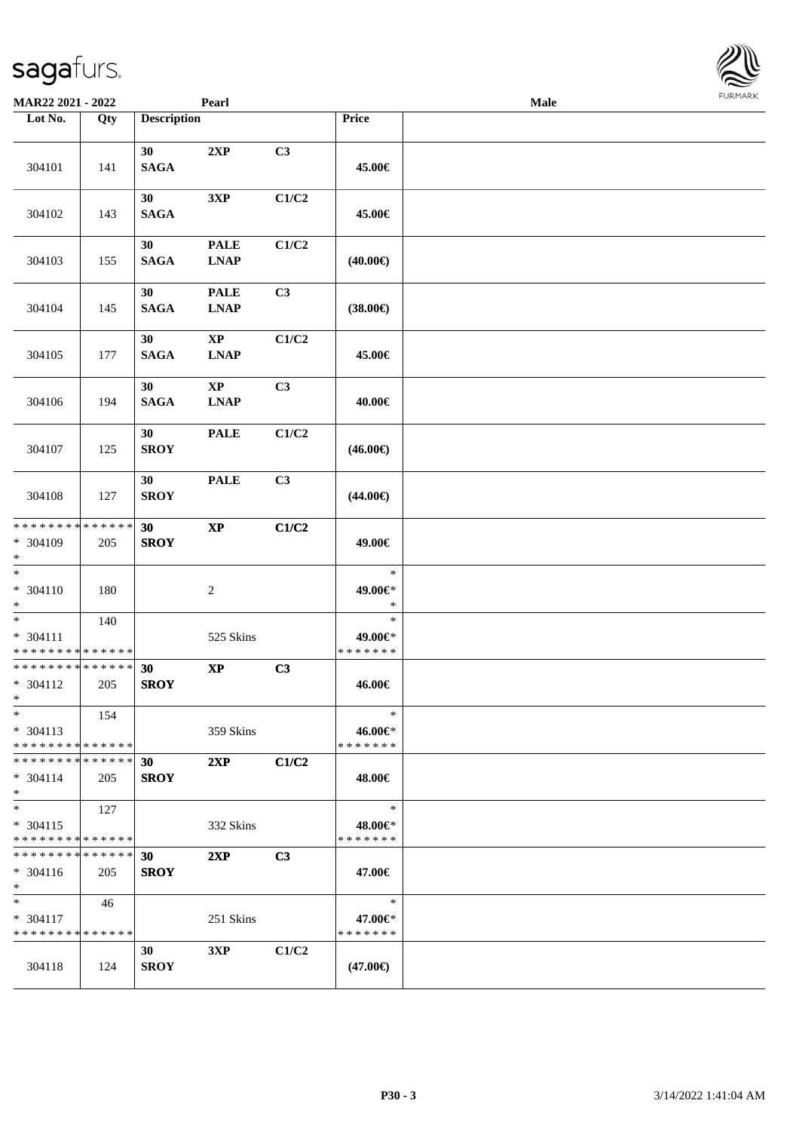| <b>MAR22 2021 - 2022</b>                                               |                    |                                | Pearl                                 |                |                                    | <b>Male</b> |  |
|------------------------------------------------------------------------|--------------------|--------------------------------|---------------------------------------|----------------|------------------------------------|-------------|--|
| Lot No.                                                                | Qty                | <b>Description</b>             |                                       |                | Price                              |             |  |
| 304101                                                                 | 141                | 30<br><b>SAGA</b>              | 2XP                                   | C3             | 45.00€                             |             |  |
| 304102                                                                 | 143                | 30<br><b>SAGA</b>              | 3XP                                   | C1/C2          | 45.00€                             |             |  |
| 304103                                                                 | 155                | 30<br><b>SAGA</b>              | <b>PALE</b><br><b>LNAP</b>            | C1/C2          | $(40.00\epsilon)$                  |             |  |
| 304104                                                                 | 145                | 30<br><b>SAGA</b>              | <b>PALE</b><br><b>LNAP</b>            | C3             | $(38.00\epsilon)$                  |             |  |
| 304105                                                                 | 177                | 30<br><b>SAGA</b>              | $\mathbf{X}\mathbf{P}$<br><b>LNAP</b> | C1/C2          | 45.00€                             |             |  |
| 304106                                                                 | 194                | 30<br><b>SAGA</b>              | $\mathbf{XP}$<br><b>LNAP</b>          | C3             | 40.00€                             |             |  |
| 304107                                                                 | 125                | 30<br><b>SROY</b>              | <b>PALE</b>                           | C1/C2          | $(46.00\epsilon)$                  |             |  |
| 304108                                                                 | 127                | 30<br><b>SROY</b>              | <b>PALE</b>                           | C3             | $(44.00\epsilon)$                  |             |  |
| * * * * * * * *<br>* 304109<br>$\ast$                                  | * * * * * *<br>205 | 30<br><b>SROY</b>              | $\bold{X}\bold{P}$                    | C1/C2          | 49.00€                             |             |  |
| $\overline{\ast}$<br>$* 304110$<br>$*$                                 | 180                |                                | 2                                     |                | $\ast$<br>49.00€*<br>$\ast$        |             |  |
| $\ast$<br>$* 304111$<br>* * * * * * * * <mark>* * * * * * *</mark>     | 140                |                                | 525 Skins                             |                | $\ast$<br>49.00€*<br>* * * * * * * |             |  |
| * * * * * * * * * * * * * *<br>* 304112<br>$\ast$                      | 205                | 30<br><b>SROY</b>              | $\bold{XP}$                           | C3             | 46.00€                             |             |  |
| $\ast$<br>$* 304113$<br>* * * * * * * * <mark>* * * * * * *</mark>     | 154                |                                | 359 Skins                             |                | $\ast$<br>46.00€*<br>* * * * * * * |             |  |
| * * * * * * * * * * * * * * <mark>*</mark><br>$* 304114$<br>$\ast$     | 205                | 30<br><b>SROY</b>              | 2XP                                   | C1/C2          | 48.00€                             |             |  |
| $\ddot{x}$<br>$* 304115$<br>* * * * * * * * <mark>* * * * * * *</mark> | 127                |                                | 332 Skins                             |                | $\ast$<br>48.00€*<br>* * * * * * * |             |  |
| * * * * * * * * <mark>* * * * * *</mark> *<br>$* 304116$<br>$*$        | 205                | 30<br><b>SROY</b>              | 2XP                                   | C <sub>3</sub> | 47.00€                             |             |  |
| $*$ $-$<br>$* 304117$<br>* * * * * * * * * * * * * * *                 | 46                 |                                | 251 Skins                             |                | $\ast$<br>47.00€*<br>* * * * * * * |             |  |
| 304118                                                                 | 124                | 30 <sup>1</sup><br><b>SROY</b> | 3XP                                   | C1/C2          | $(47.00\epsilon)$                  |             |  |

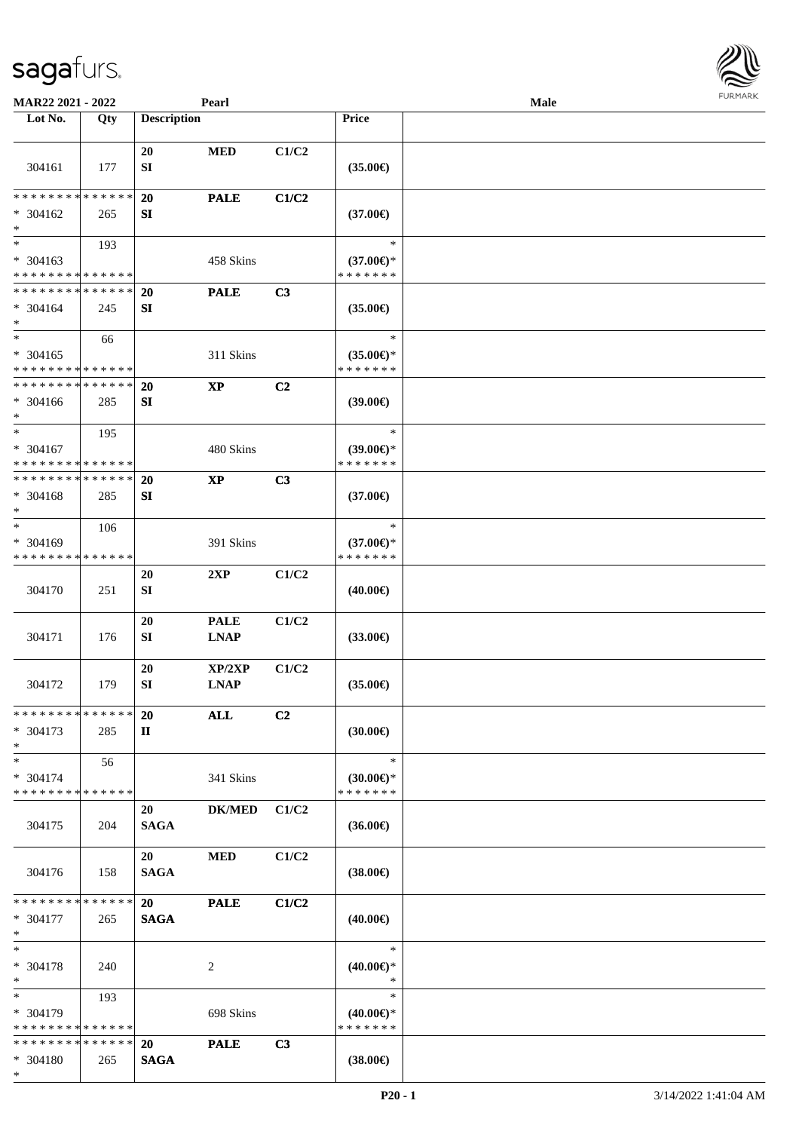**Lot No. Qty Description** 

|                                         |     | 20                     | <b>MED</b>             | C1/C2          |                                      |  |
|-----------------------------------------|-----|------------------------|------------------------|----------------|--------------------------------------|--|
| 304161                                  | 177 | SI                     |                        |                | $(35.00\epsilon)$                    |  |
|                                         |     |                        |                        |                |                                      |  |
| ******** <mark>******</mark>            |     | 20                     | <b>PALE</b>            | C1/C2          |                                      |  |
| $* 304162$<br>$\ast$                    | 265 | SI                     |                        |                | $(37.00\epsilon)$                    |  |
| $\ast$                                  |     |                        |                        |                | $\ast$                               |  |
| $* 304163$                              | 193 |                        | 458 Skins              |                | $(37.00€)$ *                         |  |
| * * * * * * * * * * * * * *             |     |                        |                        |                | * * * * * * *                        |  |
| * * * * * * * * * * * * * *             |     | <b>20</b>              | <b>PALE</b>            | C3             |                                      |  |
| $* 304164$                              | 245 | SI                     |                        |                | $(35.00\epsilon)$                    |  |
| $\ast$                                  |     |                        |                        |                |                                      |  |
| $\overline{\phantom{1}}$                | 66  |                        |                        |                | $\ast$                               |  |
| $* 304165$                              |     |                        | 311 Skins              |                | $(35.00\epsilon)$ *                  |  |
| * * * * * * * * * * * * * *             |     |                        |                        |                | * * * * * * *                        |  |
| * * * * * * * * * * * * * *             |     | 20                     | <b>XP</b>              | C2             |                                      |  |
| $* 304166$                              | 285 | SI                     |                        |                | $(39.00\epsilon)$                    |  |
| $\ast$<br>$\ast$                        |     |                        |                        |                | $\ast$                               |  |
| * 304167                                | 195 |                        | 480 Skins              |                | $(39.00\epsilon)$ *                  |  |
| * * * * * * * * * * * * * *             |     |                        |                        |                | * * * * * * *                        |  |
| * * * * * * * * * * * * * *             |     | 20                     | $\mathbf{X}\mathbf{P}$ | C3             |                                      |  |
| $* 304168$                              | 285 | SI                     |                        |                | $(37.00\epsilon)$                    |  |
| $\ast$                                  |     |                        |                        |                |                                      |  |
| $\ast$                                  | 106 |                        |                        |                | $\ast$                               |  |
| $* 304169$                              |     |                        | 391 Skins              |                | $(37.00\epsilon)$ *                  |  |
| * * * * * * * * * * * * * *             |     |                        |                        |                | * * * * * * *                        |  |
|                                         |     | 20                     | 2XP                    | C1/C2          |                                      |  |
| 304170                                  | 251 | SI                     |                        |                | $(40.00\epsilon)$                    |  |
|                                         |     |                        |                        |                |                                      |  |
|                                         |     | 20                     | <b>PALE</b>            | C1/C2          |                                      |  |
| 304171                                  | 176 | SI                     | <b>LNAP</b>            |                | $(33.00\epsilon)$                    |  |
|                                         |     | 20                     | XP/2XP                 | C1/C2          |                                      |  |
| 304172                                  | 179 | SI                     | <b>LNAP</b>            |                | $(35.00\epsilon)$                    |  |
|                                         |     |                        |                        |                |                                      |  |
| **************                          |     | <b>20</b>              | <b>ALL</b>             | C <sub>2</sub> |                                      |  |
| * 304173                                | 285 | $\mathbf{I}\mathbf{I}$ |                        |                | $(30.00\epsilon)$                    |  |
| $\ast$                                  |     |                        |                        |                |                                      |  |
| $\ast$                                  | 56  |                        |                        |                | $\ast$                               |  |
| $* 304174$                              |     |                        | 341 Skins              |                | $(30.00 \in )$ *                     |  |
| * * * * * * * * * * * * * *             |     |                        |                        |                | * * * * * * *                        |  |
| 304175                                  |     | 20                     | <b>DK/MED</b>          | C1/C2          |                                      |  |
|                                         | 204 | <b>SAGA</b>            |                        |                | $(36.00\epsilon)$                    |  |
|                                         |     | 20                     | $\bf MED$              | C1/C2          |                                      |  |
| 304176                                  | 158 | <b>SAGA</b>            |                        |                | $(38.00\epsilon)$                    |  |
|                                         |     |                        |                        |                |                                      |  |
| * * * * * * * * * * * * * *             |     | 20                     | <b>PALE</b>            | C1/C2          |                                      |  |
| * 304177                                | 265 | <b>SAGA</b>            |                        |                | $(40.00\epsilon)$                    |  |
| $\ast$                                  |     |                        |                        |                |                                      |  |
| $\ast$                                  |     |                        |                        |                | $\ast$                               |  |
| * 304178                                | 240 |                        | $\sqrt{2}$             |                | $(40.00\epsilon)$ *                  |  |
| $\ast$                                  |     |                        |                        |                | $\ast$                               |  |
| $\ast$                                  | 193 |                        |                        |                | $\ast$                               |  |
| * 304179<br>* * * * * * * * * * * * * * |     |                        | 698 Skins              |                | $(40.00\epsilon)$ *<br>* * * * * * * |  |
| **************                          |     | 20                     | <b>PALE</b>            | C3             |                                      |  |
| * 304180                                | 265 | <b>SAGA</b>            |                        |                | $(38.00\epsilon)$                    |  |
| $*$                                     |     |                        |                        |                |                                      |  |

 $\top$ 

**MAR22 2021 - 2022 Pearl Male**<br> **Description Price Perform Price Price Price Price Price Price Price Price Price Price Price Price Price Price Price Price Price Price Price P** 

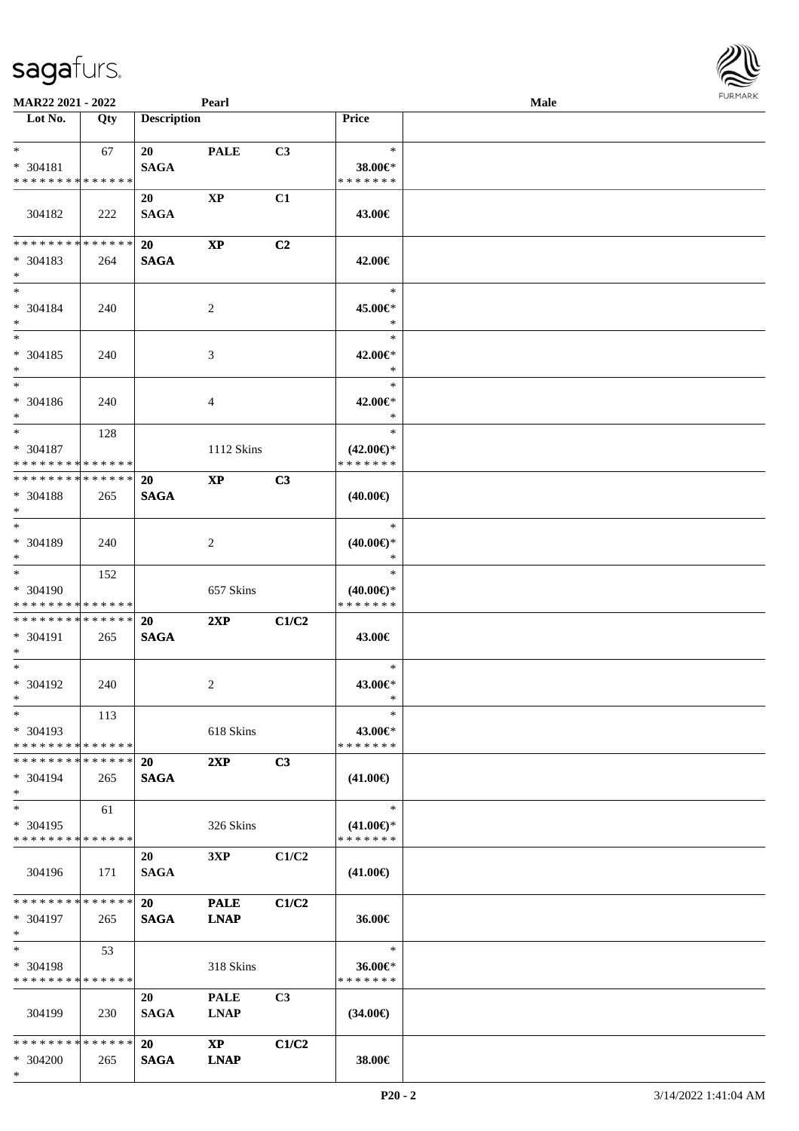| <b>MAR22 2021 - 2022</b>                                 |     |                          | Pearl                                 |                |                                                | Male |  |
|----------------------------------------------------------|-----|--------------------------|---------------------------------------|----------------|------------------------------------------------|------|--|
| Lot No.                                                  | Qty | <b>Description</b>       |                                       |                | <b>Price</b>                                   |      |  |
| $*$ $*$<br>* 304181<br>* * * * * * * * * * * * * *       | 67  | 20<br><b>SAGA</b>        | <b>PALE</b>                           | C3             | $\ast$<br>38.00€*<br>* * * * * * *             |      |  |
| 304182                                                   | 222 | 20<br><b>SAGA</b>        | $\bold{XP}$                           | C1             | 43.00€                                         |      |  |
| ******** <mark>******</mark><br>* 304183<br>$*$          | 264 | <b>20</b><br><b>SAGA</b> | <b>XP</b>                             | C <sub>2</sub> | 42.00€                                         |      |  |
| $*$<br>* 304184<br>$*$                                   | 240 |                          | 2                                     |                | $\ast$<br>45.00€*<br>$\ast$                    |      |  |
| $*$<br>* 304185<br>$\ast$                                | 240 |                          | 3                                     |                | $\ast$<br>42.00€*<br>$\ast$                    |      |  |
| $*$<br>* 304186<br>$*$                                   | 240 |                          | $\overline{4}$                        |                | $\ast$<br>42.00€*<br>$\ast$                    |      |  |
| $*$ $-$<br>* 304187<br>* * * * * * * * * * * * * * *     | 128 |                          | 1112 Skins                            |                | $\ast$<br>$(42.00\epsilon)$ *<br>* * * * * * * |      |  |
| * * * * * * * * * * * * * * *<br>$* 304188$<br>$*$       | 265 | <b>20</b><br><b>SAGA</b> | $\bold{X}\bold{P}$                    | C3             | $(40.00\epsilon)$                              |      |  |
| $*$<br>* 304189<br>$*$                                   | 240 |                          | 2                                     |                | $\ast$<br>$(40.00\epsilon)$ *<br>$\ast$        |      |  |
| $*$<br>* 304190<br>* * * * * * * * * * * * * *           | 152 |                          | 657 Skins                             |                | $\ast$<br>$(40.00\epsilon)$ *<br>* * * * * * * |      |  |
| * * * * * * * * * * * * * * *<br>* 304191<br>$*$         | 265 | 20<br><b>SAGA</b>        | 2XP                                   | C1/C2          | 43.00€                                         |      |  |
| $*$<br>* 304192<br>$*$ $*$                               | 240 |                          | 2                                     |                | $\ast$<br>43.00€*<br>$\ast$                    |      |  |
| $*$<br>$* 304193$<br>* * * * * * * * * * * * * * *       | 113 |                          | 618 Skins                             |                | $\ast$<br>43.00€*<br>* * * * * * *             |      |  |
| * * * * * * * * * * * * * * *<br>* 304194<br>$*$         | 265 | 20<br><b>SAGA</b>        | 2XP                                   | C3             | $(41.00\epsilon)$                              |      |  |
| $*$<br>* 304195<br>* * * * * * * * * * * * * * *         | 61  |                          | 326 Skins                             |                | $\ast$<br>$(41.00\epsilon)$ *<br>* * * * * * * |      |  |
| 304196                                                   | 171 | 20<br><b>SAGA</b>        | 3XP                                   | C1/C2          | $(41.00\epsilon)$                              |      |  |
| * * * * * * * * * * * * * * *<br>* 304197<br>$*$ $*$     | 265 | 20<br><b>SAGA</b>        | <b>PALE</b><br><b>LNAP</b>            | C1/C2          | 36.00€                                         |      |  |
| $*$ and $*$<br>* 304198<br>* * * * * * * * * * * * * * * | 53  |                          | 318 Skins                             |                | $\ast$<br>36.00€*<br>* * * * * * *             |      |  |
| 304199                                                   | 230 | 20<br><b>SAGA</b>        | <b>PALE</b><br><b>LNAP</b>            | C3             | $(34.00\epsilon)$                              |      |  |
| * * * * * * * * * * * * * * *<br>* 304200<br>$*$         | 265 | 20<br><b>SAGA</b>        | $\mathbf{X}\mathbf{P}$<br><b>LNAP</b> | C1/C2          | 38.00€                                         |      |  |

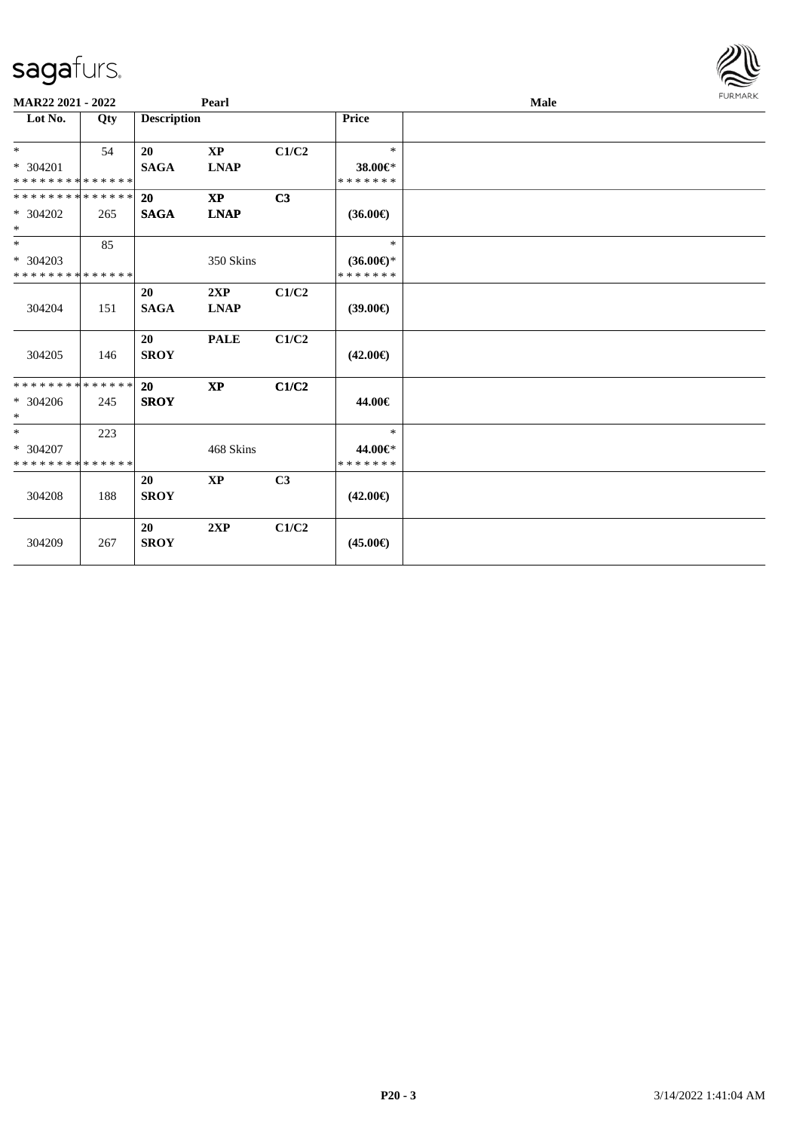| MAR22 2021 - 2022                       |     | Pearl                    |                         |                | Male                                 |  |  |  |  |
|-----------------------------------------|-----|--------------------------|-------------------------|----------------|--------------------------------------|--|--|--|--|
| Lot No.                                 | Qty | <b>Description</b>       |                         |                | <b>Price</b>                         |  |  |  |  |
| $*$                                     | 54  | 20                       | $\mathbf{X} \mathbf{P}$ | C1/C2          | $\ast$                               |  |  |  |  |
| * 304201<br>* * * * * * * * * * * * * * |     | <b>SAGA</b>              | <b>LNAP</b>             |                | 38.00€*<br>* * * * * * *             |  |  |  |  |
| * * * * * * * * * * * * * * *           |     | <b>20</b>                | <b>XP</b>               | C3             |                                      |  |  |  |  |
| * 304202<br>$*$                         | 265 | <b>SAGA</b>              | <b>LNAP</b>             |                | $(36.00\epsilon)$                    |  |  |  |  |
| $*$                                     | 85  |                          |                         |                | $\ast$                               |  |  |  |  |
| * 304203<br>* * * * * * * * * * * * * * |     |                          | 350 Skins               |                | $(36.00\epsilon)$ *<br>* * * * * * * |  |  |  |  |
|                                         |     | 20                       | 2XP                     | C1/C2          |                                      |  |  |  |  |
| 304204                                  | 151 | <b>SAGA</b>              | <b>LNAP</b>             |                | $(39.00\epsilon)$                    |  |  |  |  |
|                                         |     | 20                       | <b>PALE</b>             | C1/C2          |                                      |  |  |  |  |
| 304205                                  | 146 | <b>SROY</b>              |                         |                | $(42.00\epsilon)$                    |  |  |  |  |
| * * * * * * * * * * * * * *             |     | 20                       | <b>XP</b>               | C1/C2          |                                      |  |  |  |  |
| $* 304206$<br>$*$                       | 245 | <b>SROY</b>              |                         |                | 44.00€                               |  |  |  |  |
| $*$                                     | 223 |                          |                         |                | $\ast$                               |  |  |  |  |
| * 304207<br>* * * * * * * * * * * * * * |     |                          | 468 Skins               |                | 44.00€*<br>* * * * * * *             |  |  |  |  |
| 304208                                  | 188 | <b>20</b><br><b>SROY</b> | <b>XP</b>               | C <sub>3</sub> | $(42.00\epsilon)$                    |  |  |  |  |
| 304209                                  | 267 | 20<br><b>SROY</b>        | 2XP                     | C1/C2          | $(45.00\epsilon)$                    |  |  |  |  |

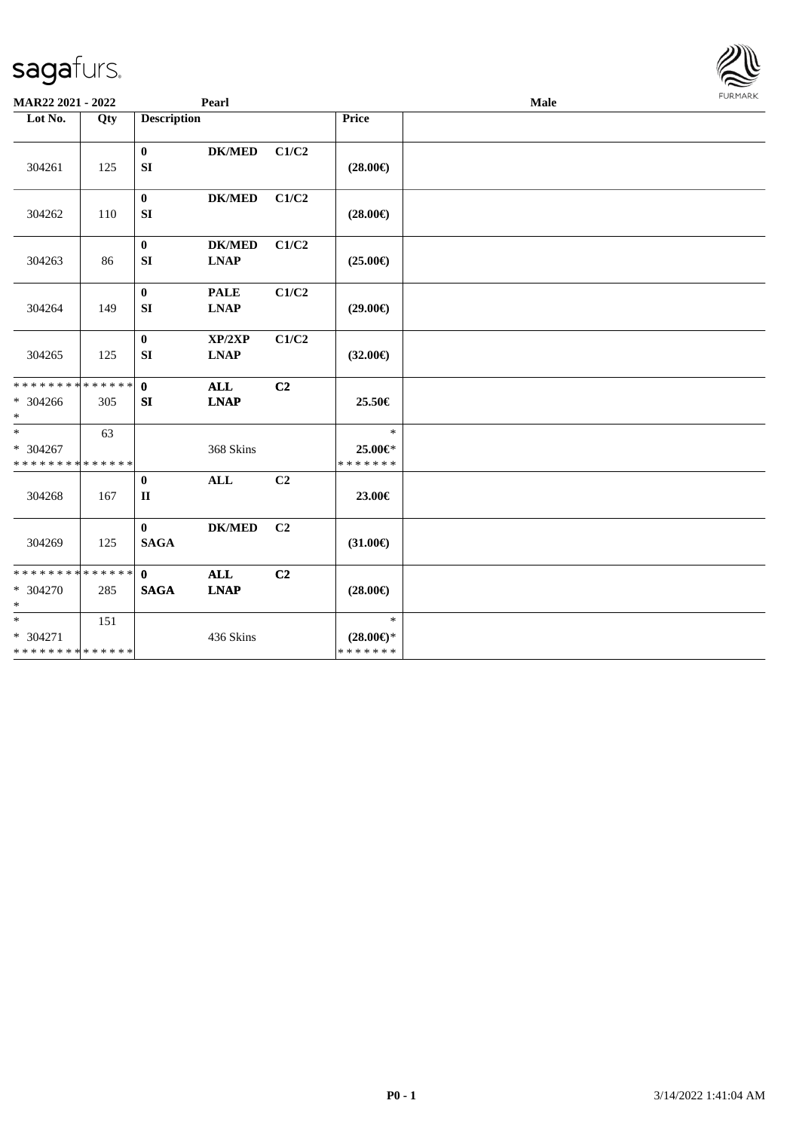| MAR22 2021 - 2022                                    |     |                             | Pearl                        |                |                                          | <b>FUNITANN</b> |  |
|------------------------------------------------------|-----|-----------------------------|------------------------------|----------------|------------------------------------------|-----------------|--|
| Lot No.                                              | Qty | <b>Description</b>          |                              |                | Price                                    |                 |  |
| 304261                                               | 125 | $\bf{0}$<br>SI              | <b>DK/MED</b>                | C1/C2          | $(28.00\epsilon)$                        |                 |  |
| 304262                                               | 110 | $\bf{0}$<br>SI              | <b>DK/MED</b>                | C1/C2          | $(28.00\epsilon)$                        |                 |  |
| 304263                                               | 86  | $\bf{0}$<br>SI              | <b>DK/MED</b><br><b>LNAP</b> | C1/C2          | $(25.00\epsilon)$                        |                 |  |
| 304264                                               | 149 | $\bf{0}$<br>SI              | <b>PALE</b><br><b>LNAP</b>   | C1/C2          | $(29.00\epsilon)$                        |                 |  |
| 304265                                               | 125 | $\mathbf{0}$<br>SI          | XP/2XP<br><b>LNAP</b>        | C1/C2          | $(32.00\epsilon)$                        |                 |  |
| ******** <mark>******</mark><br>* 304266<br>$*$      | 305 | $\mathbf{0}$<br>SI          | <b>ALL</b><br><b>LNAP</b>    | C <sub>2</sub> | 25.50€                                   |                 |  |
| $*$<br>$* 304267$<br>* * * * * * * * * * * * * *     | 63  |                             | 368 Skins                    |                | $\ast$<br>25.00€*<br>* * * * * * *       |                 |  |
| 304268                                               | 167 | $\bf{0}$<br>$\mathbf{I}$    | <b>ALL</b>                   | C <sub>2</sub> | 23.00€                                   |                 |  |
| 304269                                               | 125 | $\mathbf{0}$<br><b>SAGA</b> | <b>DK/MED</b>                | C2             | $(31.00\epsilon)$                        |                 |  |
| ******** <mark>******</mark><br>$* 304270$<br>$\ast$ | 285 | $\mathbf{0}$<br><b>SAGA</b> | <b>ALL</b><br><b>LNAP</b>    | C2             | $(28.00\epsilon)$                        |                 |  |
| $*$<br>$* 304271$<br>******** <mark>******</mark>    | 151 |                             | 436 Skins                    |                | $\ast$<br>$(28.00\epsilon)$ *<br>******* |                 |  |

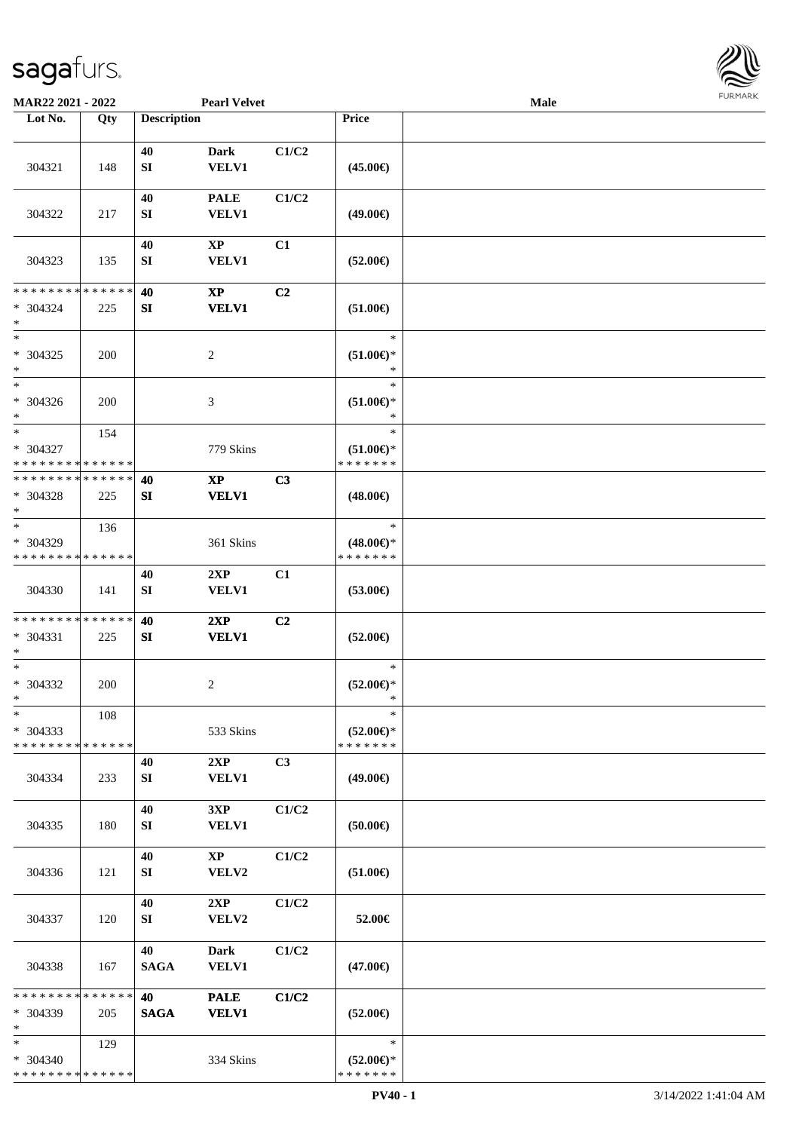

| MAR22 2021 - 2022                                   |     |                        | <b>Pearl Velvet</b>                    |       |                                                | Male |  |
|-----------------------------------------------------|-----|------------------------|----------------------------------------|-------|------------------------------------------------|------|--|
| Lot No.                                             | Qty | <b>Description</b>     |                                        |       | Price                                          |      |  |
| 304321                                              | 148 | 40<br>${\bf SI}$       | <b>Dark</b><br><b>VELV1</b>            | C1/C2 | $(45.00\epsilon)$                              |      |  |
| 304322                                              | 217 | 40<br>SI               | <b>PALE</b><br><b>VELV1</b>            | C1/C2 | $(49.00\epsilon)$                              |      |  |
| 304323                                              | 135 | 40<br>${\bf S}{\bf I}$ | XP<br><b>VELV1</b>                     | C1    | $(52.00\epsilon)$                              |      |  |
| * * * * * * * * * * * * * *<br>$* 304324$<br>$\ast$ | 225 | 40<br>SI               | $\bold{X}\bold{P}$<br><b>VELV1</b>     | C2    | $(51.00\epsilon)$                              |      |  |
| $\ast$<br>$* 304325$<br>$\ast$                      | 200 |                        | $\sqrt{2}$                             |       | $\ast$<br>$(51.00\epsilon)$ *<br>$\ast$        |      |  |
| $\ast$<br>$* 304326$<br>$\ast$                      | 200 |                        | 3                                      |       | $\ast$<br>$(51.00\epsilon)$ *<br>$\ast$        |      |  |
| $\ast$<br>$* 304327$<br>* * * * * * * * * * * * * * | 154 |                        | 779 Skins                              |       | $\ast$<br>$(51.00\epsilon)$ *<br>* * * * * * * |      |  |
| * * * * * * * * * * * * * *<br>$* 304328$<br>$\ast$ | 225 | 40<br>SI               | $\mathbf{X}\mathbf{P}$<br><b>VELV1</b> | C3    | $(48.00\epsilon)$                              |      |  |
| $\ast$<br>* 304329<br>* * * * * * * * * * * * * *   | 136 |                        | 361 Skins                              |       | $\ast$<br>$(48.00\epsilon)$ *<br>* * * * * * * |      |  |
| 304330                                              | 141 | 40<br>SI               | 2XP<br><b>VELV1</b>                    | C1    | $(53.00\epsilon)$                              |      |  |
| * * * * * * * * * * * * * *<br>* 304331<br>$\ast$   | 225 | 40<br>SI               | 2XP<br><b>VELV1</b>                    | C2    | $(52.00\epsilon)$                              |      |  |
| $\ast$<br>* 304332<br>$*$                           | 200 |                        | $\overline{c}$                         |       | $\ast$<br>$(52.00\epsilon)$ *<br>$\ast$        |      |  |
| $\ast$<br>$* 304333$<br>* * * * * * * * * * * * * * | 108 |                        | 533 Skins                              |       | $\ast$<br>$(52.00\epsilon)$ *<br>* * * * * * * |      |  |
| 304334                                              | 233 | 40<br>SI               | 2XP<br><b>VELV1</b>                    | C3    | $(49.00\epsilon)$                              |      |  |
| 304335                                              | 180 | 40<br>SI               | 3XP<br><b>VELV1</b>                    | C1/C2 | (50.00)                                        |      |  |
| 304336                                              | 121 | 40<br>SI               | $\mathbf{X}\mathbf{P}$<br>VELV2        | C1/C2 | $(51.00\epsilon)$                              |      |  |
| 304337                                              | 120 | 40<br>SI               | 2XP<br>VELV2                           | C1/C2 | 52.00€                                         |      |  |
| 304338                                              | 167 | 40<br><b>SAGA</b>      | <b>Dark</b><br><b>VELV1</b>            | C1/C2 | $(47.00\epsilon)$                              |      |  |
| * * * * * * * * * * * * * *<br>* 304339<br>$\ast$   | 205 | 40<br><b>SAGA</b>      | <b>PALE</b><br><b>VELV1</b>            | C1/C2 | $(52.00\epsilon)$                              |      |  |
| $*$<br>* 304340<br>* * * * * * * * * * * * * *      | 129 |                        | 334 Skins                              |       | $\ast$<br>$(52.00\epsilon)$ *<br>* * * * * * * |      |  |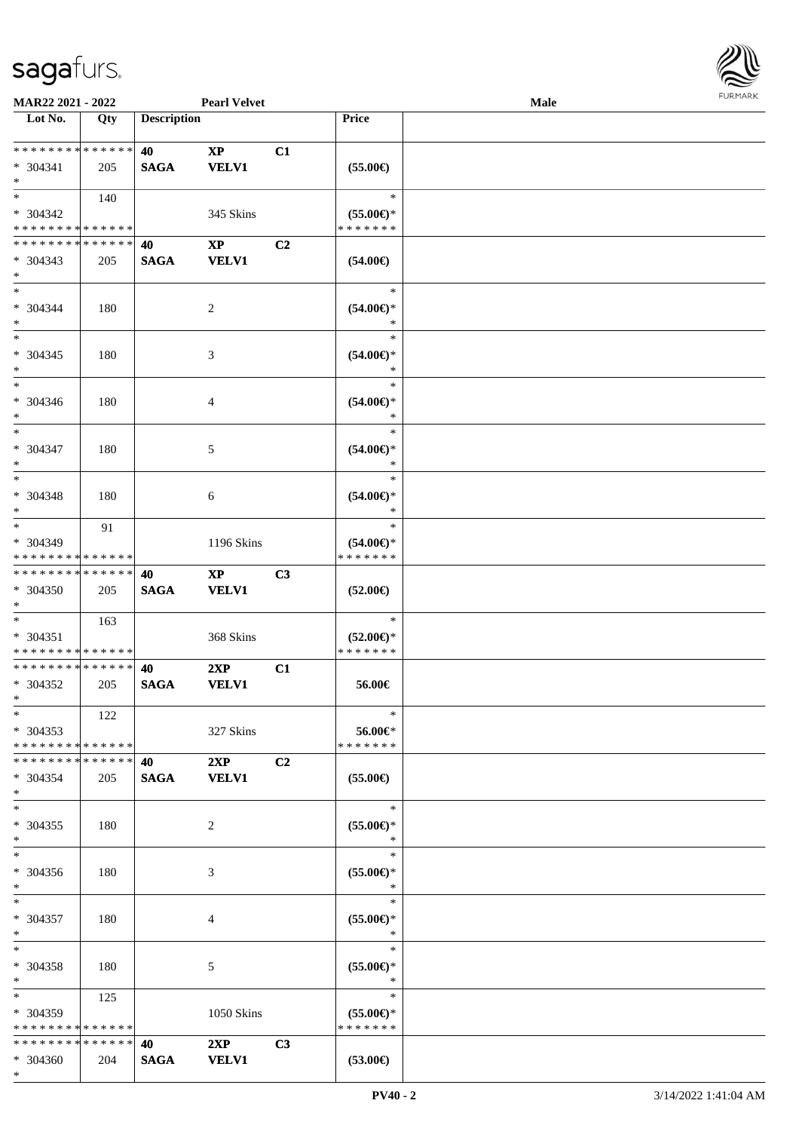

| MAR22 2021 - 2022                                      |     |                    | <b>Pearl Velvet</b>                    |                |                                                | <b>Male</b> |  |
|--------------------------------------------------------|-----|--------------------|----------------------------------------|----------------|------------------------------------------------|-------------|--|
| Lot No.                                                | Qty | <b>Description</b> |                                        |                | Price                                          |             |  |
| **************<br>$* 304341$<br>$*$                    | 205 | 40<br><b>SAGA</b>  | $\bold{XP}$<br><b>VELV1</b>            | C1             | $(55.00\epsilon)$                              |             |  |
| $*$<br>* 304342<br>* * * * * * * * * * * * * *         | 140 |                    | 345 Skins                              |                | $\ast$<br>$(55.00\epsilon)$ *<br>* * * * * * * |             |  |
| * * * * * * * * * * * * * *<br>$* 304343$<br>$*$       | 205 | 40<br><b>SAGA</b>  | $\mathbf{XP}$<br><b>VELV1</b>          | C2             | $(54.00\epsilon)$                              |             |  |
| $*$<br>$* 304344$<br>$\ast$                            | 180 |                    | $\overline{c}$                         |                | $\ast$<br>$(54.00ε)$ *<br>$\ast$               |             |  |
| $*$<br>$* 304345$<br>$\ast$                            | 180 |                    | $\mathfrak{Z}$                         |                | $\ast$<br>$(54.00ε)$ *<br>$\ast$               |             |  |
| $\ast$<br>$* 304346$<br>$\ast$                         | 180 |                    | 4                                      |                | $\ast$<br>$(54.00ε)$ *<br>$\ast$               |             |  |
| $\ast$<br>* 304347<br>$\ast$                           | 180 |                    | 5                                      |                | $\ast$<br>$(54.00ε)$ *<br>$\ast$               |             |  |
| $*$<br>* 304348<br>$\ast$                              | 180 |                    | 6                                      |                | $\ast$<br>$(54.00\epsilon)$ *<br>∗             |             |  |
| $\ast$<br>* 304349<br>* * * * * * * * * * * * * *      | 91  |                    | 1196 Skins                             |                | $\ast$<br>$(54.00\epsilon)$ *<br>* * * * * * * |             |  |
| * * * * * * * * * * * * * *<br>* 304350<br>$*$         | 205 | 40<br><b>SAGA</b>  | $\mathbf{X}\mathbf{P}$<br><b>VELV1</b> | C3             | $(52.00\epsilon)$                              |             |  |
| $*$<br>$* 304351$<br>* * * * * * * * * * * * * *       | 163 |                    | 368 Skins                              |                | $\ast$<br>$(52.00\epsilon)$ *<br>* * * * * * * |             |  |
| * * * * * * * * * * * * * *<br>* 304352<br>$*$         | 205 | 40<br><b>SAGA</b>  | 2XP<br><b>VELV1</b>                    | C1             | 56.00€                                         |             |  |
| $*$<br>$*304353$<br>* * * * * * * * * * * * * *        | 122 |                    | 327 Skins                              |                | $\ast$<br>56.00€*<br>* * * * * * *             |             |  |
| * * * * * * * * * * * * * * *<br>* 304354<br>$*$       | 205 | 40<br><b>SAGA</b>  | 2XP<br><b>VELV1</b>                    | C2             | $(55.00\epsilon)$                              |             |  |
| $*$<br>$* 304355$<br>$*$                               | 180 |                    | $\overline{2}$                         |                | $\ast$<br>$(55.00\epsilon)$ *<br>$\ast$        |             |  |
| $*$<br>$* 304356$<br>$*$                               | 180 |                    | 3                                      |                | $\ast$<br>$(55.00\epsilon)$ *<br>$\ast$        |             |  |
| $*$<br>* 304357<br>$*$                                 | 180 |                    | 4                                      |                | $\ast$<br>$(55.00\epsilon)$ *<br>$\ast$        |             |  |
| $*$<br>* 304358<br>$*$                                 | 180 |                    | 5                                      |                | $\ast$<br>$(55.00\epsilon)$ *<br>$\ast$        |             |  |
| $*$ and $*$<br>* 304359<br>* * * * * * * * * * * * * * | 125 |                    | 1050 Skins                             |                | $\ast$<br>$(55.00\epsilon)$ *<br>* * * * * * * |             |  |
| * * * * * * * * * * * * * *<br>* 304360<br>$*$         | 204 | 40<br><b>SAGA</b>  | 2XP<br><b>VELV1</b>                    | C <sub>3</sub> | $(53.00\epsilon)$                              |             |  |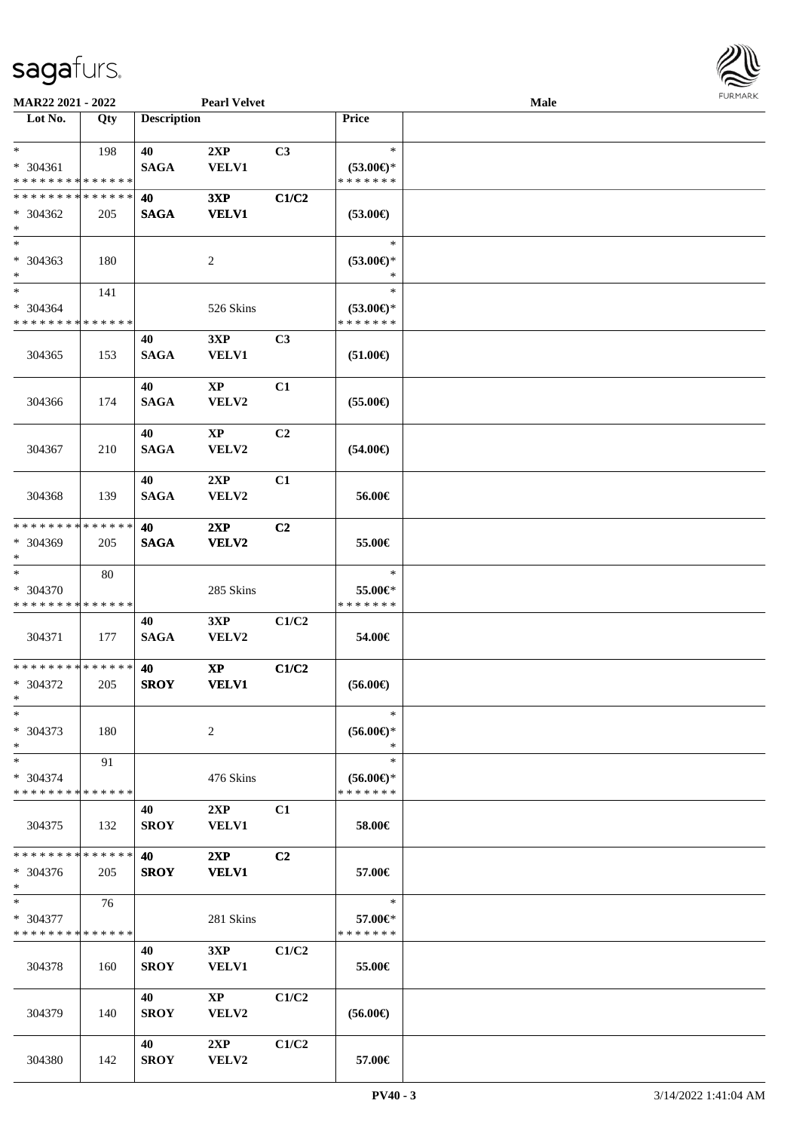

| MAR22 2021 - 2022            |             |                    | <b>Pearl Velvet</b>    |                |                               | Male |  |
|------------------------------|-------------|--------------------|------------------------|----------------|-------------------------------|------|--|
| Lot No.                      | Qty         | <b>Description</b> |                        |                | Price                         |      |  |
| $*$<br>$* 304361$            | 198         | 40<br><b>SAGA</b>  | 2XP<br><b>VELV1</b>    | C3             | $\ast$<br>$(53.00\epsilon)$ * |      |  |
| * * * * * * * * * * * * * *  |             |                    |                        |                | * * * * * * *                 |      |  |
| * * * * * * * * * * * * * *  |             | 40                 | 3XP                    | C1/C2          |                               |      |  |
| $* 304362$<br>$\ast$         | 205         | <b>SAGA</b>        | <b>VELV1</b>           |                | $(53.00\epsilon)$             |      |  |
| $\overline{\ast}$            |             |                    |                        |                | $\ast$                        |      |  |
| $* 304363$<br>$\ast$         | 180         |                    | $\overline{c}$         |                | $(53.00*)$<br>$\ast$          |      |  |
| $\overline{\ast}$            | 141         |                    |                        |                | $\ast$                        |      |  |
| $* 304364$                   |             |                    | 526 Skins              |                | $(53.00\epsilon)$ *           |      |  |
| * * * * * * * * * * * * * *  |             |                    |                        |                | * * * * * * *                 |      |  |
|                              |             | 40                 | 3XP                    | C3             |                               |      |  |
| 304365                       | 153         | <b>SAGA</b>        | <b>VELV1</b>           |                | $(51.00\epsilon)$             |      |  |
|                              |             | 40                 | $\mathbf{X}\mathbf{P}$ | C1             |                               |      |  |
| 304366                       | 174         | <b>SAGA</b>        | VELV2                  |                | $(55.00\epsilon)$             |      |  |
|                              |             | 40                 | $\mathbf{X}\mathbf{P}$ | C2             |                               |      |  |
| 304367                       | 210         | <b>SAGA</b>        | VELV2                  |                | $(54.00\epsilon)$             |      |  |
|                              |             | 40                 | 2XP                    | C1             |                               |      |  |
| 304368                       | 139         | <b>SAGA</b>        | VELV2                  |                | 56.00€                        |      |  |
| * * * * * * * *              | * * * * * * | 40                 | 2XP                    | C <sub>2</sub> |                               |      |  |
| * 304369<br>$\ast$           | 205         | <b>SAGA</b>        | <b>VELV2</b>           |                | 55.00€                        |      |  |
| $\ast$                       | 80          |                    |                        |                | $\ast$                        |      |  |
| * 304370                     |             |                    | 285 Skins              |                | 55.00€*                       |      |  |
| * * * * * * * * * * * * * *  |             |                    |                        |                | * * * * * * *                 |      |  |
| 304371                       | 177         | 40<br><b>SAGA</b>  | 3XP<br>VELV2           | C1/C2          | 54.00€                        |      |  |
| ******** <mark>******</mark> |             | 40                 | $\mathbf{X}\mathbf{P}$ | C1/C2          |                               |      |  |
| * 304372<br>$*$              | 205         | <b>SROY</b>        | <b>VELV1</b>           |                | $(56.00\epsilon)$             |      |  |
| $\ast$                       |             |                    |                        |                | $\ast$                        |      |  |
| $* 304373$<br>$\ast$         | 180         |                    | 2                      |                | $(56.00\epsilon)$ *<br>$\ast$ |      |  |
| $\ast$                       | 91          |                    |                        |                | $\ast$                        |      |  |
| $* 304374$                   |             |                    | 476 Skins              |                | $(56.00\epsilon)$ *           |      |  |
| * * * * * * * * * * * * * *  |             |                    |                        |                | * * * * * * *                 |      |  |
| 304375                       | 132         | 40<br><b>SROY</b>  | 2XP<br><b>VELV1</b>    | C1             | 58.00€                        |      |  |
|                              |             |                    |                        |                |                               |      |  |
| * * * * * * * * * * * * * *  |             | 40                 | 2XP                    | C2             |                               |      |  |
| $* 304376$<br>$\ast$         | 205         | <b>SROY</b>        | <b>VELV1</b>           |                | 57.00€                        |      |  |
| $\ast$                       | 76          |                    |                        |                | $\ast$                        |      |  |
| * 304377                     |             |                    | 281 Skins              |                | 57.00€*                       |      |  |
| * * * * * * * * * * * * * *  |             |                    |                        |                | * * * * * * *                 |      |  |
|                              |             | 40                 | 3XP                    | C1/C2          |                               |      |  |
| 304378                       | 160         | <b>SROY</b>        | <b>VELV1</b>           |                | 55.00€                        |      |  |
|                              |             | 40                 | $\mathbf{XP}$          | C1/C2          |                               |      |  |
| 304379                       | 140         | <b>SROY</b>        | <b>VELV2</b>           |                | $(56.00\epsilon)$             |      |  |
|                              |             |                    |                        |                |                               |      |  |
| 304380                       | 142         | 40<br><b>SROY</b>  | 2XP<br>VELV2           | C1/C2          | 57.00€                        |      |  |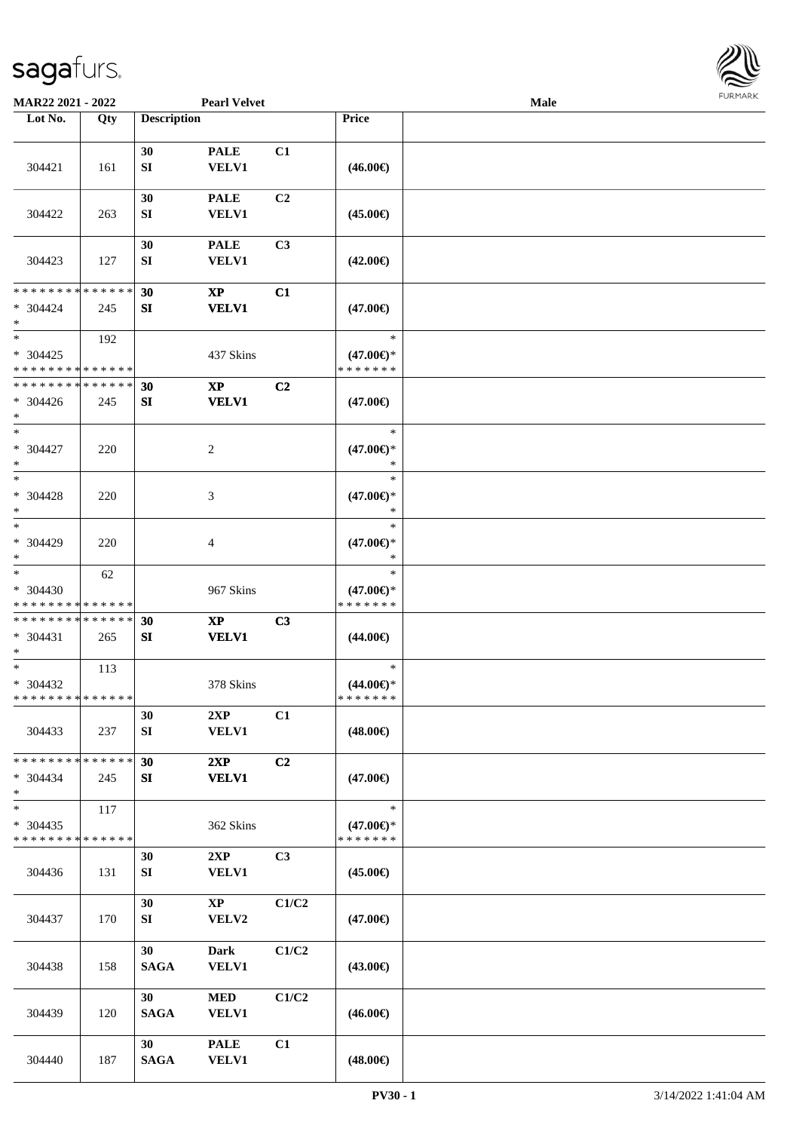

| MAR22 2021 - 2022                                 |     |                        | <b>Pearl Velvet</b>                    |                |                                                | Male |  |
|---------------------------------------------------|-----|------------------------|----------------------------------------|----------------|------------------------------------------------|------|--|
| Lot No.                                           | Qty | <b>Description</b>     |                                        |                | Price                                          |      |  |
| 304421                                            | 161 | 30<br>SI               | <b>PALE</b><br><b>VELV1</b>            | C1             | $(46.00\epsilon)$                              |      |  |
| 304422                                            | 263 | 30<br>SI               | <b>PALE</b><br><b>VELV1</b>            | C2             | $(45.00\epsilon)$                              |      |  |
| 304423                                            | 127 | 30<br>${\bf S}{\bf I}$ | <b>PALE</b><br>VELV1                   | C <sub>3</sub> | $(42.00\epsilon)$                              |      |  |
| * * * * * * * * * * * * * *<br>$* 304424$<br>$*$  | 245 | 30<br>SI               | $\mathbf{XP}$<br><b>VELV1</b>          | C1             | $(47.00\epsilon)$                              |      |  |
| $*$<br>$* 304425$<br>* * * * * * * * * * * * * *  | 192 |                        | 437 Skins                              |                | $\ast$<br>$(47.00\epsilon)$ *<br>* * * * * * * |      |  |
| * * * * * * * * * * * * * *<br>$* 304426$<br>$*$  | 245 | 30<br>SI               | $\bold{XP}$<br><b>VELV1</b>            | C <sub>2</sub> | $(47.00\epsilon)$                              |      |  |
| $*$<br>$* 304427$<br>$*$                          | 220 |                        | 2                                      |                | $\ast$<br>$(47.00\epsilon)$ *<br>$\ast$        |      |  |
| $*$<br>$* 304428$<br>$*$                          | 220 |                        | 3                                      |                | $\ast$<br>$(47.00\epsilon)$ *<br>∗             |      |  |
| $*$<br>$* 304429$<br>$*$                          | 220 |                        | 4                                      |                | $\ast$<br>$(47.00\epsilon)$ *<br>*             |      |  |
| $\ast$<br>* 304430<br>* * * * * * * * * * * * * * | 62  |                        | 967 Skins                              |                | $\ast$<br>$(47.00\epsilon)$ *<br>* * * * * * * |      |  |
| * * * * * * * * * * * * * *<br>* 304431<br>$*$    | 265 | 30<br>SI               | $\mathbf{X}\mathbf{P}$<br><b>VELV1</b> | C3             | $(44.00\epsilon)$                              |      |  |
| $*$<br>* 304432<br>* * * * * * * * * * * * * * *  | 113 |                        | 378 Skins                              |                | $\ast$<br>$(44.00\epsilon)$ *<br>*******       |      |  |
| 304433                                            | 237 | 30<br>SI               | 2XP<br><b>VELV1</b>                    | C1             | $(48.00\epsilon)$                              |      |  |
| * * * * * * * * * * * * * *<br>$* 304434$<br>$*$  | 245 | 30<br>SI               | 2XP<br><b>VELV1</b>                    | C2             | $(47.00\epsilon)$                              |      |  |
| $*$<br>$* 304435$<br>* * * * * * * * * * * * * *  | 117 |                        | 362 Skins                              |                | $\ast$<br>$(47.00\epsilon)$ *<br>* * * * * * * |      |  |
| 304436                                            | 131 | 30<br>SI               | 2XP<br><b>VELV1</b>                    | C3             | $(45.00\epsilon)$                              |      |  |
| 304437                                            | 170 | 30<br>SI               | $\mathbf{X}\mathbf{P}$<br>VELV2        | C1/C2          | $(47.00\epsilon)$                              |      |  |
| 304438                                            | 158 | 30<br><b>SAGA</b>      | <b>Dark</b><br><b>VELV1</b>            | C1/C2          | $(43.00\epsilon)$                              |      |  |
| 304439                                            | 120 | 30<br><b>SAGA</b>      | $\bf MED$<br><b>VELV1</b>              | C1/C2          | $(46.00\epsilon)$                              |      |  |
| 304440                                            | 187 | 30<br><b>SAGA</b>      | <b>PALE</b><br><b>VELV1</b>            | C1             | $(48.00\epsilon)$                              |      |  |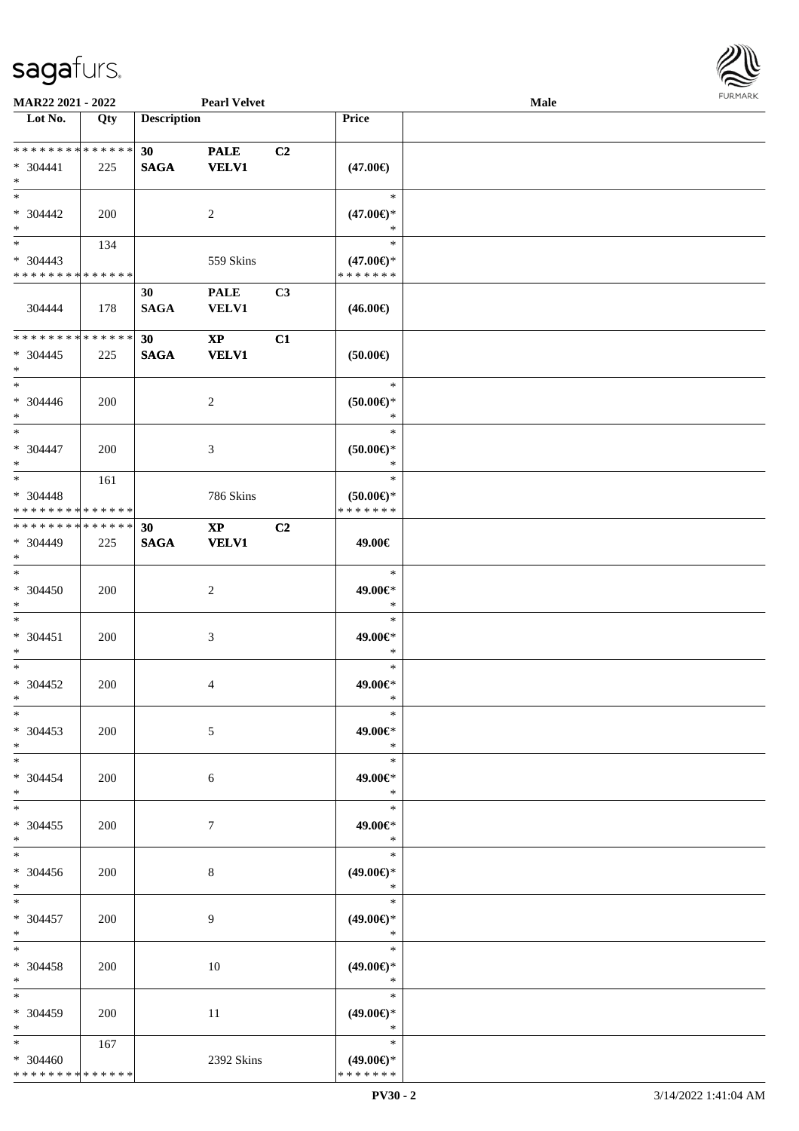

| MAR22 2021 - 2022                                         |                    |                                | <b>Pearl Velvet</b>                    |                |                                                | <b>Male</b> |  |
|-----------------------------------------------------------|--------------------|--------------------------------|----------------------------------------|----------------|------------------------------------------------|-------------|--|
| Lot No.                                                   | Qty                | <b>Description</b>             |                                        |                | <b>Price</b>                                   |             |  |
| ******** <mark>******</mark><br>$* 304441$<br>$\ast$      | 225                | 30 <sup>1</sup><br><b>SAGA</b> | <b>PALE</b><br><b>VELV1</b>            | C <sub>2</sub> | $(47.00\epsilon)$                              |             |  |
| $\ast$<br>$* 304442$<br>$\ast$                            | 200                |                                | 2                                      |                | $\ast$<br>$(47.00\epsilon)$ *<br>$\ast$        |             |  |
| $\overline{\phantom{1}}$<br>$* 304443$<br>* * * * * * * * | 134<br>* * * * * * |                                | 559 Skins                              |                | $\ast$<br>$(47.00\epsilon)$ *<br>* * * * * * * |             |  |
| 304444                                                    | 178                | 30<br><b>SAGA</b>              | <b>PALE</b><br><b>VELV1</b>            | C3             | $(46.00\epsilon)$                              |             |  |
| * * * * * * * *<br>$* 304445$<br>$\ast$                   | * * * * * *<br>225 | 30 <sup>°</sup><br><b>SAGA</b> | $\mathbf{XP}$<br><b>VELV1</b>          | C1             | (50.00)                                        |             |  |
| $\ast$<br>$* 304446$<br>$\ast$                            | 200                |                                | $\overline{c}$                         |                | $\ast$<br>$(50.00 \in )^*$<br>$\ast$           |             |  |
| $\overline{\ast}$<br>$* 304447$<br>$\ast$                 | 200                |                                | $\mathfrak{Z}$                         |                | $\ast$<br>$(50.00 \in )^*$<br>$\ast$           |             |  |
| $\ast$<br>$* 304448$<br>* * * * * * * * * * * * * *       | 161                |                                | 786 Skins                              |                | $\ast$<br>$(50.00ε)$ *<br>* * * * * * *        |             |  |
| * * * * * * * * * * * * * * *<br>* 304449<br>$*$          | 225                | 30<br><b>SAGA</b>              | $\mathbf{X}\mathbf{P}$<br><b>VELV1</b> | C <sub>2</sub> | 49.00€                                         |             |  |
| $\ast$<br>$* 304450$<br>$\ast$                            | 200                |                                | $\sqrt{2}$                             |                | $\ast$<br>49.00€*<br>$\ast$                    |             |  |
| $\ast$<br>$* 304451$<br>$\ast$                            | 200                |                                | $\mathfrak{Z}$                         |                | $\ast$<br>49.00€*<br>$\ast$                    |             |  |
| $\ast$<br>$* 304452$<br>$*$                               | 200                |                                | $\overline{4}$                         |                | $\ast$<br>49.00€*<br>$\ast$                    |             |  |
| $*$<br>$* 304453$<br>$*$                                  | 200                |                                | 5                                      |                | $\ast$<br>49.00€*<br>$\ast$                    |             |  |
| $*$<br>$* 304454$<br>$*$                                  | 200                |                                | 6                                      |                | $\ast$<br>49.00€*<br>$\ast$                    |             |  |
| $\ast$<br>$* 304455$<br>$*$                               | 200                |                                | $\tau$                                 |                | $\ast$<br>49.00€*<br>$\ast$                    |             |  |
| $\overline{\phantom{0}}$<br>$* 304456$<br>$*$             | 200                |                                | $\bf 8$                                |                | $\ast$<br>$(49.00\epsilon)$ *<br>$\ast$        |             |  |
| $*$<br>$* 304457$<br>$*$                                  | 200                |                                | 9                                      |                | $\ast$<br>$(49.00\epsilon)$ *<br>$\ast$        |             |  |
| $\ast$<br>* 304458<br>$*$                                 | 200                |                                | 10                                     |                | $\ast$<br>$(49.00\epsilon)$ *<br>$\ast$        |             |  |
| $\ast$<br>$* 304459$<br>$*$                               | 200                |                                | 11                                     |                | $\ast$<br>$(49.00\epsilon)$ *<br>$\star$       |             |  |
| $\ast$<br>$* 304460$<br>* * * * * * * * * * * * * *       | 167                |                                | 2392 Skins                             |                | $\ast$<br>$(49.00\epsilon)$ *<br>* * * * * * * |             |  |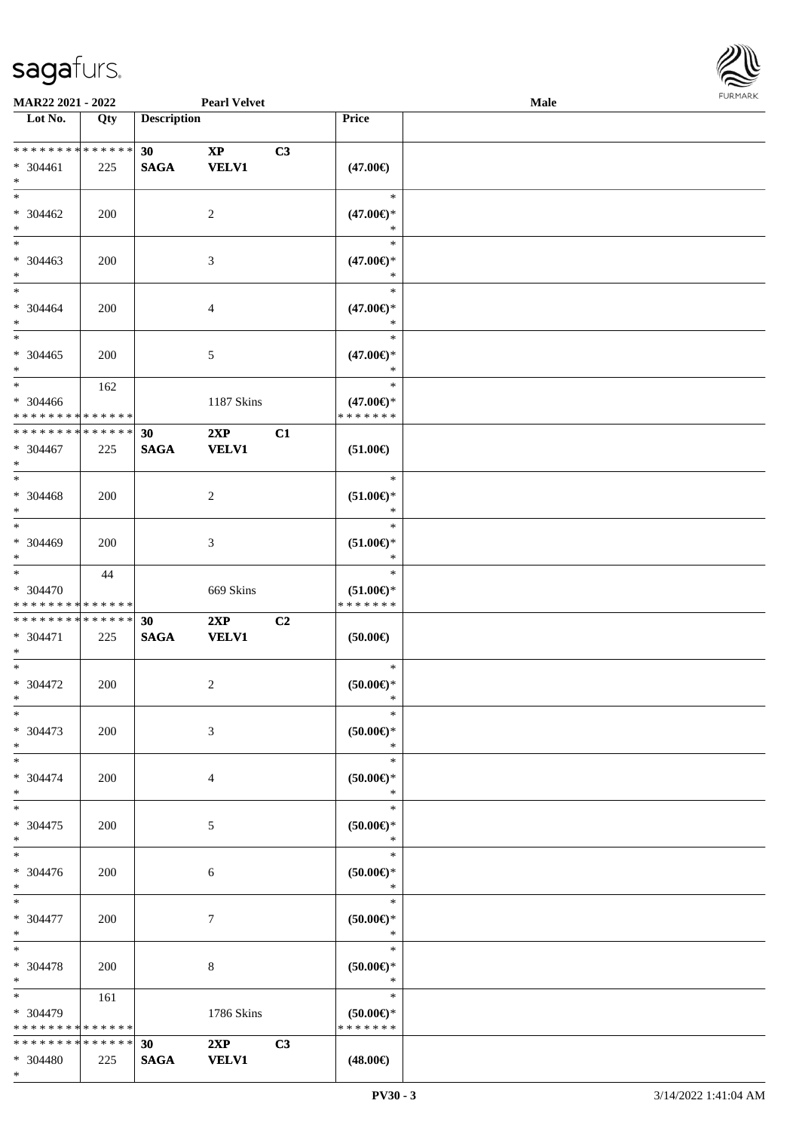\*



| MAR22 2021 - 2022                                   |                    |                                | <b>Pearl Velvet</b>                        |    |                                                                         | <b>Male</b> |  |
|-----------------------------------------------------|--------------------|--------------------------------|--------------------------------------------|----|-------------------------------------------------------------------------|-------------|--|
| Lot No.                                             | Qty                | <b>Description</b>             |                                            |    | Price                                                                   |             |  |
| ******** <mark>******</mark><br>* 304461<br>$*$     | 225                | 30 <sup>°</sup><br><b>SAGA</b> | $\boldsymbol{\mathrm{XP}}$<br><b>VELV1</b> | C3 | $(47.00\epsilon)$                                                       |             |  |
| $*$<br>$* 304462$<br>$\ast$                         | 200                |                                | $\sqrt{2}$                                 |    | $\ast$<br>$(47.00\epsilon)$ *<br>∗                                      |             |  |
| $\overline{\ast}$<br>$* 304463$<br>$*$              | 200                |                                | 3                                          |    | $\ast$<br>$(47.00\epsilon)$ *<br>$\ast$                                 |             |  |
| $*$<br>$* 304464$<br>$\ast$                         | 200                |                                | $\overline{4}$                             |    | $\ast$<br>$(47.00\epsilon)$ *<br>$\ast$                                 |             |  |
| $\ast$<br>$* 304465$<br>$\ast$                      | 200                |                                | $5\,$                                      |    | $\ast$<br>$(47.00\epsilon)$ *<br>$\ast$                                 |             |  |
| $\ast$<br>$* 304466$<br>* * * * * * * * * * * * * * | 162                |                                | 1187 Skins                                 |    | $\ast$<br>$(47.00\epsilon)$ *<br>* * * * * * *                          |             |  |
| * * * * * * * *<br>* 304467<br>$\ast$               | * * * * * *<br>225 | 30<br><b>SAGA</b>              | 2XP<br><b>VELV1</b>                        | C1 | $(51.00\epsilon)$                                                       |             |  |
| $*$<br>$* 304468$<br>$\ast$                         | 200                |                                | $\overline{2}$                             |    | $\ast$<br>$(51.00\epsilon)$ *<br>$\ast$                                 |             |  |
| $*$<br>* 304469<br>$*$                              | 200                |                                | $\mathfrak{Z}$                             |    | $\ast$<br>$(51.00\mathnormal{\in }\mathcal{)^{\! \! \times}}$<br>$\ast$ |             |  |
| $\ast$<br>* 304470<br>* * * * * * * * * * * * * *   | 44                 |                                | 669 Skins                                  |    | $\ast$<br>$(51.00\epsilon)$ *<br>* * * * * * *                          |             |  |
| * * * * * * * * * * * * * *<br>* 304471<br>$*$      | 225                | 30<br><b>SAGA</b>              | 2XP<br><b>VELV1</b>                        | C2 | $(50.00\epsilon)$                                                       |             |  |
| $\ast$<br>* 304472<br>$*$                           | 200                |                                | $\sqrt{2}$                                 |    | $\ast$<br>(50.00)<br>$*$                                                |             |  |
| $*$<br>* 304473<br>$*$                              | 200                |                                | $\mathfrak{Z}$                             |    | $\ast$<br>$(50.00ε)$ *<br>$\ast$                                        |             |  |
| $*$<br>* 304474<br>$*$                              | 200                |                                | $\overline{4}$                             |    | $\ast$<br>$(50.00ε)$ *<br>$\ast$                                        |             |  |
| $*$<br>$* 304475$<br>$*$<br>$\ast$                  | 200                |                                | 5                                          |    | $\ast$<br>$(50.00ε)$ *<br>$\ast$<br>$\ast$                              |             |  |
| $* 304476$<br>$*$                                   | 200                |                                | 6                                          |    | $(50.00ε)$ *<br>$\ast$                                                  |             |  |
| $*$<br>* 304477<br>$*$                              | 200                |                                | $7\phantom{.0}$                            |    | $\ast$<br>$(50.00ε)$ *<br>$\ast$                                        |             |  |
| $*$<br>* 304478<br>$*$                              | 200                |                                | 8                                          |    | $\ast$<br>$(50.00ε)$ *<br>$\ast$                                        |             |  |
| $*$<br>* 304479<br>* * * * * * * * * * * * * *      | 161                |                                | 1786 Skins                                 |    | $\ast$<br>$(50.00 \in )$ *<br>* * * * * * *                             |             |  |
| * * * * * * * * * * * * * *<br>* 304480             | 225                | 30 <sup>°</sup><br><b>SAGA</b> | 2XP<br><b>VELV1</b>                        | C3 | $(48.00\epsilon)$                                                       |             |  |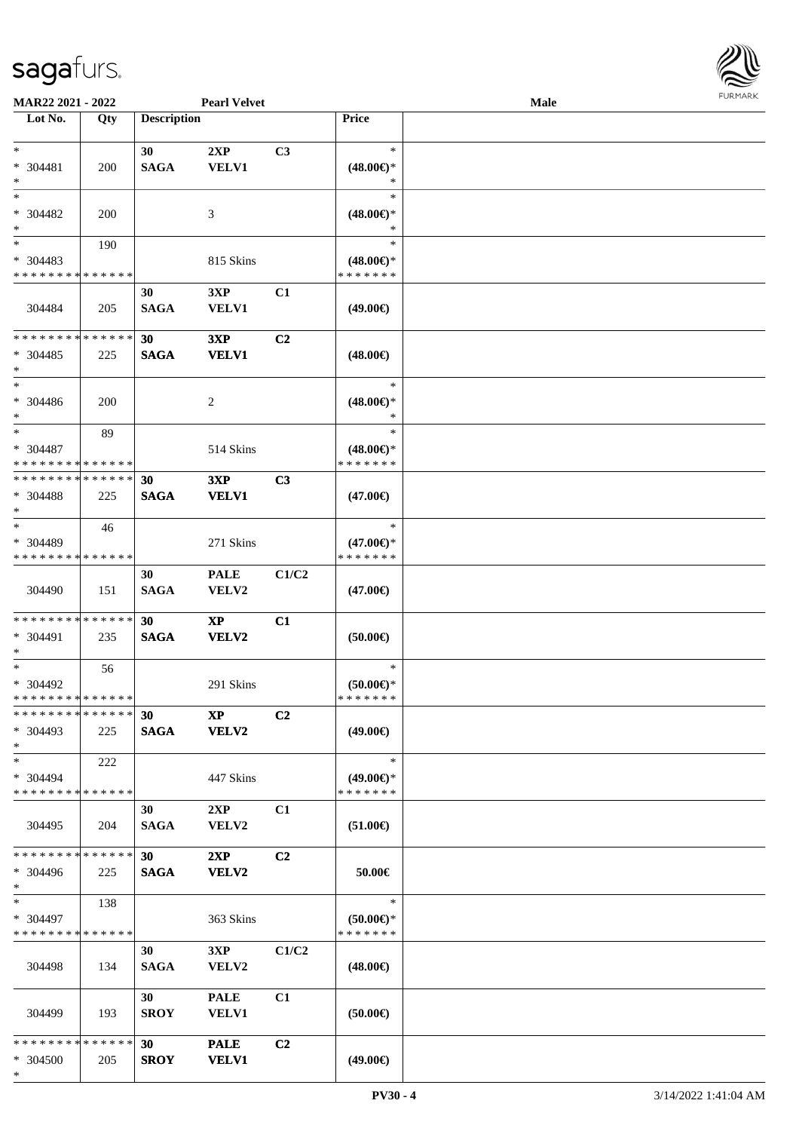

| MAR22 2021 - 2022           |     |                    | <b>Pearl Velvet</b>    |                |                     | Male |  |
|-----------------------------|-----|--------------------|------------------------|----------------|---------------------|------|--|
| Lot No.                     | Qty | <b>Description</b> |                        |                | <b>Price</b>        |      |  |
|                             |     |                    |                        |                |                     |      |  |
| $\ast$                      |     | 30                 | 2XP                    | C3             | $\ast$              |      |  |
| $* 304481$                  | 200 | <b>SAGA</b>        | <b>VELV1</b>           |                | $(48.00\epsilon)$ * |      |  |
| $\ast$                      |     |                    |                        |                | $\ast$              |      |  |
| $\ast$                      |     |                    |                        |                | $\ast$              |      |  |
| * 304482                    | 200 |                    | 3                      |                | $(48.00\epsilon)$ * |      |  |
| $\ast$                      |     |                    |                        |                | $\ast$              |      |  |
| $_{\ast}^{-}$               | 190 |                    |                        |                | $\ast$              |      |  |
| $* 304483$                  |     |                    | 815 Skins              |                | $(48.00\epsilon)$ * |      |  |
| * * * * * * * * * * * * * * |     |                    |                        |                | * * * * * * *       |      |  |
|                             |     | 30                 | 3XP                    | C1             |                     |      |  |
| 304484                      | 205 | <b>SAGA</b>        | <b>VELV1</b>           |                | $(49.00\epsilon)$   |      |  |
|                             |     |                    |                        |                |                     |      |  |
| * * * * * * * * * * * * * * |     | 30                 | 3XP                    | C2             |                     |      |  |
| $* 304485$                  | 225 | <b>SAGA</b>        | <b>VELV1</b>           |                | $(48.00\epsilon)$   |      |  |
| $\ast$                      |     |                    |                        |                |                     |      |  |
| $\ast$                      |     |                    |                        |                | $\ast$              |      |  |
| $* 304486$                  | 200 |                    | 2                      |                | $(48.00\epsilon)$ * |      |  |
| $\ast$                      |     |                    |                        |                | $\ast$              |      |  |
| $\ast$                      | 89  |                    |                        |                | $\ast$              |      |  |
| $* 304487$                  |     |                    | 514 Skins              |                | $(48.00\epsilon)$ * |      |  |
| * * * * * * * * * * * * * * |     |                    |                        |                | * * * * * * *       |      |  |
| * * * * * * * * * * * * * * |     | 30                 | 3XP                    | C3             |                     |      |  |
| $* 304488$                  | 225 | <b>SAGA</b>        | <b>VELV1</b>           |                | $(47.00\epsilon)$   |      |  |
| $\ast$                      |     |                    |                        |                |                     |      |  |
| $\ast$                      | 46  |                    |                        |                | $\ast$              |      |  |
| * 304489                    |     |                    | 271 Skins              |                | $(47.00\epsilon)$ * |      |  |
| * * * * * * * * * * * * * * |     |                    |                        |                | * * * * * * *       |      |  |
|                             |     | 30                 | <b>PALE</b>            | C1/C2          |                     |      |  |
| 304490                      | 151 | <b>SAGA</b>        | VELV2                  |                | $(47.00\epsilon)$   |      |  |
|                             |     |                    |                        |                |                     |      |  |
| * * * * * * * * * * * * * * |     | 30                 | $\mathbf{X}\mathbf{P}$ | C1             |                     |      |  |
| * 304491                    | 235 | <b>SAGA</b>        | VELV2                  |                | (50.00)             |      |  |
| $\ast$                      |     |                    |                        |                |                     |      |  |
| $\ast$                      | 56  |                    |                        |                | $\ast$              |      |  |
| * 304492                    |     |                    | 291 Skins              |                | $(50.00 \in )$ *    |      |  |
| **************              |     |                    |                        |                | * * * * * * *       |      |  |
| * * * * * * * * * * * * * * |     | 30                 | <b>XP</b>              | C2             |                     |      |  |
| * 304493                    | 225 | <b>SAGA</b>        | <b>VELV2</b>           |                | $(49.00\epsilon)$   |      |  |
| $*$                         |     |                    |                        |                |                     |      |  |
| $*$                         | 222 |                    |                        |                | $\ast$              |      |  |
| $* 304494$                  |     |                    | 447 Skins              |                | $(49.00\epsilon)$ * |      |  |
| * * * * * * * * * * * * * * |     |                    |                        |                | * * * * * * *       |      |  |
|                             |     | 30                 | 2XP                    | C1             |                     |      |  |
| 304495                      | 204 | <b>SAGA</b>        | VELV2                  |                | $(51.00\in)$        |      |  |
|                             |     |                    |                        |                |                     |      |  |
| * * * * * * * * * * * * * * |     | 30 <sup>1</sup>    | 2XP                    | C2             |                     |      |  |
| * 304496                    | 225 | <b>SAGA</b>        | <b>VELV2</b>           |                | 50.00€              |      |  |
| $*$                         |     |                    |                        |                |                     |      |  |
| $*$                         | 138 |                    |                        |                | $\ast$              |      |  |
| $* 304497$                  |     |                    | 363 Skins              |                | $(50.00 \in )^*$    |      |  |
| * * * * * * * * * * * * * * |     |                    |                        |                | * * * * * * *       |      |  |
|                             |     | 30                 | 3XP                    | C1/C2          |                     |      |  |
| 304498                      | 134 | <b>SAGA</b>        | VELV2                  |                | $(48.00\epsilon)$   |      |  |
|                             |     |                    |                        |                |                     |      |  |
|                             |     | 30 <sup>1</sup>    | <b>PALE</b>            | C1             |                     |      |  |
| 304499                      | 193 | <b>SROY</b>        | <b>VELV1</b>           |                | (50.00)             |      |  |
|                             |     |                    |                        |                |                     |      |  |
| * * * * * * * * * * * * * * |     | 30 <sup>°</sup>    | <b>PALE</b>            | C <sub>2</sub> |                     |      |  |
| * 304500                    | 205 | <b>SROY</b>        | <b>VELV1</b>           |                | $(49.00\epsilon)$   |      |  |
| $*$                         |     |                    |                        |                |                     |      |  |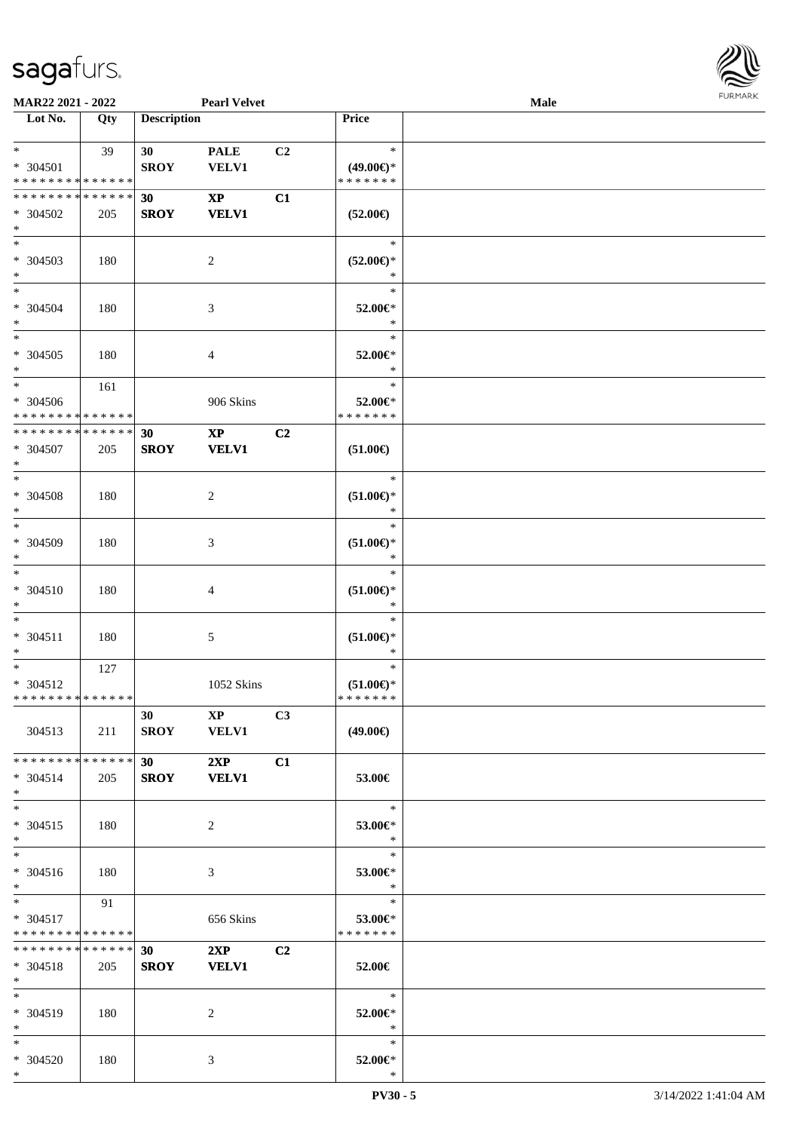

| MAR22 2021 - 2022                                               |     |                          | <b>Pearl Velvet</b>                    |                |                                                   | <b>Male</b> |  |
|-----------------------------------------------------------------|-----|--------------------------|----------------------------------------|----------------|---------------------------------------------------|-------------|--|
| Lot No.                                                         | Qty | <b>Description</b>       |                                        |                | Price                                             |             |  |
| $*$<br>* 304501<br>* * * * * * * * * * * * * *                  | 39  | 30<br><b>SROY</b>        | <b>PALE</b><br><b>VELV1</b>            | C2             | $\ast$<br>$(49.00\epsilon)$ *<br>* * * * * * *    |             |  |
| * * * * * * * * * * * * * *<br>* 304502<br>$*$                  | 205 | 30<br><b>SROY</b>        | $\mathbf{XP}$<br><b>VELV1</b>          | C1             | $(52.00\epsilon)$                                 |             |  |
| $\overline{\phantom{0}}$<br>* 304503<br>$*$                     | 180 |                          | 2                                      |                | $\ast$<br>$(52.00\epsilon)$ *<br>$\ast$           |             |  |
| $*$<br>* 304504<br>$*$                                          | 180 |                          | 3                                      |                | $\ast$<br>52.00€*<br>$\ast$                       |             |  |
| $\overline{\ast}$<br>$* 304505$<br>$*$                          | 180 |                          | 4                                      |                | $\ast$<br>52.00€*<br>$\ast$                       |             |  |
| $*$<br>$* 304506$<br>* * * * * * * * * * * * * *                | 161 |                          | 906 Skins                              |                | $\ast$<br>52.00€*<br>* * * * * * *                |             |  |
| * * * * * * * * * * * * * *<br>$* 304507$<br>$*$                | 205 | 30<br><b>SROY</b>        | $\mathbf{X}\mathbf{P}$<br><b>VELV1</b> | C2             | $(51.00\epsilon)$                                 |             |  |
| $*$<br>* 304508<br>$\ast$                                       | 180 |                          | 2                                      |                | $\ast$<br>$(51.00\epsilon)$ *<br>$\ast$           |             |  |
| $*$<br>* 304509<br>$*$<br>$\ast$                                | 180 |                          | 3                                      |                | $\ast$<br>$(51.00\epsilon)$ *<br>$\ast$           |             |  |
| * 304510<br>$*$<br>$*$                                          | 180 |                          | 4                                      |                | $\ast$<br>$(51.00\epsilon)$ *<br>$\ast$<br>$\ast$ |             |  |
| $* 304511$<br>$*$<br>$*$                                        | 180 |                          | 5                                      |                | $(51.00\epsilon)$ *<br>$\ast$<br>$\ast$           |             |  |
| * 304512<br>* * * * * * * * * * * * * * *                       | 127 |                          | 1052 Skins                             |                | $(51.00\epsilon)$ *<br>* * * * * * *              |             |  |
| 304513                                                          | 211 | 30<br><b>SROY</b>        | $\mathbf{X}\mathbf{P}$<br><b>VELV1</b> | C <sub>3</sub> | $(49.00\epsilon)$                                 |             |  |
| * * * * * * * * <mark>* * * * * * *</mark><br>$* 304514$<br>$*$ | 205 | 30<br><b>SROY</b>        | 2XP<br><b>VELV1</b>                    | C1             | 53.00€                                            |             |  |
| $*$<br>$* 304515$<br>$*$                                        | 180 |                          | 2                                      |                | $\ast$<br>53.00€*<br>$\ast$                       |             |  |
| $*$<br>* 304516<br>$*$                                          | 180 |                          | 3                                      |                | $\ast$<br>53.00€*<br>$\ast$                       |             |  |
| $*$<br>* 304517<br>* * * * * * * * * * * * * * *                | 91  |                          | 656 Skins                              |                | $\ast$<br>53.00€*<br>* * * * * * *                |             |  |
| * * * * * * * * * * * * * * *<br>$* 304518$<br>$*$              | 205 | <b>30</b><br><b>SROY</b> | 2XP<br><b>VELV1</b>                    | C <sub>2</sub> | 52.00€                                            |             |  |
| $*$<br>* 304519<br>$*$ $*$                                      | 180 |                          | 2                                      |                | $\ast$<br>52.00€*<br>$\ast$                       |             |  |
| $*$<br>* 304520<br>$*$                                          | 180 |                          | 3                                      |                | $\ast$<br>52.00€*<br>$\ast$                       |             |  |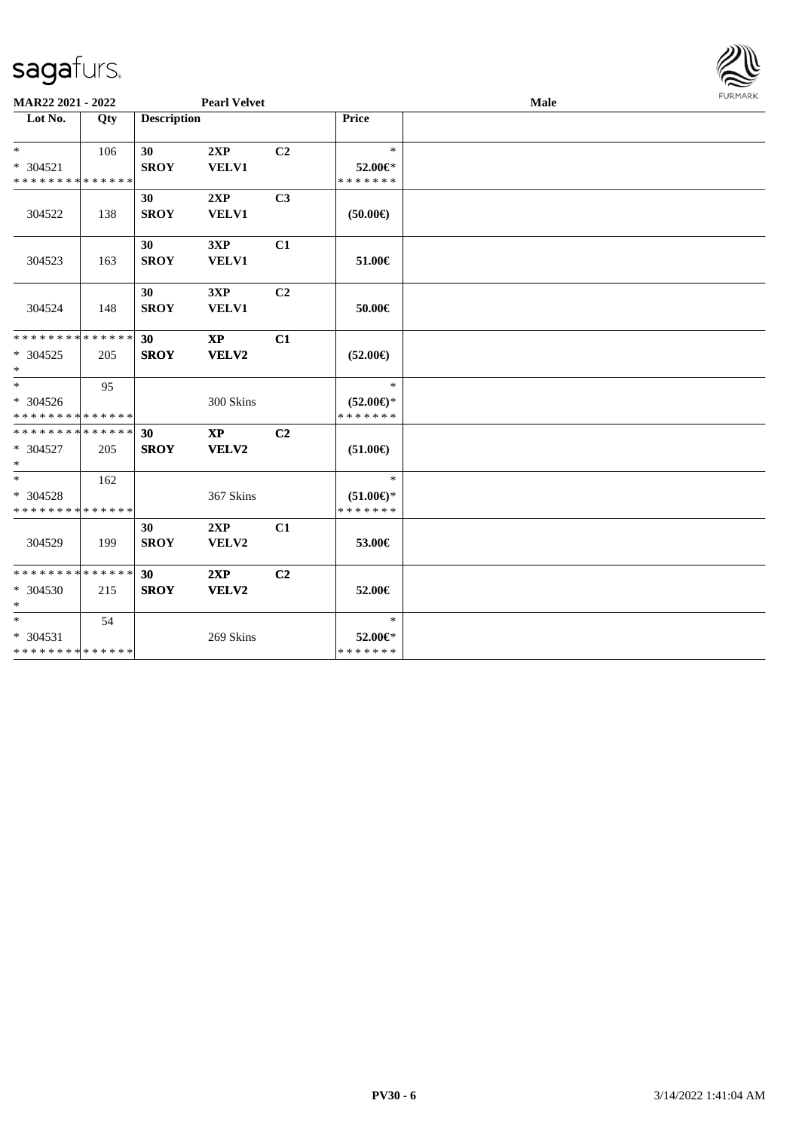| MAR22 2021 - 2022                                  |     |                    | <b>Pearl Velvet</b>    |                |                                                | Male | <b>FURMARK</b> |
|----------------------------------------------------|-----|--------------------|------------------------|----------------|------------------------------------------------|------|----------------|
| $\overline{\phantom{1}}$ Lot No.                   | Qty | <b>Description</b> |                        |                | Price                                          |      |                |
| $*$<br>$* 304521$<br>* * * * * * * * * * * * * *   | 106 | 30<br><b>SROY</b>  | 2XP<br><b>VELV1</b>    | C <sub>2</sub> | $\ast$<br>52.00€*<br>* * * * * * *             |      |                |
| 304522                                             | 138 | 30<br><b>SROY</b>  | 2XP<br><b>VELV1</b>    | C <sub>3</sub> | (50.00)                                        |      |                |
| 304523                                             | 163 | 30<br><b>SROY</b>  | 3XP<br><b>VELV1</b>    | C1             | 51.00€                                         |      |                |
| 304524                                             | 148 | 30<br><b>SROY</b>  | 3XP<br><b>VELV1</b>    | C <sub>2</sub> | 50.00€                                         |      |                |
| * * * * * * * * * * * * * *<br>$*304525$<br>$\ast$ | 205 | 30<br><b>SROY</b>  | <b>XP</b><br>VELV2     | C1             | $(52.00\epsilon)$                              |      |                |
| $*$<br>* 304526<br>* * * * * * * * * * * * * *     | 95  |                    | 300 Skins              |                | $\ast$<br>$(52.00\epsilon)$ *<br>* * * * * * * |      |                |
| **************<br>$* 304527$<br>$\ast$             | 205 | 30<br><b>SROY</b>  | $\mathbf{XP}$<br>VELV2 | C <sub>2</sub> | $(51.00\epsilon)$                              |      |                |
| $\ast$<br>* 304528<br>* * * * * * * * * * * * * *  | 162 |                    | 367 Skins              |                | $\ast$<br>$(51.00\epsilon)$ *<br>* * * * * * * |      |                |
| 304529                                             | 199 | 30<br><b>SROY</b>  | 2XP<br>VELV2           | C1             | 53.00€                                         |      |                |
| **************<br>$*304530$<br>$\ast$              | 215 | 30<br><b>SROY</b>  | 2XP<br>VELV2           | C <sub>2</sub> | 52.00€                                         |      |                |
| $\ast$<br>* 304531<br>* * * * * * * * * * * * * *  | 54  |                    | 269 Skins              |                | $\ast$<br>52.00€*<br>* * * * * * *             |      |                |

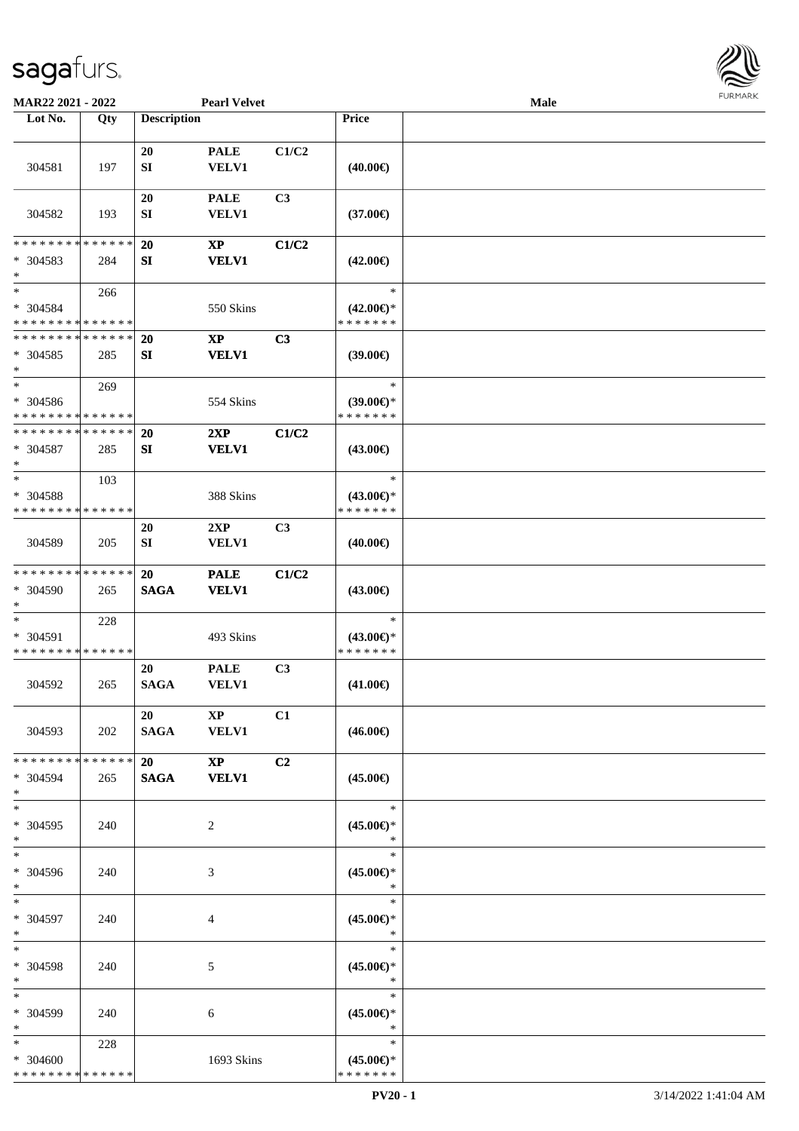

| MAR22 2021 - 2022                                   |     |                         | <b>Pearl Velvet</b>           |                |                                                | Male |  |
|-----------------------------------------------------|-----|-------------------------|-------------------------------|----------------|------------------------------------------------|------|--|
| Lot No.                                             | Qty | <b>Description</b>      |                               |                | Price                                          |      |  |
| 304581                                              | 197 | 20<br>${\bf SI}$        | <b>PALE</b><br><b>VELV1</b>   | C1/C2          | $(40.00\epsilon)$                              |      |  |
| 304582                                              | 193 | 20<br>SI                | <b>PALE</b><br><b>VELV1</b>   | C <sub>3</sub> | $(37.00\epsilon)$                              |      |  |
| * * * * * * * * * * * * * *<br>* 304583<br>$\ast$   | 284 | 20<br>${\bf S}{\bf I}$  | $\mathbf{XP}$<br><b>VELV1</b> | C1/C2          | $(42.00\epsilon)$                              |      |  |
| $\ast$<br>* 304584<br>* * * * * * * * * * * * * *   | 266 |                         | 550 Skins                     |                | $\ast$<br>$(42.00\epsilon)$ *<br>* * * * * * * |      |  |
| * * * * * * * * * * * * * *<br>$* 304585$<br>$\ast$ | 285 | 20<br>SI                | $\mathbf{XP}$<br><b>VELV1</b> | C3             | $(39.00\epsilon)$                              |      |  |
| $\ast$<br>* 304586<br>* * * * * * * * * * * * * *   | 269 |                         | 554 Skins                     |                | $\ast$<br>$(39.00\epsilon)$ *<br>* * * * * * * |      |  |
| * * * * * * * * * * * * * *<br>$* 304587$<br>$\ast$ | 285 | 20<br>SI                | 2XP<br><b>VELV1</b>           | C1/C2          | $(43.00\epsilon)$                              |      |  |
| $\ast$<br>* 304588<br>* * * * * * * * * * * * * *   | 103 |                         | 388 Skins                     |                | $\ast$<br>$(43.00\epsilon)$ *<br>* * * * * * * |      |  |
| 304589                                              | 205 | <b>20</b><br>${\bf SI}$ | 2XP<br><b>VELV1</b>           | C3             | $(40.00\epsilon)$                              |      |  |
| **************<br>* 304590<br>$\ast$                | 265 | 20<br><b>SAGA</b>       | <b>PALE</b><br><b>VELV1</b>   | C1/C2          | $(43.00\epsilon)$                              |      |  |
| $\ast$<br>* 304591<br>* * * * * * * * * * * * * *   | 228 |                         | 493 Skins                     |                | $\ast$<br>$(43.00\epsilon)$ *<br>* * * * * * * |      |  |
| 304592                                              | 265 | 20<br><b>SAGA</b>       | <b>PALE</b><br><b>VELV1</b>   | C <sub>3</sub> | $(41.00\epsilon)$                              |      |  |
| 304593                                              | 202 | 20<br>SAGA VELV1        | $\mathbf{X}\mathbf{P}$        | C1             | $(46.00\epsilon)$                              |      |  |
| * * * * * * * * * * * * * * *<br>* 304594<br>$*$    | 265 | 20<br>SAGA VELV1        | $\mathbf{XP}$                 | C <sub>2</sub> | $(45.00\epsilon)$                              |      |  |
| $\ast$<br>* 304595<br>$*$                           | 240 |                         | 2                             |                | $\ast$<br>$(45.00\epsilon)$ *<br>$\ast$        |      |  |
| $\ast$<br>* 304596<br>$*$                           | 240 |                         | 3                             |                | $\ast$<br>$(45.00\epsilon)$ *<br>$\ast$        |      |  |
| $*$<br>$* 304597$<br>$*$                            | 240 |                         | 4                             |                | $\ast$<br>$(45.00\epsilon)$ *<br>$\ast$        |      |  |
| $\ast$<br>* 304598<br>$*$                           | 240 |                         | 5                             |                | $\ast$<br>$(45.00\epsilon)$ *<br>$\ast$        |      |  |
| $\ast$<br>* 304599<br>$*$                           | 240 |                         | 6                             |                | $\ast$<br>$(45.00\epsilon)$ *<br>$\ast$        |      |  |
| $*$<br>* 304600<br>* * * * * * * * * * * * * *      | 228 |                         | 1693 Skins                    |                | $\ast$<br>$(45.00\epsilon)$ *<br>* * * * * * * |      |  |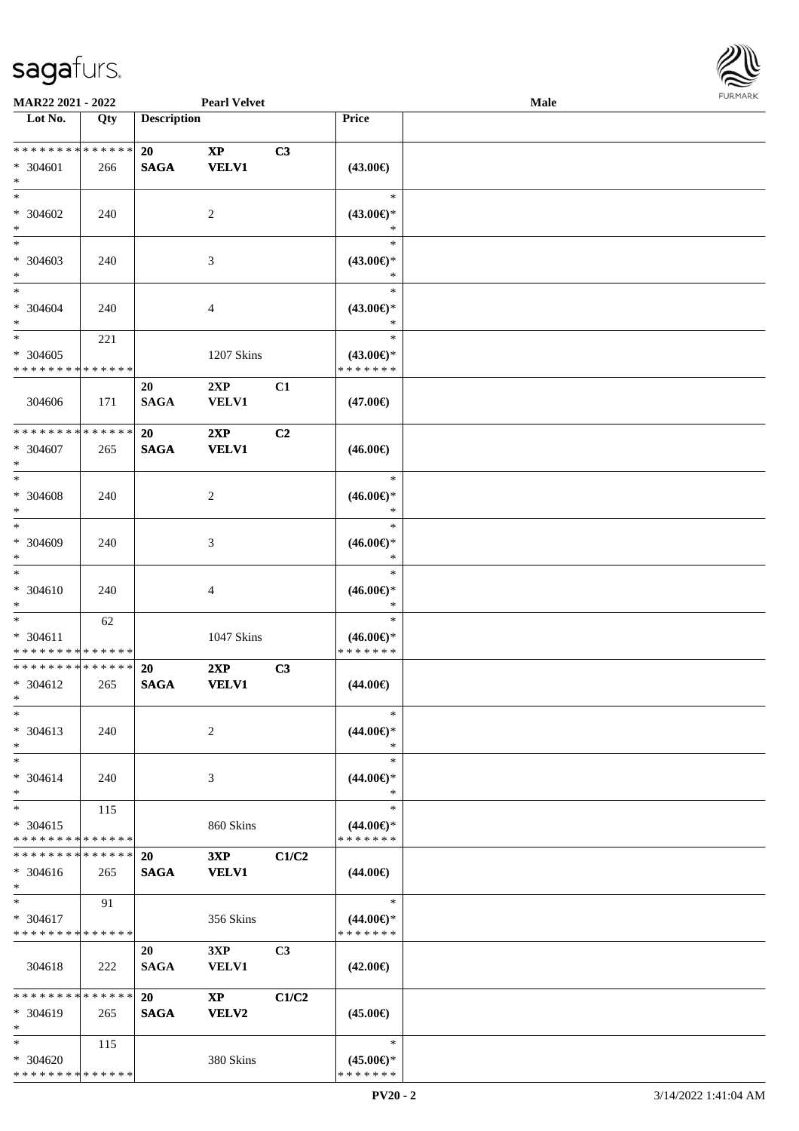

| MAR22 2021 - 2022                                              |     |                    | <b>Pearl Velvet</b>                    |                |                                                | Male |  |
|----------------------------------------------------------------|-----|--------------------|----------------------------------------|----------------|------------------------------------------------|------|--|
| Lot No.                                                        | Qty | <b>Description</b> |                                        |                | <b>Price</b>                                   |      |  |
| **************<br>* 304601<br>$\ast$                           | 266 | 20<br><b>SAGA</b>  | $\mathbf{X}\mathbf{P}$<br><b>VELV1</b> | C3             | $(43.00\epsilon)$                              |      |  |
| $\ast$<br>* 304602<br>$\ast$                                   | 240 |                    | $\overline{c}$                         |                | $\ast$<br>$(43.00\epsilon)$ *<br>$\ast$        |      |  |
| $\ast$<br>* 304603<br>$\ast$<br>$\overline{\phantom{0}}$       | 240 |                    | 3                                      |                | $\ast$<br>$(43.00\epsilon)$ *<br>$\ast$        |      |  |
| $* 304604$<br>$\ast$                                           | 240 |                    | $\overline{4}$                         |                | $\ast$<br>$(43.00\epsilon)$ *<br>$\ast$        |      |  |
| $\overline{\ast}$<br>$* 304605$<br>* * * * * * * * * * * * * * | 221 |                    | 1207 Skins                             |                | $\ast$<br>$(43.00\epsilon)$ *<br>* * * * * * * |      |  |
| 304606                                                         | 171 | 20<br><b>SAGA</b>  | 2XP<br><b>VELV1</b>                    | C1             | $(47.00\epsilon)$                              |      |  |
| * * * * * * * * * * * * * *<br>* 304607<br>$\ast$              | 265 | 20<br><b>SAGA</b>  | 2XP<br><b>VELV1</b>                    | C <sub>2</sub> | $(46.00\epsilon)$                              |      |  |
| $\ast$<br>$* 304608$<br>$\ast$                                 | 240 |                    | $\overline{c}$                         |                | $\ast$<br>$(46.00\epsilon)$ *<br>$\ast$        |      |  |
| $\ast$<br>$* 304609$<br>$\ast$                                 | 240 |                    | 3                                      |                | $\ast$<br>$(46.00\epsilon)$ *<br>$\ast$        |      |  |
| $\ast$<br>$* 304610$<br>$\ast$                                 | 240 |                    | 4                                      |                | $\ast$<br>$(46.00\epsilon)$ *<br>$\ast$        |      |  |
| $\ast$<br>* 304611<br>* * * * * * * * * * * * * *              | 62  |                    | 1047 Skins                             |                | $\ast$<br>$(46.00\epsilon)$ *<br>* * * * * * * |      |  |
| * * * * * * * * * * * * * *<br>* 304612<br>$*$                 | 265 | 20<br><b>SAGA</b>  | 2XP<br><b>VELV1</b>                    | C3             | $(44.00\epsilon)$                              |      |  |
| $\ast$<br>* 304613<br>$\ast$                                   | 240 |                    | 2                                      |                | $\ast$<br>$(44.00\epsilon)$ *<br>∗             |      |  |
| $\ast$<br>* 304614<br>$\ast$                                   | 240 |                    | 3                                      |                | $\ast$<br>$(44.00\epsilon)$ *<br>$\ast$        |      |  |
| $\ast$<br>$* 304615$<br>* * * * * * * * * * * * * *            | 115 |                    | 860 Skins                              |                | $\ast$<br>$(44.00\epsilon)$ *<br>* * * * * * * |      |  |
| * * * * * * * * * * * * * *<br>$* 304616$<br>$*$               | 265 | 20<br><b>SAGA</b>  | 3XP<br><b>VELV1</b>                    | C1/C2          | $(44.00\epsilon)$                              |      |  |
| $\ast$<br>* 304617<br>* * * * * * * * * * * * * *              | 91  |                    | 356 Skins                              |                | $\ast$<br>$(44.00\epsilon)$ *<br>* * * * * * * |      |  |
| 304618                                                         | 222 | 20<br><b>SAGA</b>  | 3XP<br><b>VELV1</b>                    | C <sub>3</sub> | $(42.00\epsilon)$                              |      |  |
| * * * * * * * * * * * * * *<br>* 304619<br>$\ast$              | 265 | 20<br><b>SAGA</b>  | $\mathbf{X}\mathbf{P}$<br><b>VELV2</b> | C1/C2          | $(45.00\epsilon)$                              |      |  |
| $\ast$<br>$* 304620$<br>* * * * * * * * * * * * * *            | 115 |                    | 380 Skins                              |                | $\ast$<br>$(45.00\epsilon)$ *<br>* * * * * * * |      |  |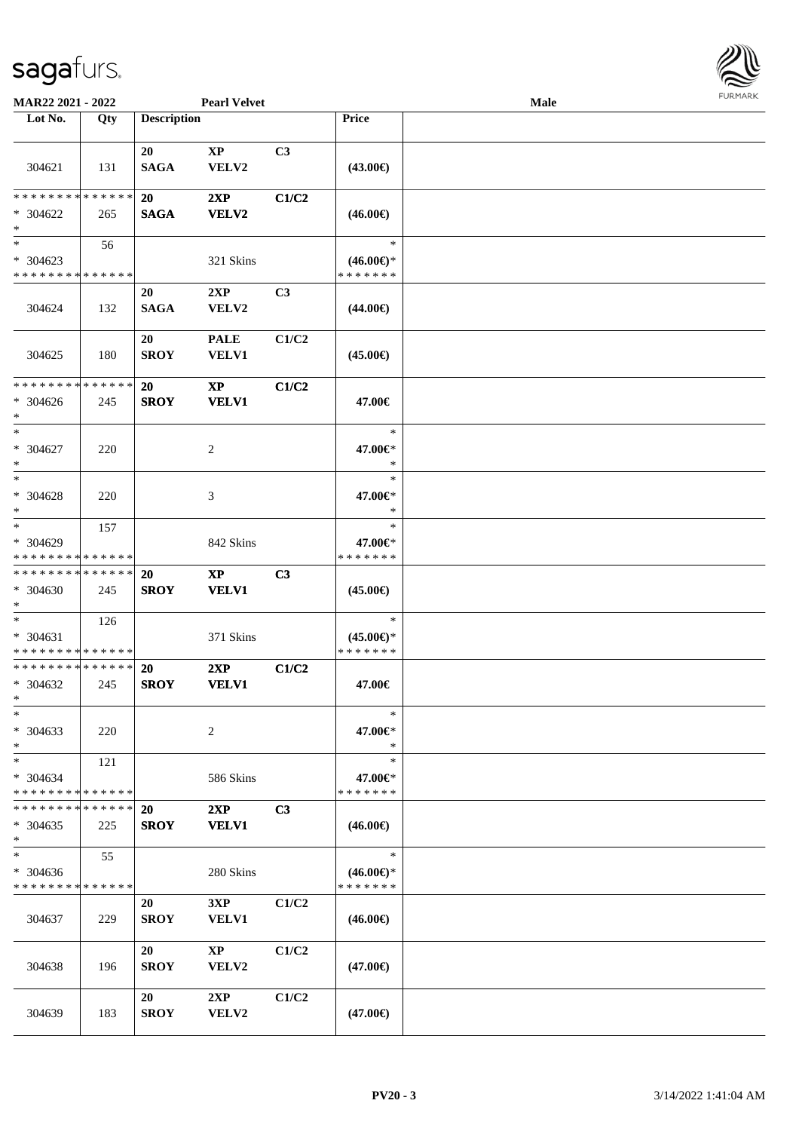

| MAR22 2021 - 2022                                  |                    |                          | <b>Pearl Velvet</b>             |                |                                                | Male |  |
|----------------------------------------------------|--------------------|--------------------------|---------------------------------|----------------|------------------------------------------------|------|--|
| Lot No.                                            | $\overline{Q}$ ty  | <b>Description</b>       |                                 |                | Price                                          |      |  |
| 304621                                             | 131                | 20<br><b>SAGA</b>        | $\bold{XP}$<br>VELV2            | C3             | $(43.00\epsilon)$                              |      |  |
| * * * * * * * *<br>$* 304622$<br>$\ast$            | * * * * * *<br>265 | <b>20</b><br><b>SAGA</b> | 2XP<br>VELV2                    | C1/C2          | $(46.00\epsilon)$                              |      |  |
| $*$<br>$* 304623$<br>* * * * * * * * * * * * * *   | 56                 |                          | 321 Skins                       |                | $\ast$<br>$(46.00€)$ *<br>* * * * * * *        |      |  |
| 304624                                             | 132                | 20<br><b>SAGA</b>        | 2XP<br>VELV2                    | C3             | $(44.00\epsilon)$                              |      |  |
| 304625                                             | 180                | 20<br><b>SROY</b>        | <b>PALE</b><br><b>VELV1</b>     | C1/C2          | $(45.00\epsilon)$                              |      |  |
| * * * * * * * * * * * * * *<br>$* 304626$<br>$*$   | 245                | 20<br><b>SROY</b>        | $\mathbf{XP}$<br><b>VELV1</b>   | C1/C2          | 47.00€                                         |      |  |
| $*$<br>$* 304627$<br>$*$                           | 220                |                          | 2                               |                | ∗<br>47.00€*<br>$\ast$                         |      |  |
| $*$<br>* 304628<br>$*$                             | 220                |                          | 3                               |                | $\ast$<br>47.00€*<br>∗                         |      |  |
| $*$<br>* 304629<br>* * * * * * * * * * * * * *     | 157                |                          | 842 Skins                       |                | $\ast$<br>47.00€*<br>* * * * * * *             |      |  |
| * * * * * * * * * * * * * *<br>* 304630<br>$*$     | 245                | 20<br><b>SROY</b>        | $\bold{XP}$<br><b>VELV1</b>     | C3             | $(45.00\epsilon)$                              |      |  |
| $*$<br>* 304631<br>* * * * * * * * * * * * * *     | 126                |                          | 371 Skins                       |                | $\ast$<br>$(45.00\epsilon)$ *<br>* * * * * * * |      |  |
| * * * * * * * * * * * * * *<br>$* 304632$<br>$*$   | 245                | 20<br><b>SROY</b>        | 2XP<br><b>VELV1</b>             | C1/C2          | 47.00€                                         |      |  |
| $\ast$<br>* 304633<br>$*$                          | 220                |                          | 2                               |                | $\ast$<br>47.00€*<br>$\ast$                    |      |  |
| $*$<br>* 304634<br>* * * * * * * * * * * * * *     | 121                |                          | 586 Skins                       |                | $\ast$<br>47.00€*<br>* * * * * * *             |      |  |
| * * * * * * * * * * * * * * *<br>$* 304635$<br>$*$ | 225                | <b>20</b><br><b>SROY</b> | 2XP<br><b>VELV1</b>             | C <sub>3</sub> | $(46.00\epsilon)$                              |      |  |
| $*$<br>$* 304636$<br>* * * * * * * * * * * * * *   | 55                 |                          | 280 Skins                       |                | $\ast$<br>$(46.00\epsilon)$ *<br>* * * * * * * |      |  |
| 304637                                             | 229                | 20<br><b>SROY</b>        | 3XP<br><b>VELV1</b>             | C1/C2          | $(46.00\epsilon)$                              |      |  |
| 304638                                             | 196                | 20<br><b>SROY</b>        | $\mathbf{X}\mathbf{P}$<br>VELV2 | C1/C2          | $(47.00\epsilon)$                              |      |  |
| 304639                                             | 183                | 20<br><b>SROY</b>        | 2XP<br>${\bf VELV2}$            | C1/C2          | $(47.00\epsilon)$                              |      |  |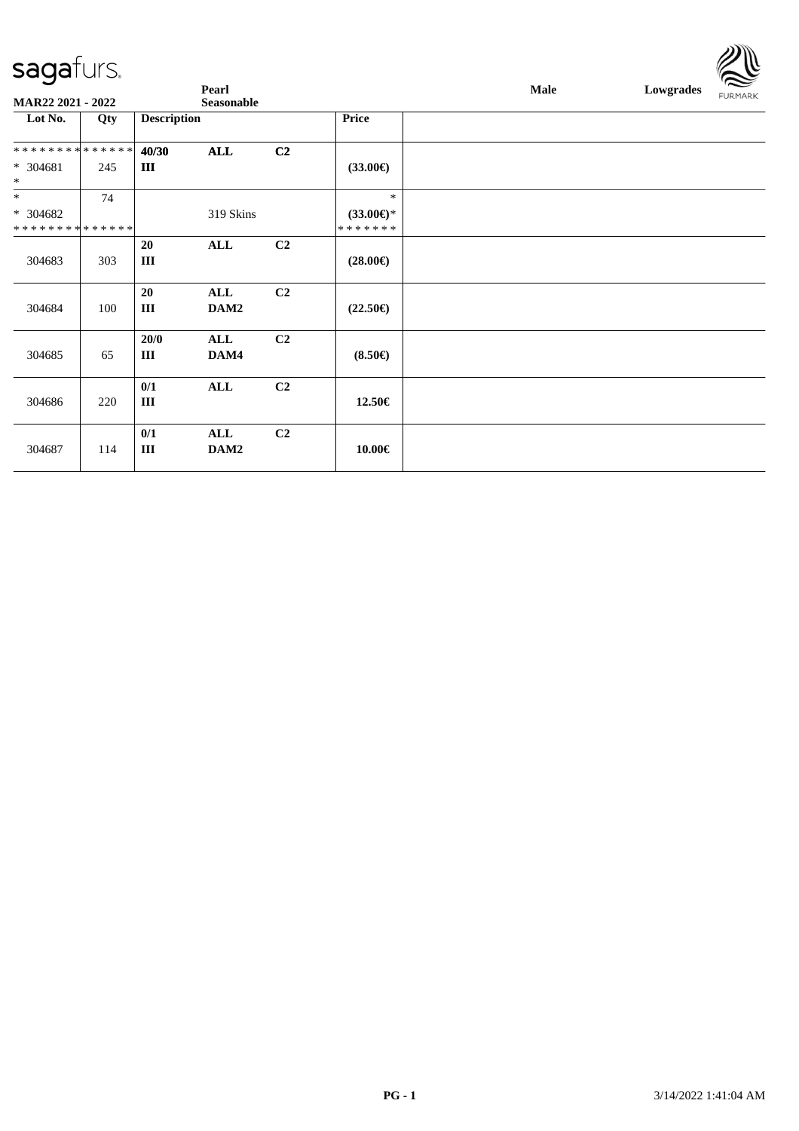

| <b>MAR22 2021 - 2022</b>               |     |                       | Pearl<br>Seasonable |                |                                          | Male | Lowgrades | $\tilde{}$<br><b>FURMARK</b> |
|----------------------------------------|-----|-----------------------|---------------------|----------------|------------------------------------------|------|-----------|------------------------------|
| Lot No.                                | Qty | <b>Description</b>    |                     |                | <b>Price</b>                             |      |           |                              |
| **************<br>$* 304681$<br>$\ast$ | 245 | 40/30<br>$\mathbf{I}$ | <b>ALL</b>          | C2             | $(33.00\epsilon)$                        |      |           |                              |
| $\ast$<br>$* 304682$<br>************** | 74  |                       | 319 Skins           |                | $\ast$<br>$(33.00\epsilon)$ *<br>******* |      |           |                              |
| 304683                                 | 303 | 20<br>III             | ALL                 | C2             | $(28.00\epsilon)$                        |      |           |                              |
| 304684                                 | 100 | 20<br>Ш               | ALL<br>DAM2         | C <sub>2</sub> | $(22.50\epsilon)$                        |      |           |                              |
| 304685                                 | 65  | 20/0<br>Ш             | ALL<br>DAM4         | C2             | $(8.50\epsilon)$                         |      |           |                              |
| 304686                                 | 220 | 0/1<br>$\rm III$      | ALL                 | C2             | 12.50€                                   |      |           |                              |
| 304687                                 | 114 | 0/1<br>$\rm III$      | ALL<br>DAM2         | C <sub>2</sub> | $10.00 \in$                              |      |           |                              |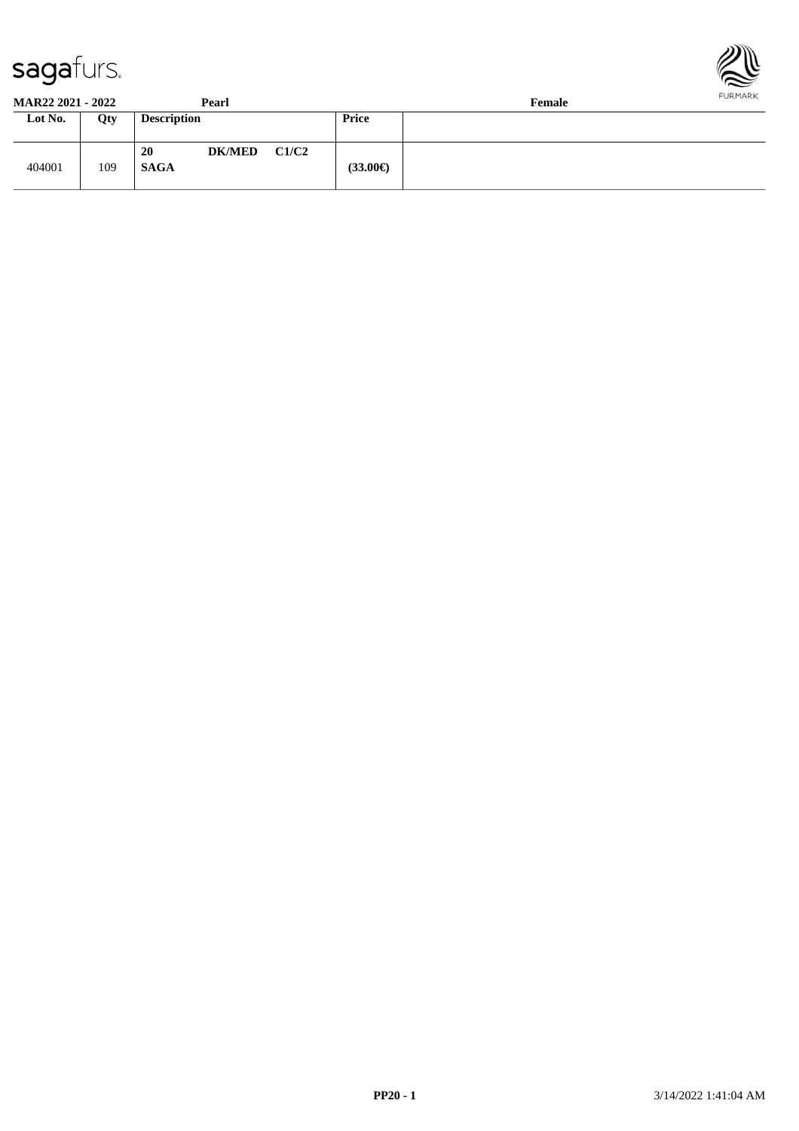



| <b>MAR22 2021 - 2022</b> |            | Pearl                        | .<br>Female |
|--------------------------|------------|------------------------------|-------------|
| Lot No.                  | <b>Oty</b> | <b>Description</b>           | Price       |
|                          |            |                              |             |
|                          |            | C1/C2<br>20<br><b>DK/MED</b> |             |
| 404001                   | 109        | <b>SAGA</b>                  | (33.00€)    |
|                          |            |                              |             |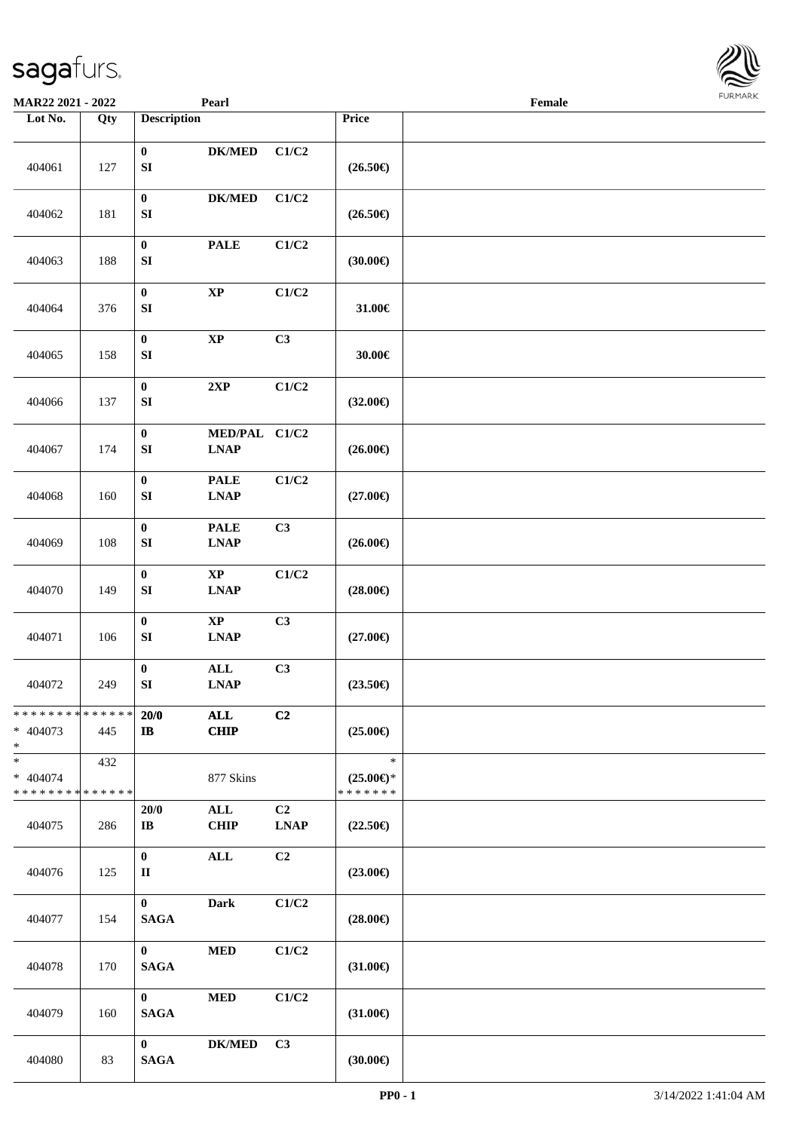| <b>MAR22 2021 - 2022</b>                                      |     |                               | Pearl                                          |                               |                                                | Female |  |
|---------------------------------------------------------------|-----|-------------------------------|------------------------------------------------|-------------------------------|------------------------------------------------|--------|--|
| Lot No.                                                       | Qty | <b>Description</b>            |                                                |                               | Price                                          |        |  |
| 404061                                                        | 127 | $\pmb{0}$<br>${\bf S}{\bf I}$ | <b>DK/MED</b>                                  | C1/C2                         | $(26.50\epsilon)$                              |        |  |
| 404062                                                        | 181 | $\pmb{0}$<br>${\bf S}{\bf I}$ | <b>DK/MED</b>                                  | C1/C2                         | $(26.50\epsilon)$                              |        |  |
| 404063                                                        | 188 | $\pmb{0}$<br>${\bf S}{\bf I}$ | <b>PALE</b>                                    | C1/C2                         | (30.00)                                        |        |  |
| 404064                                                        | 376 | $\pmb{0}$<br>${\bf S}{\bf I}$ | $\bold{XP}$                                    | C1/C2                         | 31.00€                                         |        |  |
| 404065                                                        | 158 | $\pmb{0}$<br>${\bf SI}$       | $\bold{XP}$                                    | C3                            | 30.00€                                         |        |  |
| 404066                                                        | 137 | $\pmb{0}$<br>${\bf S}{\bf I}$ | 2XP                                            | C1/C2                         | $(32.00\epsilon)$                              |        |  |
| 404067                                                        | 174 | $\pmb{0}$<br>${\bf S}{\bf I}$ | MED/PAL C1/C2<br><b>LNAP</b>                   |                               | $(26.00\epsilon)$                              |        |  |
| 404068                                                        | 160 | $\pmb{0}$<br>${\bf SI}$       | <b>PALE</b><br><b>LNAP</b>                     | C1/C2                         | $(27.00\epsilon)$                              |        |  |
| 404069                                                        | 108 | $\pmb{0}$<br>${\bf S}{\bf I}$ | <b>PALE</b><br><b>LNAP</b>                     | C3                            | $(26.00\epsilon)$                              |        |  |
| 404070                                                        | 149 | $\pmb{0}$<br>${\bf S}{\bf I}$ | $\bold{XP}$<br><b>LNAP</b>                     | C1/C2                         | $(28.00\epsilon)$                              |        |  |
| 404071                                                        | 106 | $\pmb{0}$<br>${\bf S}{\bf I}$ | $\bold{XP}$<br><b>LNAP</b>                     | C3                            | $(27.00\epsilon)$                              |        |  |
| 404072                                                        | 249 | $\pmb{0}$<br>${\bf SI}$       | $\mathbf{ALL}$<br>$\ensuremath{\text{L}N\!AP}$ | C3                            | $(23.50\epsilon)$                              |        |  |
| * * * * * * * * <mark>* * * * * * *</mark><br>* 404073<br>$*$ | 445 | 20/0<br>$\mathbf{I}$          | ALL<br><b>CHIP</b>                             | C <sub>2</sub>                | $(25.00\epsilon)$                              |        |  |
| * 404074<br>* * * * * * * * <mark>* * * * * *</mark>          | 432 |                               | 877 Skins                                      |                               | $\ast$<br>$(25.00\epsilon)$ *<br>* * * * * * * |        |  |
| 404075                                                        | 286 | 20/0<br>IB                    | $\mathbf{ALL}$<br><b>CHIP</b>                  | C <sub>2</sub><br><b>LNAP</b> | $(22.50\epsilon)$                              |        |  |
| 404076                                                        | 125 | $\mathbf{0}$<br>$\mathbf{I}$  | ALL                                            | C2                            | $(23.00\epsilon)$                              |        |  |
| 404077                                                        | 154 | $\mathbf{0}$<br><b>SAGA</b>   | <b>Dark</b>                                    | C1/C2                         | $(28.00\epsilon)$                              |        |  |
| 404078                                                        | 170 | $\mathbf{0}$<br><b>SAGA</b>   | $\bf MED$                                      | C1/C2                         | $(31.00\epsilon)$                              |        |  |
| 404079                                                        | 160 | $\mathbf{0}$<br><b>SAGA</b>   | <b>MED</b>                                     | C1/C2                         | $(31.00\in)$                                   |        |  |
| 404080                                                        | 83  | $\mathbf{0}$<br><b>SAGA</b>   | <b>DK/MED</b>                                  | C3                            | (30.00)                                        |        |  |

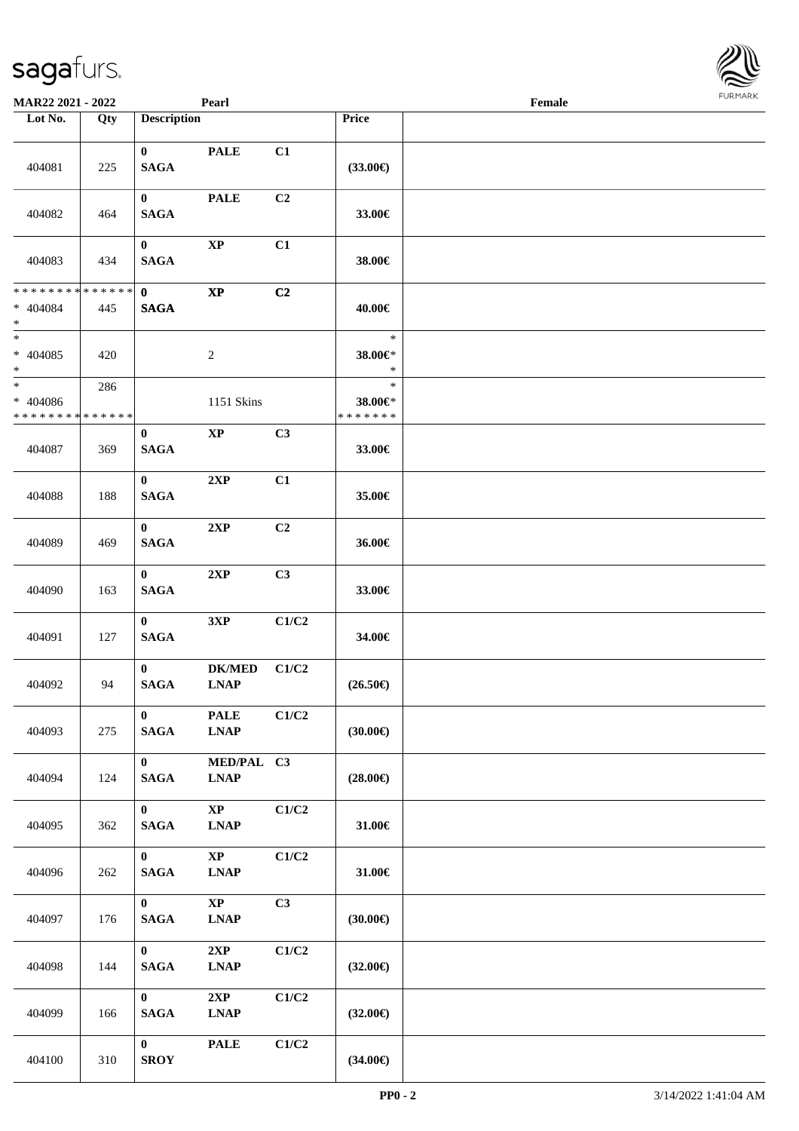| <b>MAR22 2021 - 2022</b>              |                    |                                 | Pearl                                                         |       |                                    | Female |  |
|---------------------------------------|--------------------|---------------------------------|---------------------------------------------------------------|-------|------------------------------------|--------|--|
| Lot No.                               | Qty                | <b>Description</b>              |                                                               |       | Price                              |        |  |
| 404081                                | 225                | $\mathbf{0}$<br><b>SAGA</b>     | <b>PALE</b>                                                   | C1    | $(33.00\epsilon)$                  |        |  |
| 404082                                | 464                | $\mathbf{0}$<br><b>SAGA</b>     | <b>PALE</b>                                                   | C2    | 33.00€                             |        |  |
| 404083                                | 434                | $\mathbf{0}$<br><b>SAGA</b>     | $\bold{XP}$                                                   | C1    | 38.00€                             |        |  |
| **************<br>* 404084<br>$\ast$  | 445                | $\mathbf{0}$<br><b>SAGA</b>     | $\bold{XP}$                                                   | C2    | 40.00€                             |        |  |
| $\ast$<br>* 404085<br>$\ast$          | 420                |                                 | $\sqrt{2}$                                                    |       | $\ast$<br>38.00€*<br>$\ast$        |        |  |
| $\ast$<br>* 404086<br>* * * * * * * * | 286<br>* * * * * * |                                 | 1151 Skins                                                    |       | $\ast$<br>38.00€*<br>* * * * * * * |        |  |
| 404087                                | 369                | $\bf{0}$<br><b>SAGA</b>         | $\mathbf{X}\mathbf{P}$                                        | C3    | 33.00€                             |        |  |
| 404088                                | 188                | $\bf{0}$<br><b>SAGA</b>         | 2XP                                                           | C1    | 35.00€                             |        |  |
| 404089                                | 469                | $\bf{0}$<br><b>SAGA</b>         | 2XP                                                           | C2    | 36.00€                             |        |  |
| 404090                                | 163                | $\mathbf{0}$<br><b>SAGA</b>     | 2XP                                                           | C3    | 33.00€                             |        |  |
| 404091                                | 127                | $\mathbf{0}$<br><b>SAGA</b>     | 3XP                                                           | C1/C2 | 34.00€                             |        |  |
| 404092                                | 94                 | $\mathbf{0}$<br><b>SAGA</b>     | <b>DK/MED</b><br><b>LNAP</b>                                  | C1/C2 | $(26.50\epsilon)$                  |        |  |
| 404093                                | 275                | $\mathbf{0}$<br><b>SAGA</b>     | <b>PALE</b><br>$\ensuremath{\text{L}N\!AP}$                   | C1/C2 | (30.00)                            |        |  |
| 404094                                | 124                | $\mathbf{0}$<br><b>SAGA</b>     | MED/PAL C3<br><b>LNAP</b>                                     |       | $(28.00\epsilon)$                  |        |  |
| 404095                                | 362                | $\mathbf{0}$<br>$\mathbf{SAGA}$ | $\mathbf{X}\mathbf{P}$<br>$\ensuremath{\text{L}N\!AP}\xspace$ | C1/C2 | 31.00 $\in$                        |        |  |
| 404096                                | 262                | $\mathbf{0}$<br>$\mathbf{SAGA}$ | $\bold{XP}$<br>$\ensuremath{\text{L}N\!AP}\xspace$            | C1/C2 | 31.00€                             |        |  |
| 404097                                | 176                | $\mathbf{0}$<br>$\mathbf{SAGA}$ | $\mathbf{X}\mathbf{P}$<br><b>LNAP</b>                         | C3    | (30.00)                            |        |  |
| 404098                                | 144                | $\mathbf{0}$<br>$\mathbf{SAGA}$ | 2XP<br>$\ensuremath{\text{L}N\!AP}\xspace$                    | C1/C2 | $(32.00\epsilon)$                  |        |  |
| 404099                                | 166                | $\mathbf{0}$<br>$\mathbf{SAGA}$ | 2XP<br><b>LNAP</b>                                            | C1/C2 | $(32.00\epsilon)$                  |        |  |
| 404100                                | 310                | $\mathbf{0}$<br><b>SROY</b>     | <b>PALE</b>                                                   | C1/C2 | $(34.00\epsilon)$                  |        |  |

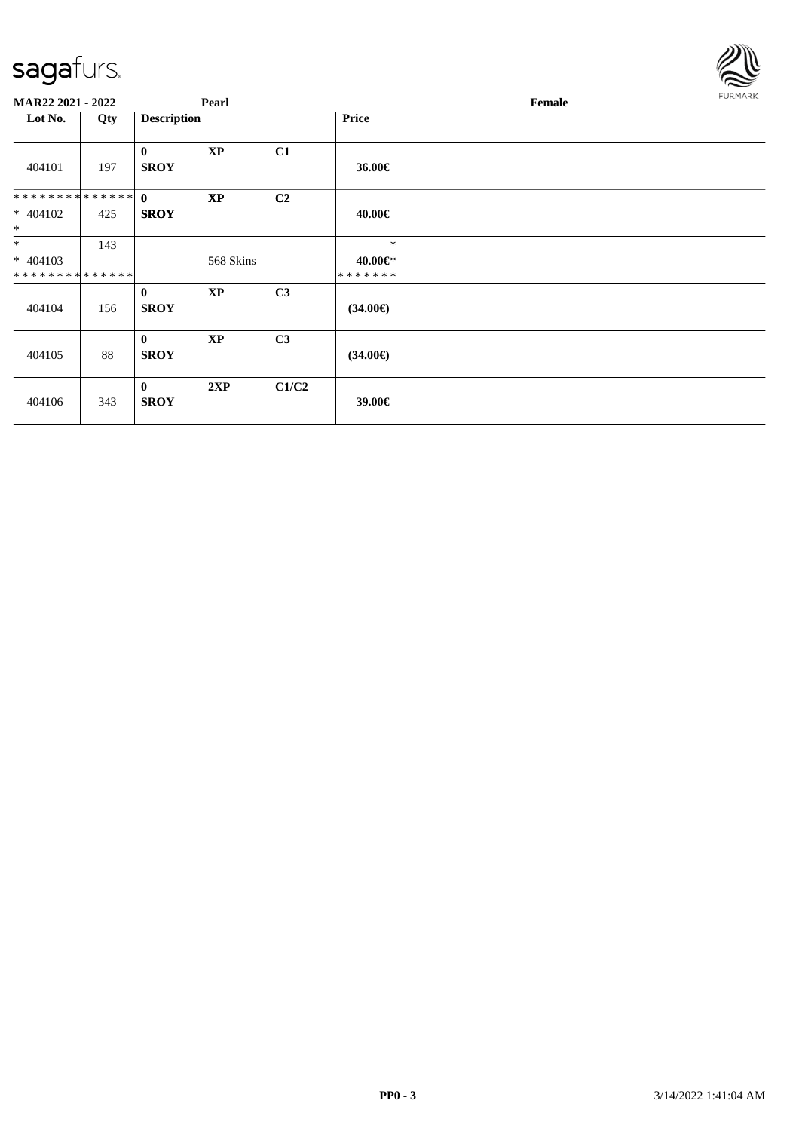

| MAR22 2021 - 2022                        |     |                             | Pearl         |                |                                    | Female | <b>FURMARK</b> |
|------------------------------------------|-----|-----------------------------|---------------|----------------|------------------------------------|--------|----------------|
| Lot No.                                  | Qty | <b>Description</b>          |               |                | <b>Price</b>                       |        |                |
| 404101                                   | 197 | $\mathbf{0}$<br><b>SROY</b> | $\bold{XP}$   | C1             | 36.00€                             |        |                |
| ************** 0<br>$* 404102$<br>$\ast$ | 425 | <b>SROY</b>                 | <b>XP</b>     | C <sub>2</sub> | 40.00€                             |        |                |
| $*$<br>$* 404103$<br>**************      | 143 |                             | 568 Skins     |                | $\ast$<br>40.00€*<br>* * * * * * * |        |                |
| 404104                                   | 156 | $\bf{0}$<br><b>SROY</b>     | <b>XP</b>     | C <sub>3</sub> | $(34.00\epsilon)$                  |        |                |
| 404105                                   | 88  | $\mathbf{0}$<br><b>SROY</b> | $\mathbf{XP}$ | C3             | $(34.00\epsilon)$                  |        |                |
| 404106                                   | 343 | $\mathbf{0}$<br><b>SROY</b> | 2XP           | C1/C2          | 39.00€                             |        |                |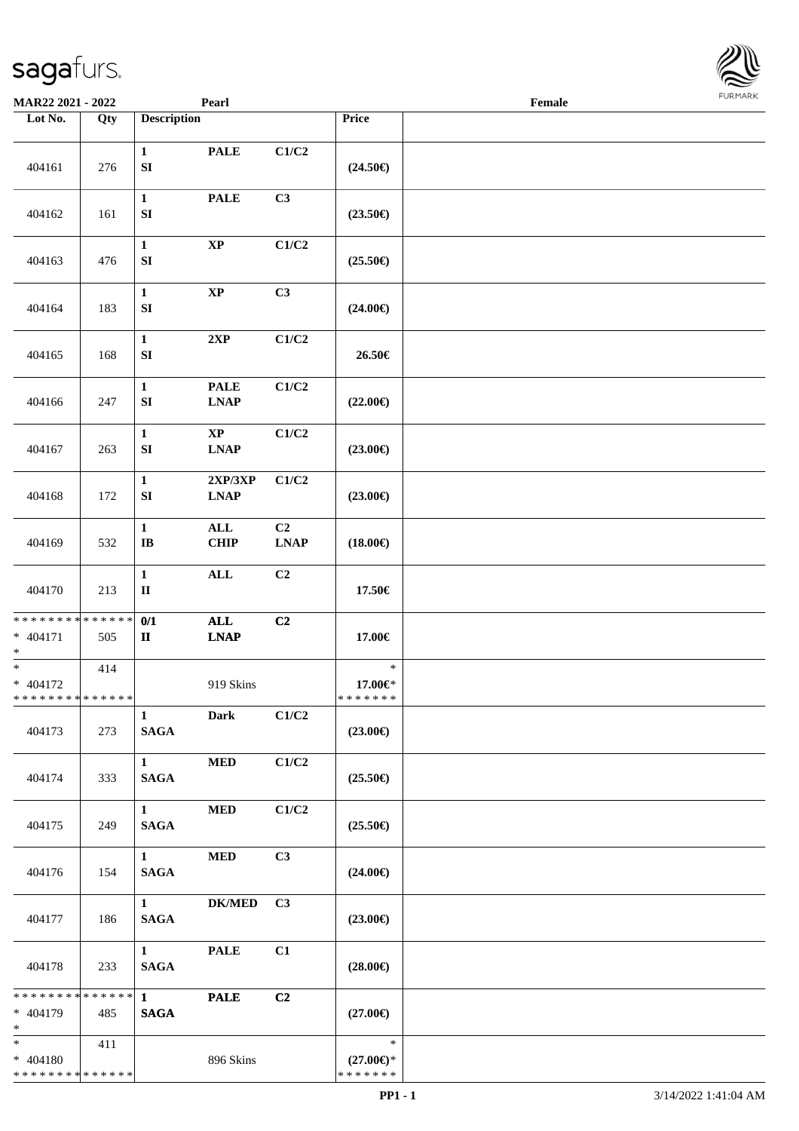

| MAR22 2021 - 2022                                  |     |                                       | Pearl                                       |                   |                                                | Female | 1.911171777 |
|----------------------------------------------------|-----|---------------------------------------|---------------------------------------------|-------------------|------------------------------------------------|--------|-------------|
| Lot No.                                            | Qty | <b>Description</b>                    |                                             |                   | Price                                          |        |             |
| 404161                                             | 276 | $\mathbf{1}$<br>${\bf SI}$            | <b>PALE</b>                                 | C1/C2             | $(24.50\epsilon)$                              |        |             |
| 404162                                             | 161 | $\mathbf{1}$<br>${\bf SI}$            | <b>PALE</b>                                 | C3                | $(23.50\epsilon)$                              |        |             |
| 404163                                             | 476 | $\mathbf{1}$<br>${\bf SI}$            | $\bold{XP}$                                 | C1/C2             | $(25.50\epsilon)$                              |        |             |
| 404164                                             | 183 | $\mathbf{1}$<br>${\bf SI}$            | $\bold{XP}$                                 | C3                | $(24.00\epsilon)$                              |        |             |
| 404165                                             | 168 | $\mathbf{1}$<br>SI                    | 2XP                                         | C1/C2             | 26.50€                                         |        |             |
| 404166                                             | 247 | $\mathbf{1}$<br>SI                    | <b>PALE</b><br><b>LNAP</b>                  | C1/C2             | $(22.00\epsilon)$                              |        |             |
| 404167                                             | 263 | $\mathbf 1$<br>${\bf SI}$             | $\bold{XP}$<br>$\ensuremath{\text{L}N\!AP}$ | C1/C2             | $(23.00\epsilon)$                              |        |             |
| 404168                                             | 172 | $\mathbf{1}$<br>${\bf SI}$            | 2XP/3XP<br><b>LNAP</b>                      | C1/C2             | $(23.00\epsilon)$                              |        |             |
| 404169                                             | 532 | $\mathbf{1}$<br>$\bf I\bf B$          | $\mathbf{ALL}$<br><b>CHIP</b>               | C2<br><b>LNAP</b> | $(18.00\epsilon)$                              |        |             |
| 404170                                             | 213 | $\mathbf{1}$<br>$\rm II$              | $\mathbf{ALL}$                              | C <sub>2</sub>    | 17.50€                                         |        |             |
| * * * * * * * * * * * * * *<br>$* 404171$<br>$*$   | 505 | 0/1<br>$\mathbf{I}\mathbf{I}$         | $\mathbf{ALL}$<br><b>LNAP</b>               | C2                | 17.00€                                         |        |             |
| $*$<br>$* 404172$<br>* * * * * * * * * * * * * * * | 414 |                                       | 919 Skins                                   |                   | $\ast$<br>17.00€*<br>* * * * * * *             |        |             |
| 404173                                             | 273 | $\mathbf{1}$<br><b>SAGA</b>           | <b>Dark</b>                                 | C1/C2             | $(23.00\epsilon)$                              |        |             |
| 404174                                             | 333 | $1 \quad \blacksquare$<br><b>SAGA</b> | <b>MED</b>                                  | C1/C2             | $(25.50\epsilon)$                              |        |             |
| 404175                                             | 249 | $1 \quad \blacksquare$<br><b>SAGA</b> | <b>MED</b>                                  | C1/C2             | $(25.50\epsilon)$                              |        |             |
| 404176                                             | 154 | $1 \quad$<br><b>SAGA</b>              | <b>MED</b>                                  | C3                | $(24.00\epsilon)$                              |        |             |
| 404177                                             | 186 | $1 \quad \blacksquare$<br><b>SAGA</b> | $DK/MED$                                    | C3                | $(23.00\epsilon)$                              |        |             |
| 404178                                             | 233 | 1<br><b>SAGA</b>                      | <b>PALE</b>                                 | C1                | $(28.00\epsilon)$                              |        |             |
| $* 404179$<br>$*$                                  | 485 | <b>SAGA</b>                           | <b>PALE</b>                                 | C2                | $(27.00\epsilon)$                              |        |             |
| $* 404180$<br>* * * * * * * * * * * * * *          | 411 |                                       | 896 Skins                                   |                   | $\ast$<br>$(27.00\epsilon)$ *<br>* * * * * * * |        |             |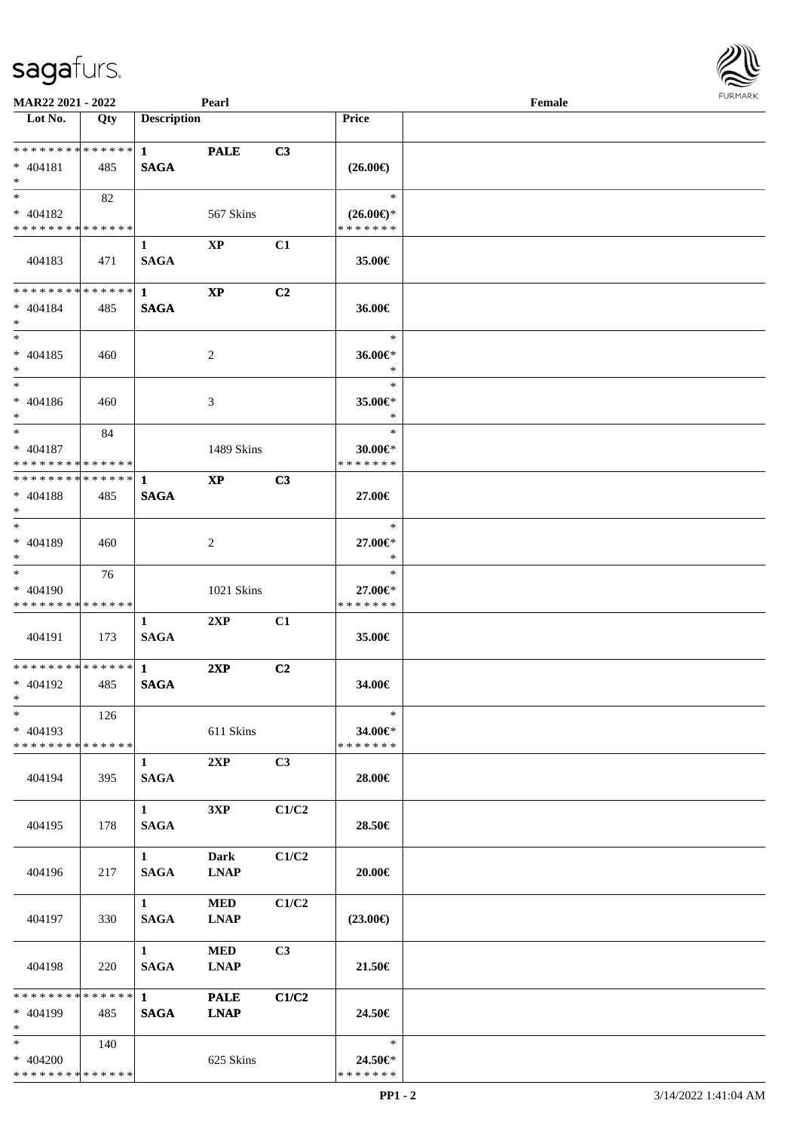| MAR22 2021 - 2022                         |     |                    | Pearl                  |                |                          | Female | <b>FURMAR</b> |
|-------------------------------------------|-----|--------------------|------------------------|----------------|--------------------------|--------|---------------|
| $\overline{\phantom{1}}$ Lot No.          | Qty | <b>Description</b> |                        |                | Price                    |        |               |
| **************                            |     | $1 \quad$          | <b>PALE</b>            | C3             |                          |        |               |
| $* 404181$                                | 485 | <b>SAGA</b>        |                        |                | $(26.00\epsilon)$        |        |               |
| $*$                                       |     |                    |                        |                |                          |        |               |
| $\ast$                                    | 82  |                    |                        |                | $\ast$                   |        |               |
| $* 404182$                                |     |                    | 567 Skins              |                | $(26.00\epsilon)$ *      |        |               |
| * * * * * * * * * * * * * * *             |     |                    |                        |                | * * * * * * *            |        |               |
|                                           |     | $\mathbf{1}$       | $\mathbf{X}\mathbf{P}$ | C1             |                          |        |               |
| 404183                                    | 471 | <b>SAGA</b>        |                        |                | 35.00€                   |        |               |
| * * * * * * * * * * * * * *               |     | $\mathbf{1}$       | $\mathbf{XP}$          | C <sub>2</sub> |                          |        |               |
| $* 404184$                                | 485 | <b>SAGA</b>        |                        |                | 36.00€                   |        |               |
| $*$                                       |     |                    |                        |                |                          |        |               |
| $\ast$                                    |     |                    |                        |                | $\ast$                   |        |               |
| $* 404185$                                | 460 |                    | $\overline{2}$         |                | 36.00€*                  |        |               |
| $\ast$                                    |     |                    |                        |                | $\ast$                   |        |               |
| $\ast$                                    |     |                    |                        |                | $\ast$                   |        |               |
| $* 404186$                                | 460 |                    | 3                      |                | 35.00 $\in$ *            |        |               |
| $*$                                       |     |                    |                        |                | $\ast$                   |        |               |
| $\ast$                                    | 84  |                    |                        |                | $\ast$                   |        |               |
|                                           |     |                    |                        |                |                          |        |               |
| $* 404187$<br>* * * * * * * * * * * * * * |     |                    | 1489 Skins             |                | 30.00€*<br>* * * * * * * |        |               |
| ************** 1                          |     |                    |                        |                |                          |        |               |
|                                           |     |                    | <b>XP</b>              | C3             |                          |        |               |
| $* 404188$                                | 485 | <b>SAGA</b>        |                        |                | 27.00€                   |        |               |
| $*$                                       |     |                    |                        |                |                          |        |               |
| $*$                                       |     |                    |                        |                | $\ast$                   |        |               |
| * 404189                                  | 460 |                    | 2                      |                | 27.00€*                  |        |               |
| $*$<br>$\overline{\phantom{a}^*}$         |     |                    |                        |                | $\ast$                   |        |               |
|                                           | 76  |                    |                        |                | $\ast$                   |        |               |
| * 404190                                  |     |                    | 1021 Skins             |                | 27.00€*                  |        |               |
| * * * * * * * * * * * * * *               |     |                    |                        |                | * * * * * * *            |        |               |
|                                           |     | 1                  | 2XP                    | C1             |                          |        |               |
| 404191                                    | 173 | <b>SAGA</b>        |                        |                | 35.00€                   |        |               |
|                                           |     |                    |                        |                |                          |        |               |
| **************                            |     | $\mathbf{1}$       | 2XP                    | C2             |                          |        |               |
| $* 404192$                                | 485 | <b>SAGA</b>        |                        |                | 34.00€                   |        |               |
| $\ast$                                    |     |                    |                        |                |                          |        |               |
| $\overline{\phantom{a}^*}$                | 126 |                    |                        |                | $\ast$                   |        |               |
| $* 404193$                                |     |                    | 611 Skins              |                | 34.00€*                  |        |               |
| * * * * * * * * * * * * * *               |     |                    |                        |                | * * * * * * *            |        |               |
|                                           |     | $\mathbf{1}$       | 2XP                    | C3             |                          |        |               |
| 404194                                    | 395 | <b>SAGA</b>        |                        |                | $28.00 \in$              |        |               |
|                                           |     |                    |                        |                |                          |        |               |
|                                           |     | $\mathbf{1}$       | 3XP                    | C1/C2          |                          |        |               |
| 404195                                    | 178 | <b>SAGA</b>        |                        |                | 28.50€                   |        |               |
|                                           |     |                    |                        |                |                          |        |               |
|                                           |     | $\mathbf{1}$       | Dark                   | C1/C2          |                          |        |               |
| 404196                                    | 217 | <b>SAGA</b>        | <b>LNAP</b>            |                | 20.00€                   |        |               |
|                                           |     |                    |                        |                |                          |        |               |
|                                           |     | $\mathbf{1}$       | $\bf MED$              | C1/C2          |                          |        |               |
| 404197                                    | 330 | <b>SAGA</b>        | <b>LNAP</b>            |                | $(23.00\epsilon)$        |        |               |
|                                           |     |                    |                        |                |                          |        |               |
|                                           |     | $\mathbf{1}$       | $\bf MED$              | C <sub>3</sub> |                          |        |               |
| 404198                                    | 220 | <b>SAGA</b>        | <b>LNAP</b>            |                | 21.50€                   |        |               |
|                                           |     |                    |                        |                |                          |        |               |
| * * * * * * * * * * * * * *               |     | $\mathbf{1}$       | <b>PALE</b>            | C1/C2          |                          |        |               |
| $* 404199$                                | 485 |                    |                        |                | 24.50€                   |        |               |
| $*$                                       |     | <b>SAGA</b>        | <b>LNAP</b>            |                |                          |        |               |
| $\ast$                                    |     |                    |                        |                | $\ast$                   |        |               |
|                                           | 140 |                    |                        |                |                          |        |               |
| $* 404200$<br>* * * * * * * * * * * * * * |     |                    | 625 Skins              |                | 24.50€*<br>* * * * * * * |        |               |
|                                           |     |                    |                        |                |                          |        |               |

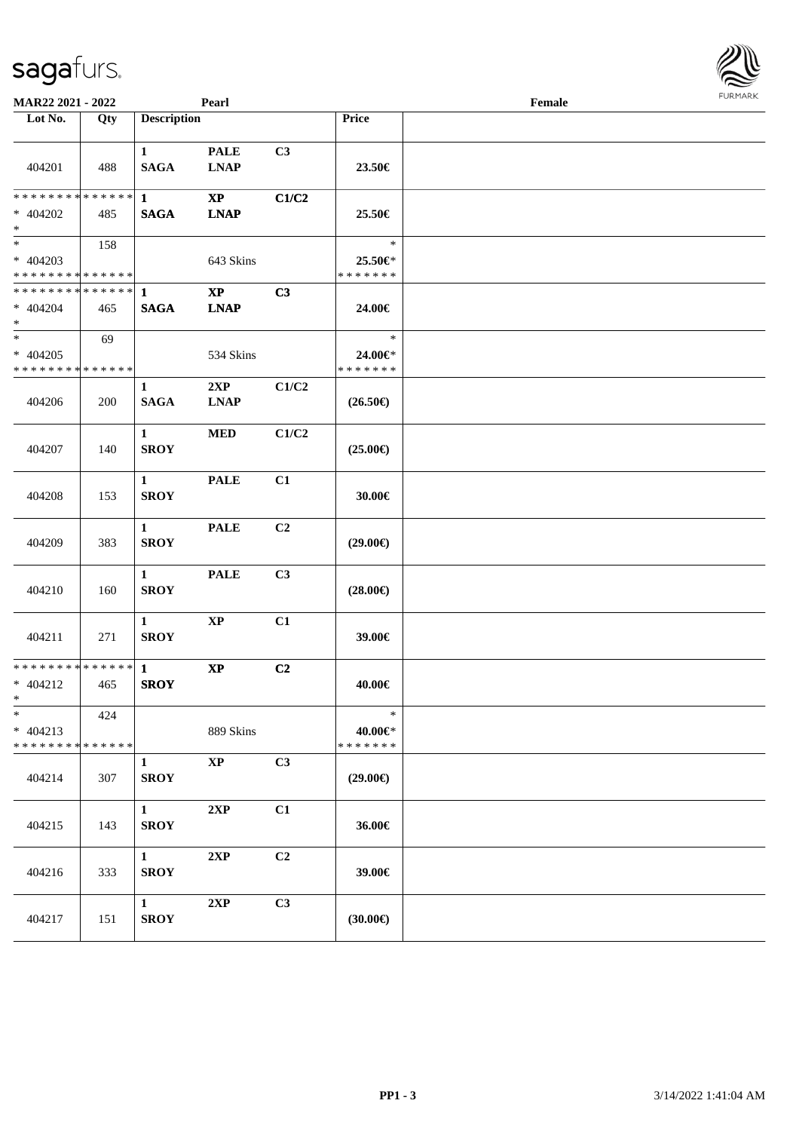| MAR22 2021 - 2022                                      |     |                             | Pearl                                 |                |                                    | Female |  |
|--------------------------------------------------------|-----|-----------------------------|---------------------------------------|----------------|------------------------------------|--------|--|
| Lot No.                                                | Qty | <b>Description</b>          |                                       |                | Price                              |        |  |
| 404201                                                 | 488 | $\mathbf{1}$<br><b>SAGA</b> | <b>PALE</b><br><b>LNAP</b>            | C3             | 23.50€                             |        |  |
| ******** <mark>******</mark><br>* 404202<br>$*$        | 485 | $\mathbf{1}$<br><b>SAGA</b> | <b>XP</b><br><b>LNAP</b>              | C1/C2          | 25.50€                             |        |  |
| $* 404203$<br>* * * * * * * * * * * * * * *            | 158 |                             | 643 Skins                             |                | $\ast$<br>25.50€*<br>* * * * * * * |        |  |
| ******** <mark>******</mark><br>$* 404204$<br>$*$      | 465 | $\mathbf{1}$<br><b>SAGA</b> | $\mathbf{X}\mathbf{P}$<br><b>LNAP</b> | C3             | 24.00€                             |        |  |
| $*$<br>$* 404205$<br>* * * * * * * * * * * * * *       | 69  |                             | 534 Skins                             |                | $\ast$<br>24.00€*<br>* * * * * * * |        |  |
| 404206                                                 | 200 | $\mathbf{1}$<br><b>SAGA</b> | 2XP<br><b>LNAP</b>                    | C1/C2          | $(26.50\epsilon)$                  |        |  |
| 404207                                                 | 140 | $\mathbf{1}$<br><b>SROY</b> | <b>MED</b>                            | C1/C2          | $(25.00\epsilon)$                  |        |  |
| 404208                                                 | 153 | $\mathbf{1}$<br><b>SROY</b> | <b>PALE</b>                           | C1             | 30.00€                             |        |  |
| 404209                                                 | 383 | $\mathbf{1}$<br><b>SROY</b> | <b>PALE</b>                           | C <sub>2</sub> | $(29.00\epsilon)$                  |        |  |
| 404210                                                 | 160 | $\mathbf{1}$<br><b>SROY</b> | <b>PALE</b>                           | C3             | $(28.00\epsilon)$                  |        |  |
| 404211                                                 | 271 | $\mathbf{1}$<br><b>SROY</b> | $\bold{XP}$                           | C1             | 39.00€                             |        |  |
| * * * * * * * * * * * * * * *<br>$* 404212$<br>$*$ $*$ | 465 | $\mathbf{1}$<br><b>SROY</b> | $\bold{XP}$                           | C2             | 40.00€                             |        |  |
| $\ast$<br>$* 404213$<br>* * * * * * * * * * * * * *    | 424 |                             | 889 Skins                             |                | $\ast$<br>40.00€*<br>* * * * * * * |        |  |
| 404214                                                 | 307 | $\mathbf{1}$<br><b>SROY</b> | $\mathbf{XP}$                         | C3             | $(29.00\epsilon)$                  |        |  |
| 404215                                                 | 143 | $\mathbf{1}$<br><b>SROY</b> | 2XP                                   | C1             | 36.00€                             |        |  |
| 404216                                                 | 333 | $\mathbf{1}$<br><b>SROY</b> | 2XP                                   | C <sub>2</sub> | 39.00€                             |        |  |
| 404217                                                 | 151 | $1 \quad$<br><b>SROY</b>    | 2XP                                   | C3             | $(30.00\in)$                       |        |  |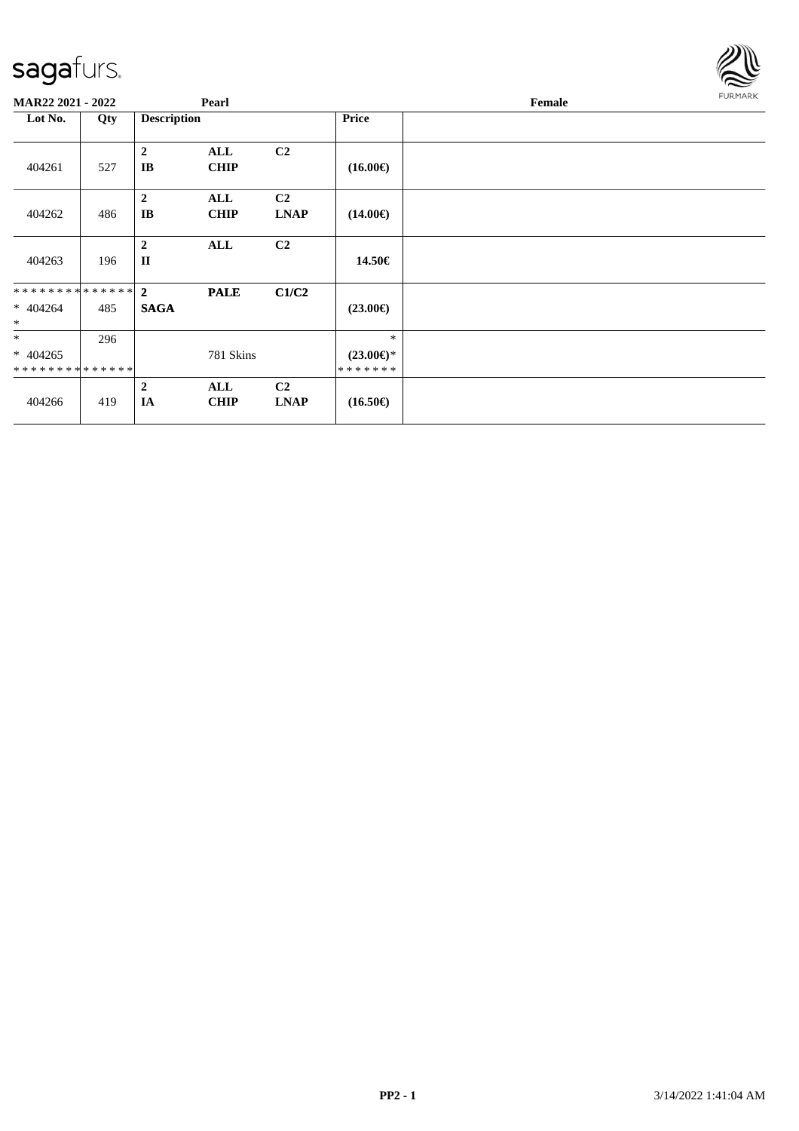

| MAR22 2021 - 2022                        |     | Pearl                          |                    |                               |                                          | Female | <b>FURMARK</b> |
|------------------------------------------|-----|--------------------------------|--------------------|-------------------------------|------------------------------------------|--------|----------------|
| Lot No.                                  | Qty | <b>Description</b>             |                    |                               | Price                                    |        |                |
| 404261                                   | 527 | $\boldsymbol{2}$<br>IB         | ALL<br><b>CHIP</b> | C <sub>2</sub>                | $(16.00\epsilon)$                        |        |                |
| 404262                                   | 486 | $\boldsymbol{2}$<br>IB         | ALL<br><b>CHIP</b> | C2<br><b>LNAP</b>             | $(14.00\epsilon)$                        |        |                |
| 404263                                   | 196 | $\overline{2}$<br>$\mathbf{I}$ | ALL                | C <sub>2</sub>                | 14.50€                                   |        |                |
| ************** 2<br>$* 404264$<br>$\ast$ | 485 | <b>SAGA</b>                    | <b>PALE</b>        | C1/C2                         | $(23.00\epsilon)$                        |        |                |
| $*$<br>$* 404265$<br>**************      | 296 |                                | 781 Skins          |                               | $\ast$<br>$(23.00\epsilon)$ *<br>******* |        |                |
| 404266                                   | 419 | $\overline{2}$<br>IA           | ALL<br><b>CHIP</b> | C <sub>2</sub><br><b>LNAP</b> | $(16.50\epsilon)$                        |        |                |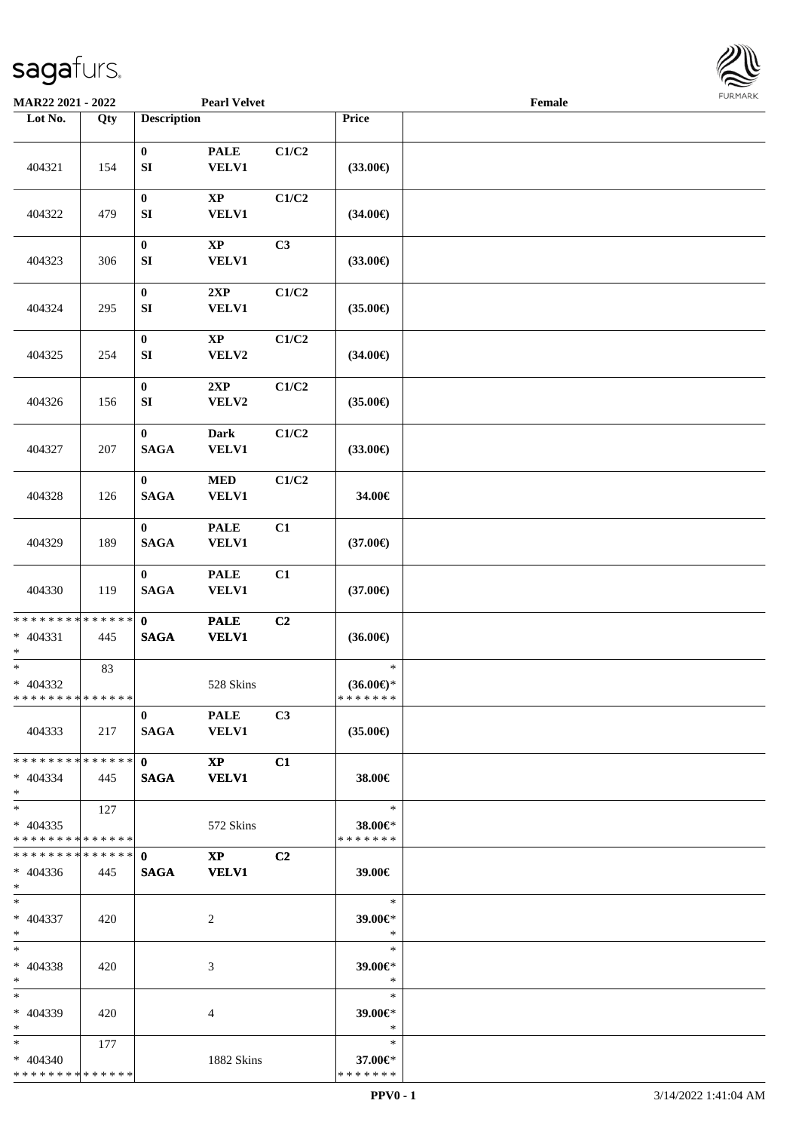

| MAR22 2021 - 2022                                        |     |                               | <b>Pearl Velvet</b>                     |                |                                          | Female |  |
|----------------------------------------------------------|-----|-------------------------------|-----------------------------------------|----------------|------------------------------------------|--------|--|
| Lot No.                                                  | Qty | <b>Description</b>            |                                         |                | Price                                    |        |  |
| 404321                                                   | 154 | $\bf{0}$<br>${\bf S}{\bf I}$  | <b>PALE</b><br><b>VELV1</b>             | C1/C2          | $(33.00\epsilon)$                        |        |  |
| 404322                                                   | 479 | $\bf{0}$<br>SI                | $\bold{XP}$<br><b>VELV1</b>             | C1/C2          | $(34.00\epsilon)$                        |        |  |
| 404323                                                   | 306 | $\boldsymbol{0}$<br>SI        | $\bold{XP}$<br><b>VELV1</b>             | C <sub>3</sub> | $(33.00\epsilon)$                        |        |  |
| 404324                                                   | 295 | $\bf{0}$<br>SI                | 2XP<br><b>VELV1</b>                     | C1/C2          | $(35.00\epsilon)$                        |        |  |
| 404325                                                   | 254 | $\boldsymbol{0}$<br>SI        | $\bold{XP}$<br>VELV2                    | C1/C2          | $(34.00\epsilon)$                        |        |  |
| 404326                                                   | 156 | $\bf{0}$<br>SI                | 2XP<br>VELV2                            | C1/C2          | $(35.00\epsilon)$                        |        |  |
| 404327                                                   | 207 | $\mathbf{0}$<br><b>SAGA</b>   | <b>Dark</b><br><b>VELV1</b>             | C1/C2          | $(33.00\epsilon)$                        |        |  |
| 404328                                                   | 126 | $\bf{0}$<br><b>SAGA</b>       | $\bf MED$<br><b>VELV1</b>               | C1/C2          | 34.00€                                   |        |  |
| 404329                                                   | 189 | $\bf{0}$<br><b>SAGA</b>       | <b>PALE</b><br><b>VELV1</b>             | C1             | $(37.00\epsilon)$                        |        |  |
| 404330                                                   | 119 | $\bf{0}$<br><b>SAGA</b>       | <b>PALE</b><br><b>VELV1</b>             | C1             | $(37.00\epsilon)$                        |        |  |
| * * * * * * * * * * * * * * *<br>$* 404331$<br>$*$       | 445 | $\mathbf{0}$<br><b>SAGA</b>   | <b>PALE</b><br><b>VELV1</b>             | C <sub>2</sub> | $(36.00\epsilon)$                        |        |  |
| $*$<br>* 404332<br>******** <mark>******</mark>          | 83  |                               | 528 Skins                               |                | $\ast$<br>$(36.00\epsilon)$ *<br>******* |        |  |
| 404333                                                   | 217 | $\mathbf{0}$<br>SAGA          | <b>PALE</b><br><b>VELV1</b>             | C3             | $(35.00\epsilon)$                        |        |  |
| * * * * * * * * * * * * * * *<br>$* 404334$<br>$*$       | 445 | $\mathbf{0}$ and $\mathbf{0}$ | $\mathbf{X}\mathbf{P}$<br>SAGA VELV1    | C1             | 38.00€                                   |        |  |
| $*$ $*$<br>$* 404335$<br>* * * * * * * * * * * * * * *   | 127 |                               | 572 Skins                               |                | $\ast$<br>38.00€*<br>* * * * * * *       |        |  |
| * * * * * * * * * * * * * * *<br>$* 404336$<br>$*$       | 445 | $\mathbf{0}$<br><b>SAGA</b>   | $\mathbf{X} \mathbf{P}$<br><b>VELV1</b> | C <sub>2</sub> | 39.00€                                   |        |  |
| $*$ $-$<br>$* 404337$<br>$*$ $*$                         | 420 |                               | 2                                       |                | $\ast$<br>39.00€*<br>*                   |        |  |
| $*$<br>$* 404338$<br>$*$                                 | 420 |                               | 3                                       |                | $\ast$<br>39.00€*<br>$\ast$              |        |  |
| $*$<br>* 404339<br>$*$                                   | 420 |                               | 4                                       |                | $\ast$<br>39.00€*<br>$\ast$              |        |  |
| $*$ and $*$<br>$* 404340$<br>* * * * * * * * * * * * * * | 177 |                               | 1882 Skins                              |                | $\ast$<br>37.00€*<br>* * * * * * *       |        |  |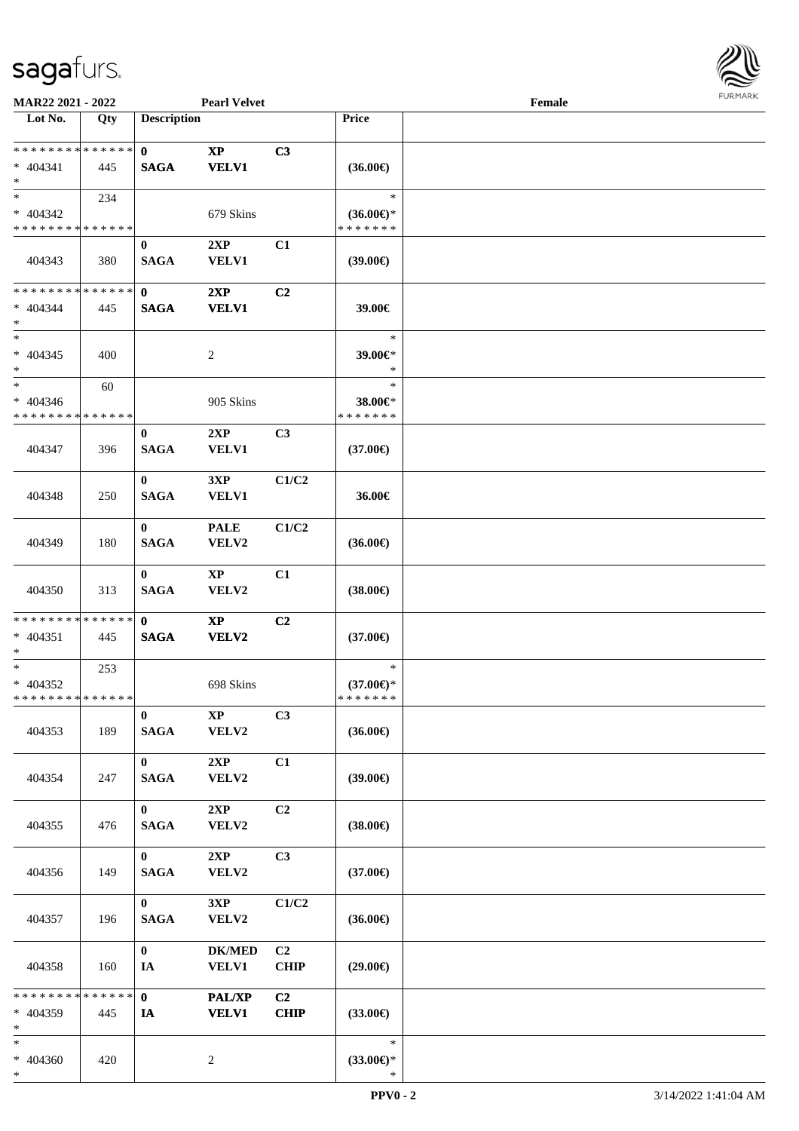

| MAR22 2021 - 2022                                   |     |                             | <b>Pearl Velvet</b>             |                   |                                                | Female |  |
|-----------------------------------------------------|-----|-----------------------------|---------------------------------|-------------------|------------------------------------------------|--------|--|
| Lot No.                                             | Qty | <b>Description</b>          |                                 |                   | Price                                          |        |  |
| ******** <mark>******</mark><br>$* 404341$<br>$*$   | 445 | $\mathbf{0}$<br><b>SAGA</b> | $\bold{XP}$<br><b>VELV1</b>     | C3                | $(36.00\epsilon)$                              |        |  |
| $*$<br>$* 404342$<br>* * * * * * * * * * * * * *    | 234 |                             | 679 Skins                       |                   | $\ast$<br>$(36.00€)$ *<br>* * * * * * *        |        |  |
| 404343                                              | 380 | $\mathbf{0}$<br><b>SAGA</b> | 2XP<br><b>VELV1</b>             | C1                | (39.00)                                        |        |  |
| * * * * * * * * * * * * * *<br>$* 404344$<br>$*$    | 445 | $\mathbf{0}$<br><b>SAGA</b> | 2XP<br><b>VELV1</b>             | C2                | 39.00€                                         |        |  |
| $*$<br>$* 404345$<br>$*$                            | 400 |                             | 2                               |                   | $\ast$<br>39.00€*<br>$\ast$                    |        |  |
| $\ast$<br>$* 404346$<br>* * * * * * * * * * * * * * | 60  |                             | 905 Skins                       |                   | $\ast$<br>38.00€*<br>* * * * * * *             |        |  |
| 404347                                              | 396 | $\bf{0}$<br><b>SAGA</b>     | 2XP<br>VELV1                    | C3                | $(37.00\epsilon)$                              |        |  |
| 404348                                              | 250 | $\bf{0}$<br><b>SAGA</b>     | 3XP<br><b>VELV1</b>             | C1/C2             | 36.00€                                         |        |  |
| 404349                                              | 180 | $\mathbf{0}$<br><b>SAGA</b> | <b>PALE</b><br>VELV2            | C1/C2             | $(36.00\epsilon)$                              |        |  |
| 404350                                              | 313 | $\mathbf{0}$<br><b>SAGA</b> | $\bold{XP}$<br>VELV2            | C1                | $(38.00\epsilon)$                              |        |  |
| * * * * * * * * * * * * * * *<br>$* 404351$<br>$*$  | 445 | $\mathbf{0}$<br><b>SAGA</b> | $\mathbf{X}\mathbf{P}$<br>VELV2 | C2                | $(37.00\epsilon)$                              |        |  |
| $*$<br>$* 404352$<br>* * * * * * * * * * * * * * *  | 253 |                             | 698 Skins                       |                   | $\ast$<br>$(37.00\epsilon)$ *<br>* * * * * * * |        |  |
| 404353                                              | 189 | $\mathbf{0}$<br><b>SAGA</b> | <b>XP</b><br>VELV2              | C3                | $(36.00\epsilon)$                              |        |  |
| 404354                                              | 247 | $\mathbf{0}$<br><b>SAGA</b> | 2XP<br>VELV2                    | C1                | (39.00)                                        |        |  |
| 404355                                              | 476 | $\mathbf{0}$<br><b>SAGA</b> | 2XP<br>VELV2                    | C2                | $(38.00\epsilon)$                              |        |  |
| 404356                                              | 149 | $\mathbf{0}$<br><b>SAGA</b> | 2XP<br>VELV2                    | C3                | $(37.00\epsilon)$                              |        |  |
| 404357                                              | 196 | $\mathbf{0}$<br><b>SAGA</b> | 3XP<br>VELV2                    | C1/C2             | $(36.00\epsilon)$                              |        |  |
| 404358                                              | 160 | $\bf{0}$<br>IA              | <b>DK/MED</b><br><b>VELV1</b>   | C2<br><b>CHIP</b> | $(29.00\epsilon)$                              |        |  |
| * * * * * * * * * * * * * * *<br>* 404359<br>$\ast$ | 445 | $\mathbf{0}$<br>IA          | PAL/XP<br><b>VELV1</b>          | C2<br><b>CHIP</b> | $(33.00\epsilon)$                              |        |  |
| $*$<br>* 404360<br>$\ast$                           | 420 |                             | $\overline{c}$                  |                   | $\ast$<br>$(33.00\epsilon)$ *<br>$\ast$        |        |  |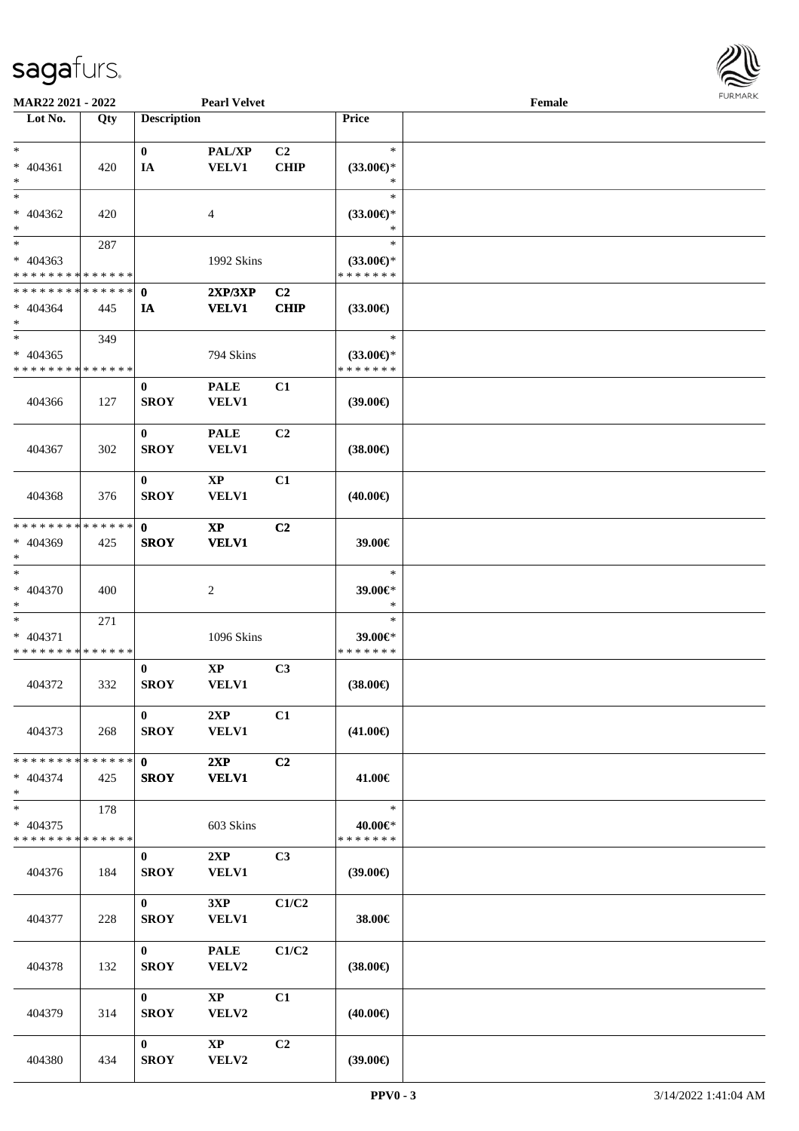

| MAR22 2021 - 2022                          |             |                    | <b>Pearl Velvet</b>    |                |                     | Female |  |
|--------------------------------------------|-------------|--------------------|------------------------|----------------|---------------------|--------|--|
| Lot No.                                    | Qty         | <b>Description</b> |                        |                | Price               |        |  |
|                                            |             |                    |                        |                |                     |        |  |
| $\ast$                                     |             | $\bf{0}$           | PAL/XP                 | C <sub>2</sub> | $\ast$              |        |  |
| * 404361                                   | 420         | IA                 | <b>VELV1</b>           | CHIP           | $(33.00\epsilon)$ * |        |  |
| $\ast$                                     |             |                    |                        |                | $\ast$              |        |  |
| $*$                                        |             |                    |                        |                | $\ast$              |        |  |
|                                            |             |                    |                        |                |                     |        |  |
| $* 404362$                                 | 420         |                    | 4                      |                | $(33.00\epsilon)$ * |        |  |
| $\ast$                                     |             |                    |                        |                | ∗                   |        |  |
| $\ast$                                     | 287         |                    |                        |                | $\ast$              |        |  |
| * 404363                                   |             |                    | 1992 Skins             |                | $(33.00\epsilon)$ * |        |  |
| * * * * * * * * * * * * * *                |             |                    |                        |                | * * * * * * *       |        |  |
| * * * * * * * * * * * * * *                |             | $\mathbf 0$        | 2XP/3XP                | C2             |                     |        |  |
| $* 404364$                                 | 445         | IA                 | <b>VELV1</b>           | <b>CHIP</b>    | $(33.00\epsilon)$   |        |  |
| $*$                                        |             |                    |                        |                |                     |        |  |
| $*$                                        |             |                    |                        |                | $\ast$              |        |  |
|                                            | 349         |                    |                        |                |                     |        |  |
| $* 404365$                                 |             |                    | 794 Skins              |                | $(33.00\epsilon)$ * |        |  |
| * * * * * * * * * * * * * *                |             |                    |                        |                | * * * * * * *       |        |  |
|                                            |             | $\bf{0}$           | <b>PALE</b>            | C1             |                     |        |  |
| 404366                                     | 127         | <b>SROY</b>        | <b>VELV1</b>           |                | (39.00)             |        |  |
|                                            |             |                    |                        |                |                     |        |  |
|                                            |             | $\mathbf{0}$       | <b>PALE</b>            | C2             |                     |        |  |
|                                            |             |                    |                        |                |                     |        |  |
| 404367                                     | 302         | <b>SROY</b>        | VELV1                  |                | $(38.00\epsilon)$   |        |  |
|                                            |             |                    |                        |                |                     |        |  |
|                                            |             | $\bf{0}$           | $\mathbf{XP}$          | C1             |                     |        |  |
| 404368                                     | 376         | <b>SROY</b>        | VELV1                  |                | $(40.00\epsilon)$   |        |  |
|                                            |             |                    |                        |                |                     |        |  |
| * * * * * * * *                            | * * * * * * | $\mathbf 0$        | $\mathbf{X}\mathbf{P}$ | C2             |                     |        |  |
| * 404369                                   | 425         | <b>SROY</b>        | <b>VELV1</b>           |                | 39.00€              |        |  |
| $*$                                        |             |                    |                        |                |                     |        |  |
| $\ast$                                     |             |                    |                        |                | $\ast$              |        |  |
|                                            |             |                    |                        |                |                     |        |  |
| $* 404370$                                 | 400         |                    | 2                      |                | 39.00€*             |        |  |
| $*$                                        |             |                    |                        |                | $\ast$              |        |  |
| $\ast$                                     | 271         |                    |                        |                | $\ast$              |        |  |
| * 404371                                   |             |                    | 1096 Skins             |                | 39.00€*             |        |  |
| * * * * * * * * * * * * * *                |             |                    |                        |                | * * * * * * *       |        |  |
|                                            |             | $\bf{0}$           | $\bold{XP}$            | C3             |                     |        |  |
| 404372                                     | 332         | <b>SROY</b>        | VELV1                  |                | $(38.00\epsilon)$   |        |  |
|                                            |             |                    |                        |                |                     |        |  |
|                                            |             | $\mathbf{0}$       |                        |                |                     |        |  |
|                                            |             |                    | 2XP                    | C1             |                     |        |  |
| 404373                                     | 268         | <b>SROY</b>        | <b>VELV1</b>           |                | $(41.00\epsilon)$   |        |  |
|                                            |             |                    |                        |                |                     |        |  |
| * * * * * * * * <mark>* * * * * * *</mark> |             | $\mathbf{0}$       | 2XP                    | C2             |                     |        |  |
| * 404374                                   | 425         | <b>SROY</b>        | <b>VELV1</b>           |                | 41.00€              |        |  |
| $*$                                        |             |                    |                        |                |                     |        |  |
| $*$                                        | 178         |                    |                        |                | $\ast$              |        |  |
| $* 404375$                                 |             |                    | 603 Skins              |                | 40.00€*             |        |  |
| * * * * * * * * * * * * * *                |             |                    |                        |                | * * * * * * *       |        |  |
|                                            |             |                    |                        |                |                     |        |  |
|                                            |             | $\bf{0}$           | 2XP                    | C3             |                     |        |  |
| 404376                                     | 184         | <b>SROY</b>        | <b>VELV1</b>           |                | $(39.00\epsilon)$   |        |  |
|                                            |             |                    |                        |                |                     |        |  |
|                                            |             | $\mathbf{0}$       | 3XP                    | C1/C2          |                     |        |  |
| 404377                                     | 228         | <b>SROY</b>        | <b>VELV1</b>           |                | 38.00€              |        |  |
|                                            |             |                    |                        |                |                     |        |  |
|                                            |             | $\mathbf{0}$       | <b>PALE</b>            | C1/C2          |                     |        |  |
|                                            |             |                    |                        |                |                     |        |  |
| 404378                                     | 132         | <b>SROY</b>        | VELV2                  |                | $(38.00\epsilon)$   |        |  |
|                                            |             |                    |                        |                |                     |        |  |
|                                            |             | $\mathbf{0}$       | $\mathbf{X}\mathbf{P}$ | C1             |                     |        |  |
| 404379                                     | 314         | <b>SROY</b>        | VELV2                  |                | $(40.00\epsilon)$   |        |  |
|                                            |             |                    |                        |                |                     |        |  |
|                                            |             | $\bf{0}$           | $\mathbf{X}\mathbf{P}$ | C2             |                     |        |  |
| 404380                                     | 434         | <b>SROY</b>        | VELV2                  |                | (39.00)             |        |  |
|                                            |             |                    |                        |                |                     |        |  |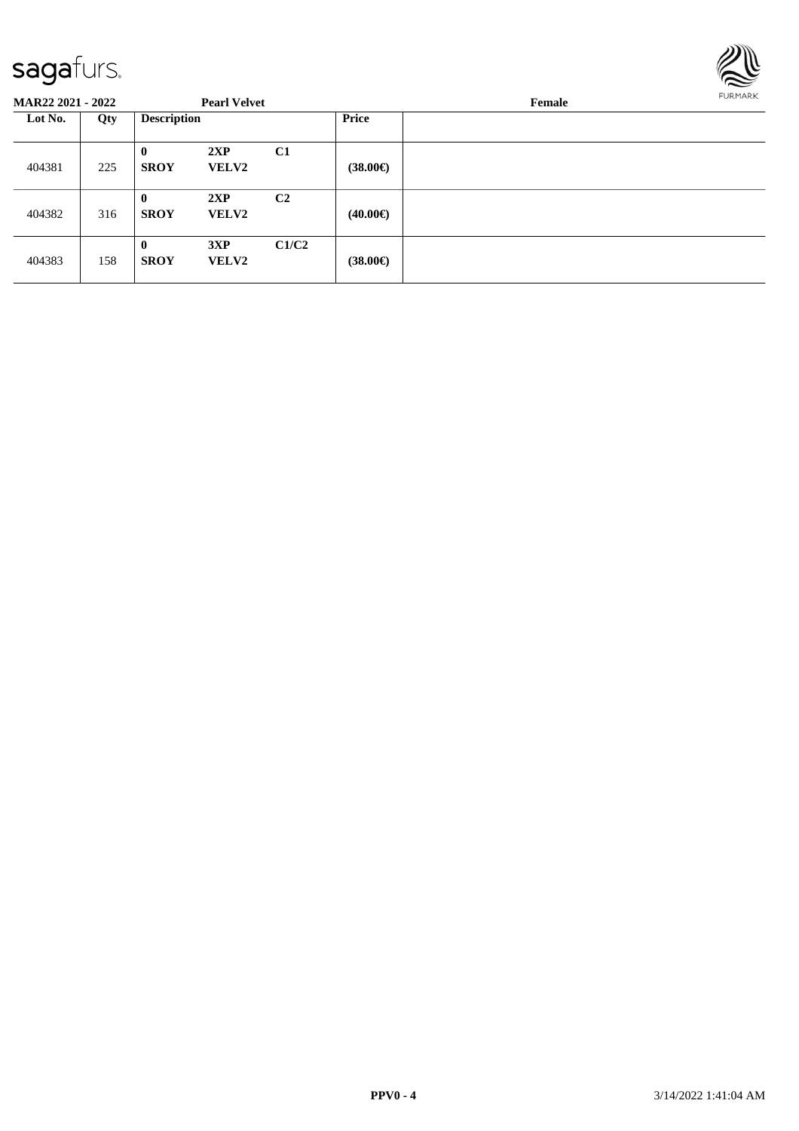

| <b>MAR22 2021 - 2022</b> |     |                             | <b>Pearl Velvet</b> |                | Female            |  |  |  |  |
|--------------------------|-----|-----------------------------|---------------------|----------------|-------------------|--|--|--|--|
| Lot No.                  | Qty | <b>Description</b>          |                     |                | <b>Price</b>      |  |  |  |  |
| 404381                   | 225 | $\mathbf{0}$<br><b>SROY</b> | 2XP<br><b>VELV2</b> | C1             | $(38.00\epsilon)$ |  |  |  |  |
| 404382                   | 316 | $\bf{0}$<br><b>SROY</b>     | 2XP<br><b>VELV2</b> | C <sub>2</sub> | $(40.00\epsilon)$ |  |  |  |  |
| 404383                   | 158 | $\bf{0}$<br><b>SROY</b>     | 3XP<br><b>VELV2</b> | C1/C2          | $(38.00\epsilon)$ |  |  |  |  |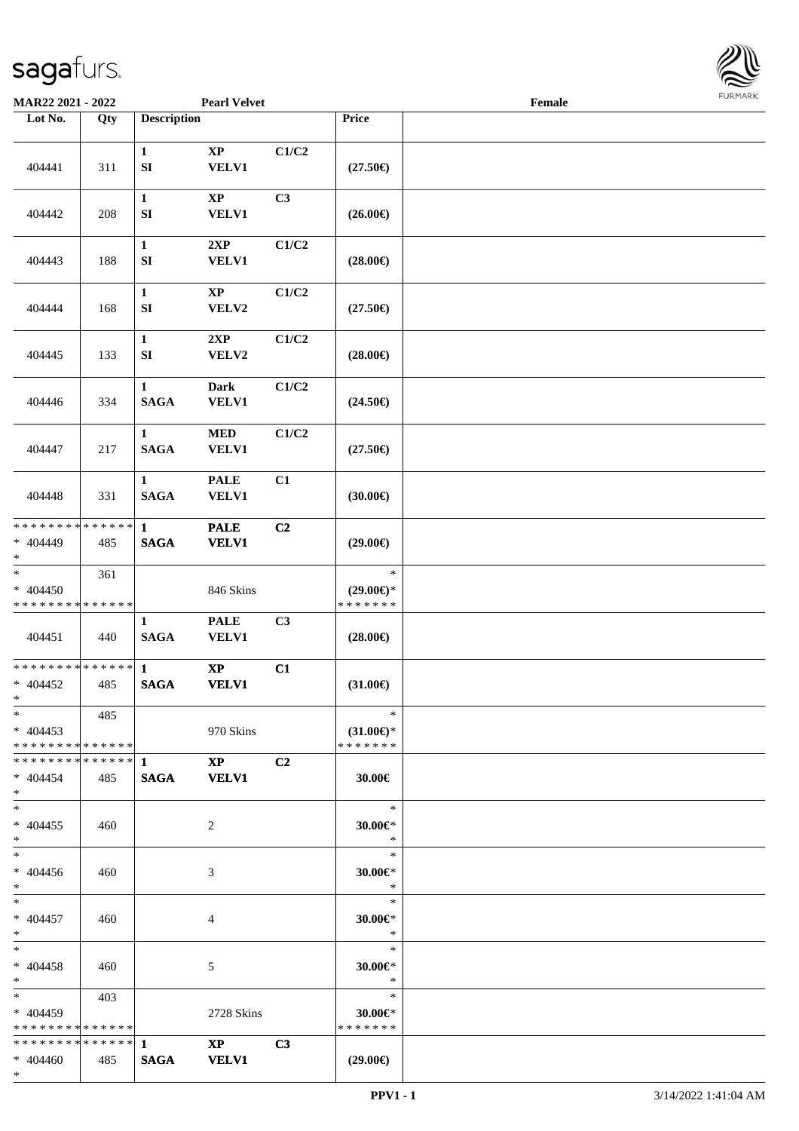

| <b>MAR22 2021 - 2022</b>                               |     |                                  | <b>Pearl Velvet</b>           |                |                                                                                                                                                | Female |  |
|--------------------------------------------------------|-----|----------------------------------|-------------------------------|----------------|------------------------------------------------------------------------------------------------------------------------------------------------|--------|--|
| Lot No.                                                | Qty | <b>Description</b>               |                               |                | Price                                                                                                                                          |        |  |
| 404441                                                 | 311 | $\mathbf{1}$<br>${\bf S}{\bf I}$ | $\bold{XP}$<br><b>VELV1</b>   | C1/C2          | $(27.50\epsilon)$                                                                                                                              |        |  |
| 404442                                                 | 208 | $\mathbf{1}$<br>SI               | $\bold{XP}$<br><b>VELV1</b>   | C3             | $(26.00\epsilon)$                                                                                                                              |        |  |
| 404443                                                 | 188 | $\mathbf{1}$<br>${\bf S}{\bf I}$ | 2XP<br><b>VELV1</b>           | C1/C2          | $(28.00\epsilon)$                                                                                                                              |        |  |
| 404444                                                 | 168 | $\mathbf{1}$<br>${\bf SI}$       | $\bold{XP}$<br>VELV2          | C1/C2          | $(27.50\epsilon)$                                                                                                                              |        |  |
| 404445                                                 | 133 | $\mathbf{1}$<br>${\bf SI}$       | 2XP<br>VELV2                  | C1/C2          | $(28.00\epsilon)$                                                                                                                              |        |  |
| 404446                                                 | 334 | $\mathbf{1}$<br><b>SAGA</b>      | <b>Dark</b><br><b>VELV1</b>   | C1/C2          | $(24.50\epsilon)$                                                                                                                              |        |  |
| 404447                                                 | 217 | $\mathbf{1}$<br><b>SAGA</b>      | <b>MED</b><br>VELV1           | C1/C2          | $(27.50\epsilon)$                                                                                                                              |        |  |
| 404448                                                 | 331 | $\mathbf{1}$<br><b>SAGA</b>      | <b>PALE</b><br><b>VELV1</b>   | C1             | (30.00)                                                                                                                                        |        |  |
| * * * * * * * * * * * * * *<br>$* 404449$<br>$*$       | 485 | $\mathbf{1}$<br><b>SAGA</b>      | <b>PALE</b><br><b>VELV1</b>   | C <sub>2</sub> | $(29.00\epsilon)$                                                                                                                              |        |  |
| $*$<br>$* 404450$<br>* * * * * * * * * * * * * *       | 361 |                                  | 846 Skins                     |                | $\ast$<br>$(29.00\epsilon)$ *<br>* * * * * * *                                                                                                 |        |  |
| 404451                                                 | 440 | $\mathbf{1}$<br><b>SAGA</b>      | <b>PALE</b><br><b>VELV1</b>   | C3             | $(28.00\epsilon)$                                                                                                                              |        |  |
| * * * * * * * * * * * * * * *<br>$* 404452$<br>$*$     | 485 | $\mathbf{1}$<br><b>SAGA</b>      | $\bold{XP}$<br><b>VELV1</b>   | C1             | $(31.00\epsilon)$                                                                                                                              |        |  |
| $*$<br>$* 404453$<br>* * * * * * * * * * * * * * *     | 485 |                                  | 970 Skins                     |                | $\ast$<br>$(31.00\epsilon)$ *<br>* * * * * * *                                                                                                 |        |  |
| $* 404454$<br>$*$ $-$                                  | 485 | SAGA VELV1                       | $\mathbf{XP}$                 | C <sub>2</sub> | $30.00 \in$                                                                                                                                    |        |  |
| $*$<br>$* 404455$<br>$*$                               | 460 |                                  | 2                             |                | $\ast$<br>30.00 $\varepsilon$ *<br>$\ast$                                                                                                      |        |  |
| $*$<br>$* 404456$<br>$*$ $-$                           | 460 |                                  | 3                             |                | $\ast$<br>$30.00 \in$<br>$\ddot{x}$                                                                                                            |        |  |
| $*$ $*$<br>$* 404457$<br>$*$ $-$                       | 460 |                                  | 4                             |                | $\frac{1}{\sqrt{2\pi}}\int_{0}^{\pi}\frac{1}{\sqrt{2\pi}}\left( \frac{1}{\sqrt{2\pi}}\right) ^{2}d\mu d\nu$<br>$\ast$<br>$30.00 \in$<br>$\ast$ |        |  |
| $*$ $*$<br>$* 404458$<br>$*$ $*$                       | 460 |                                  | 5                             |                | $\ast$<br>30.00 $\varepsilon$ *<br>$\ast$                                                                                                      |        |  |
| $*$ $-$<br>$* 404459$<br>* * * * * * * * * * * * * * * | 403 |                                  | 2728 Skins                    |                | $\ast$<br>$30.00 \in$ *<br>* * * * * * *                                                                                                       |        |  |
| $* 404460$<br>$*$                                      | 485 | SAGA                             | $\mathbf{XP}$<br><b>VELV1</b> | C <sub>3</sub> | $(29.00\epsilon)$                                                                                                                              |        |  |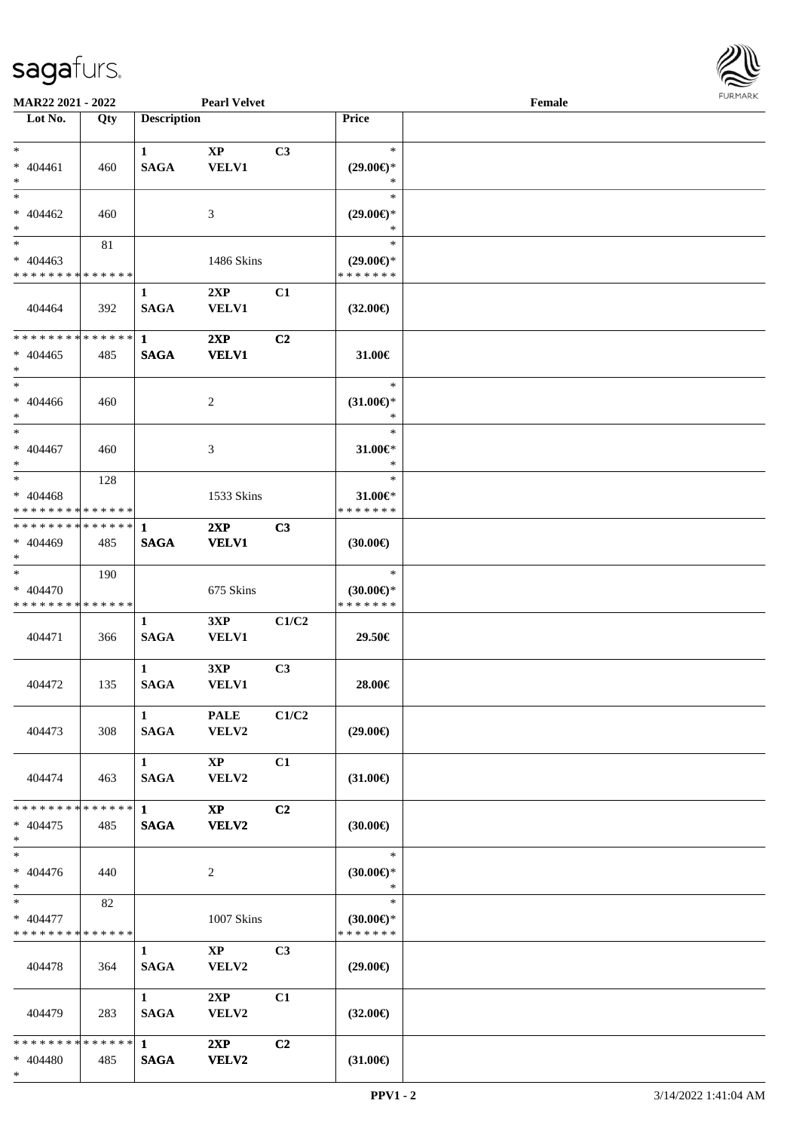\*



| MAR22 2021 - 2022                                        |                    |                                       | <b>Pearl Velvet</b>                    |                |                                                | Female |  |
|----------------------------------------------------------|--------------------|---------------------------------------|----------------------------------------|----------------|------------------------------------------------|--------|--|
| Lot No.                                                  | Qty                | <b>Description</b>                    |                                        |                | <b>Price</b>                                   |        |  |
| $*$<br>* 404461<br>$\ast$                                | 460                | $\mathbf{1}$<br><b>SAGA</b>           | $\bold{XP}$<br><b>VELV1</b>            | C3             | $\ast$<br>$(29.00\epsilon)$ *<br>$\ast$        |        |  |
| $*$<br>$* 404462$<br>$*$                                 | 460                |                                       | 3                                      |                | $\ast$<br>$(29.00\epsilon)$ *<br>$\ast$        |        |  |
| $*$<br>$* 404463$<br>* * * * * * * * * * * * * *         | 81                 |                                       | 1486 Skins                             |                | $\ast$<br>$(29.00\epsilon)$ *<br>* * * * * * * |        |  |
| 404464                                                   | 392                | $\mathbf{1}$<br><b>SAGA</b>           | 2XP<br><b>VELV1</b>                    | C1             | $(32.00\epsilon)$                              |        |  |
| * * * * * * * * * * * * * *<br>$* 404465$<br>$*$         | 485                | $\mathbf{1}$<br><b>SAGA</b>           | 2XP<br><b>VELV1</b>                    | C2             | 31.00€                                         |        |  |
| $*$<br>$* 404466$<br>$*$                                 | 460                |                                       | 2                                      |                | $\ast$<br>$(31.00\epsilon)$ *<br>$\ast$        |        |  |
| $*$<br>$* 404467$<br>$*$                                 | 460                |                                       | 3                                      |                | $\ast$<br>31.00 $\varepsilon$ *<br>$\ast$      |        |  |
| $*$<br>$* 404468$<br>* * * * * * * * * * * * * *         | 128                |                                       | 1533 Skins                             |                | $\ast$<br>31.00€*<br>* * * * * * *             |        |  |
| * * * * * * * * * * * * * * *<br>* 404469<br>$*$         | 485                | -1<br><b>SAGA</b>                     | 2XP<br><b>VELV1</b>                    | C3             | $(30.00\epsilon)$                              |        |  |
| $*$<br>$* 404470$<br>* * * * * * * * * * * * * *         | 190                |                                       | 675 Skins                              |                | $\ast$<br>$(30.00\epsilon)$ *<br>* * * * * * * |        |  |
| 404471                                                   | 366                | $\mathbf{1}$<br><b>SAGA</b>           | 3XP<br><b>VELV1</b>                    | C1/C2          | 29.50€                                         |        |  |
| 404472                                                   | 135                | $\mathbf{1}$<br><b>SAGA</b>           | 3XP<br><b>VELV1</b>                    | C3             | 28.00€                                         |        |  |
| 404473                                                   | 308                | $\mathbf{1}$<br>SAGA                  | <b>PALE</b><br>VELV2                   | C1/C2          | $(29.00\epsilon)$                              |        |  |
| 404474                                                   | 463                | $1 \quad \blacksquare$<br><b>SAGA</b> | $\mathbf{X}\mathbf{P}$<br><b>VELV2</b> | C1             | $(31.00\epsilon)$                              |        |  |
| * * * * * * * *<br>$* 404475$<br>$*$                     | * * * * * *<br>485 | $\mathbf{1}$<br><b>SAGA</b>           | $\mathbf{X}\mathbf{P}$<br>VELV2        | C <sub>2</sub> | $(30.00\epsilon)$                              |        |  |
| $\ast$<br>$* 404476$<br>$*$                              | 440                |                                       | $\overline{2}$                         |                | $\ast$<br>$(30.00\epsilon)$ *<br>$\ast$        |        |  |
| $*$ and $*$<br>$* 404477$<br>* * * * * * * * * * * * * * | 82                 |                                       | 1007 Skins                             |                | $\ast$<br>$(30.00\epsilon)$ *<br>* * * * * * * |        |  |
| 404478                                                   | 364                | $\mathbf{1}$<br><b>SAGA</b>           | $\mathbf{XP}$<br>VELV2                 | C <sub>3</sub> | $(29.00\epsilon)$                              |        |  |
| 404479                                                   | 283                | $1 \quad \blacksquare$<br><b>SAGA</b> | 2XP<br><b>VELV2</b>                    | C1             | $(32.00\epsilon)$                              |        |  |
| * * * * * * * * * * * * * * *<br>* 404480                | 485                | $\mathbf{1}$<br><b>SAGA</b>           | 2XP<br><b>VELV2</b>                    | C2             | $(31.00\epsilon)$                              |        |  |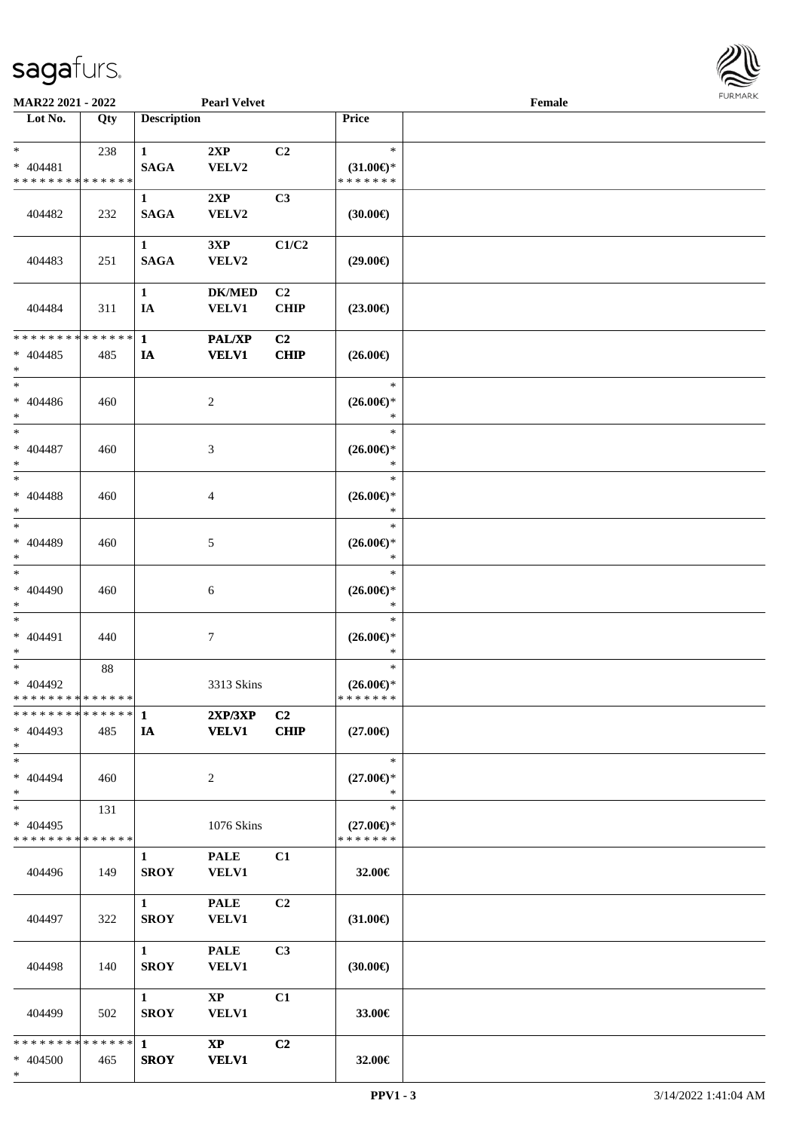

| MAR22 2021 - 2022                                    |     |                                       | <b>Pearl Velvet</b>                    |                               |                                                | Female |  |
|------------------------------------------------------|-----|---------------------------------------|----------------------------------------|-------------------------------|------------------------------------------------|--------|--|
| Lot No.                                              | Qty | <b>Description</b>                    |                                        |                               | Price                                          |        |  |
| $*$ $-$<br>$* 404481$<br>* * * * * * * * * * * * * * | 238 | $\mathbf{1}$<br><b>SAGA</b>           | 2XP<br>VELV2                           | C2                            | $\ast$<br>$(31.00\epsilon)$ *<br>* * * * * * * |        |  |
| 404482                                               | 232 | $\mathbf{1}$<br><b>SAGA</b>           | 2XP<br>VELV2                           | C3                            | $(30.00\epsilon)$                              |        |  |
| 404483                                               | 251 | $\mathbf{1}$<br><b>SAGA</b>           | 3XP<br>VELV2                           | C1/C2                         | $(29.00\epsilon)$                              |        |  |
| 404484                                               | 311 | $\mathbf{1}$<br>IA                    | <b>DK/MED</b><br><b>VELV1</b>          | C <sub>2</sub><br><b>CHIP</b> | $(23.00\epsilon)$                              |        |  |
| * * * * * * * * * * * * * *<br>$* 404485$<br>$\ast$  | 485 | $\mathbf{1}$<br><b>IA</b>             | <b>PAL/XP</b><br><b>VELV1</b>          | C2<br><b>CHIP</b>             | $(26.00\epsilon)$                              |        |  |
| $\ast$<br>$* 404486$<br>$\ast$                       | 460 |                                       | 2                                      |                               | $\ast$<br>$(26.00\epsilon)$ *<br>$\ast$        |        |  |
| $\ast$<br>$* 404487$<br>$\ast$                       | 460 |                                       | 3                                      |                               | $\ast$<br>$(26.00\epsilon)$ *<br>$\ast$        |        |  |
| $*$<br>$* 404488$<br>$*$                             | 460 |                                       | $\overline{4}$                         |                               | $\ast$<br>$(26.00\epsilon)$ *<br>$\ast$        |        |  |
| $\ast$<br>$* 404489$<br>$*$                          | 460 |                                       | 5                                      |                               | $\ast$<br>$(26.00\epsilon)$ *<br>$\ast$        |        |  |
| $\ast$<br>$* 404490$<br>$*$                          | 460 |                                       | 6                                      |                               | $\ast$<br>$(26.00\mathsf{E})^*$<br>$\ast$      |        |  |
| $*$<br>$* 404491$<br>$*$                             | 440 |                                       | 7                                      |                               | $\ast$<br>$(26.00\epsilon)$ *<br>$\ast$        |        |  |
| $*$<br>$* 404492$<br>* * * * * * * * * * * * * *     | 88  |                                       | 3313 Skins                             |                               | $\ast$<br>$(26.00\epsilon)$ *<br>* * * * * * * |        |  |
| $* 404493$<br>$*$                                    | 485 | IA                                    | 2XP/3XP<br><b>VELV1</b>                | C2<br><b>CHIP</b>             | $(27.00\epsilon)$                              |        |  |
| $*$<br>$* 404494$<br>$*$                             | 460 |                                       | 2                                      |                               | $\ast$<br>$(27.00\epsilon)$ *<br>$\ast$        |        |  |
| $*$<br>$* 404495$<br>* * * * * * * * * * * * * *     | 131 |                                       | 1076 Skins                             |                               | $\ast$<br>$(27.00\epsilon)$ *<br>* * * * * * * |        |  |
| 404496                                               | 149 | $\mathbf{1}$<br><b>SROY</b>           | <b>PALE</b><br><b>VELV1</b>            | C1                            | 32.00€                                         |        |  |
| 404497                                               | 322 | $1 \quad \blacksquare$<br><b>SROY</b> | <b>PALE</b><br><b>VELV1</b>            | C <sub>2</sub>                | $(31.00\epsilon)$                              |        |  |
| 404498                                               | 140 | $1 \quad \blacksquare$<br><b>SROY</b> | <b>PALE</b><br>VELV1                   | C <sub>3</sub>                | (30.00)                                        |        |  |
| 404499                                               | 502 | $1 \quad \blacksquare$<br><b>SROY</b> | $\mathbf{X}\mathbf{P}$<br><b>VELV1</b> | C1                            | 33.00€                                         |        |  |
| * * * * * * * * * * * * * * *<br>* 404500<br>$*$     | 465 | $\mathbf{1}$<br><b>SROY</b>           | $\mathbf{X}\mathbf{P}$<br><b>VELV1</b> | C2                            | 32.00€                                         |        |  |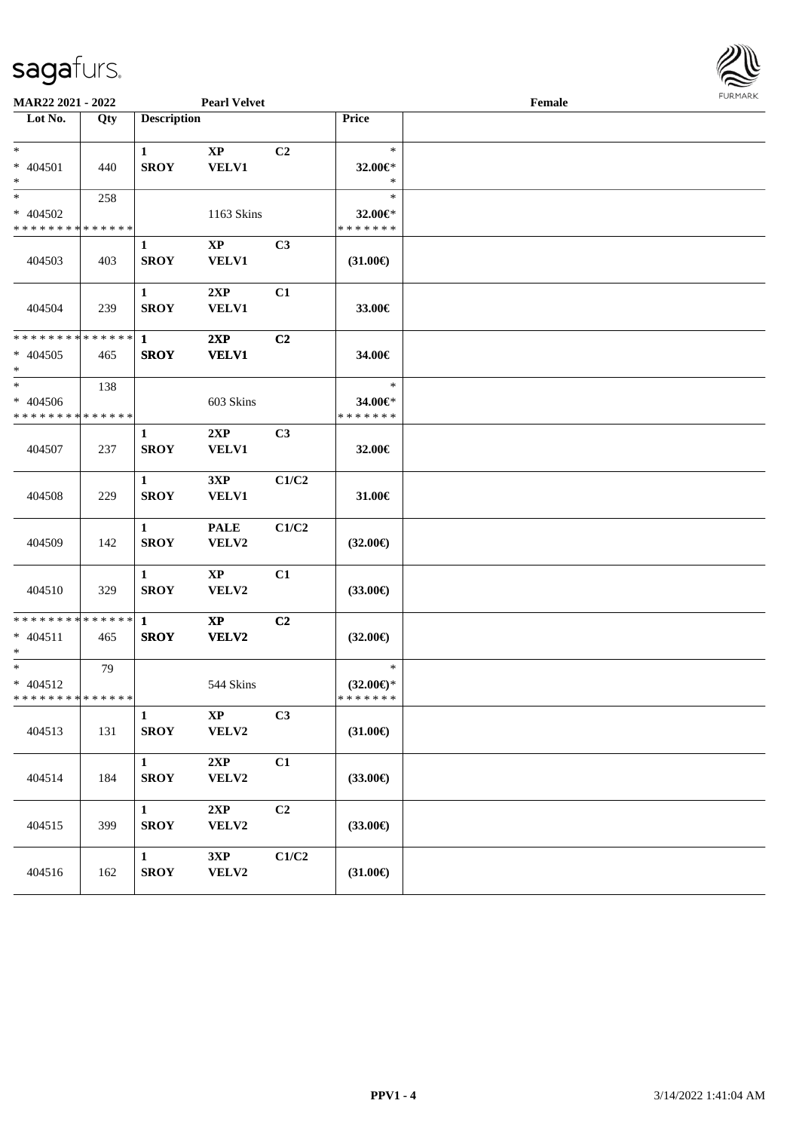

| <b>MAR22 2021 - 2022</b>                                        |     |                             | <b>Pearl Velvet</b>                    |                |                                          | Female |  |
|-----------------------------------------------------------------|-----|-----------------------------|----------------------------------------|----------------|------------------------------------------|--------|--|
| Lot No.                                                         | Qty | <b>Description</b>          |                                        |                | Price                                    |        |  |
| $*$<br>* 404501<br>$*$                                          | 440 | $\mathbf{1}$<br><b>SROY</b> | $\mathbf{X}\mathbf{P}$<br><b>VELV1</b> | C2             | $\ast$<br>32.00€*<br>$\ast$              |        |  |
| $*$<br>* 404502<br>* * * * * * * * * * * * * *                  | 258 |                             | 1163 Skins                             |                | $\ast$<br>32.00€*<br>* * * * * * *       |        |  |
| 404503                                                          | 403 | $\mathbf{1}$<br><b>SROY</b> | $\mathbf{XP}$<br><b>VELV1</b>          | C <sub>3</sub> | $(31.00\epsilon)$                        |        |  |
| 404504                                                          | 239 | $\mathbf{1}$<br><b>SROY</b> | 2XP<br>VELV1                           | C1             | 33.00€                                   |        |  |
| * * * * * * * * * * * * * * *<br>$* 404505$<br>$\ast$           | 465 | $\mathbf{1}$<br><b>SROY</b> | 2XP<br><b>VELV1</b>                    | C2             | 34.00€                                   |        |  |
| $*$<br>$* 404506$<br>* * * * * * * * <mark>* * * * * *</mark>   | 138 |                             | 603 Skins                              |                | $\ast$<br>34.00€*<br>* * * * * * *       |        |  |
| 404507                                                          | 237 | $\mathbf{1}$<br><b>SROY</b> | 2XP<br><b>VELV1</b>                    | C3             | 32.00€                                   |        |  |
| 404508                                                          | 229 | $\mathbf{1}$<br><b>SROY</b> | 3XP<br><b>VELV1</b>                    | C1/C2          | 31.00€                                   |        |  |
| 404509                                                          | 142 | $\mathbf{1}$<br><b>SROY</b> | <b>PALE</b><br>VELV2                   | C1/C2          | $(32.00\epsilon)$                        |        |  |
| 404510                                                          | 329 | $\mathbf{1}$<br><b>SROY</b> | $\mathbf{X}\mathbf{P}$<br>VELV2        | C1             | $(33.00\epsilon)$                        |        |  |
| * * * * * * * * <mark>* * * * * * *</mark><br>$* 404511$<br>$*$ | 465 | $\mathbf{1}$<br><b>SROY</b> | $\mathbf{X}\mathbf{P}$<br>VELV2        | C2             | $(32.00\epsilon)$                        |        |  |
| $*$<br>$* 404512$<br>* * * * * * * * * * * * * * *              | 79  |                             | 544 Skins                              |                | $\ast$<br>$(32.00\epsilon)$ *<br>******* |        |  |
| 404513                                                          | 131 | $\mathbf{1}$<br><b>SROY</b> | $\bold{XP}$<br>VELV2                   | C3             | $(31.00\epsilon)$                        |        |  |
| 404514                                                          | 184 | $\mathbf{1}$<br><b>SROY</b> | 2XP<br>VELV2                           | C1             | $(33.00\epsilon)$                        |        |  |
| 404515                                                          | 399 | $\mathbf{1}$<br><b>SROY</b> | 2XP<br>VELV2                           | C2             | $(33.00\epsilon)$                        |        |  |
| 404516                                                          | 162 | $\mathbf{1}$<br><b>SROY</b> | 3XP<br>VELV2                           | C1/C2          | $(31.00\epsilon)$                        |        |  |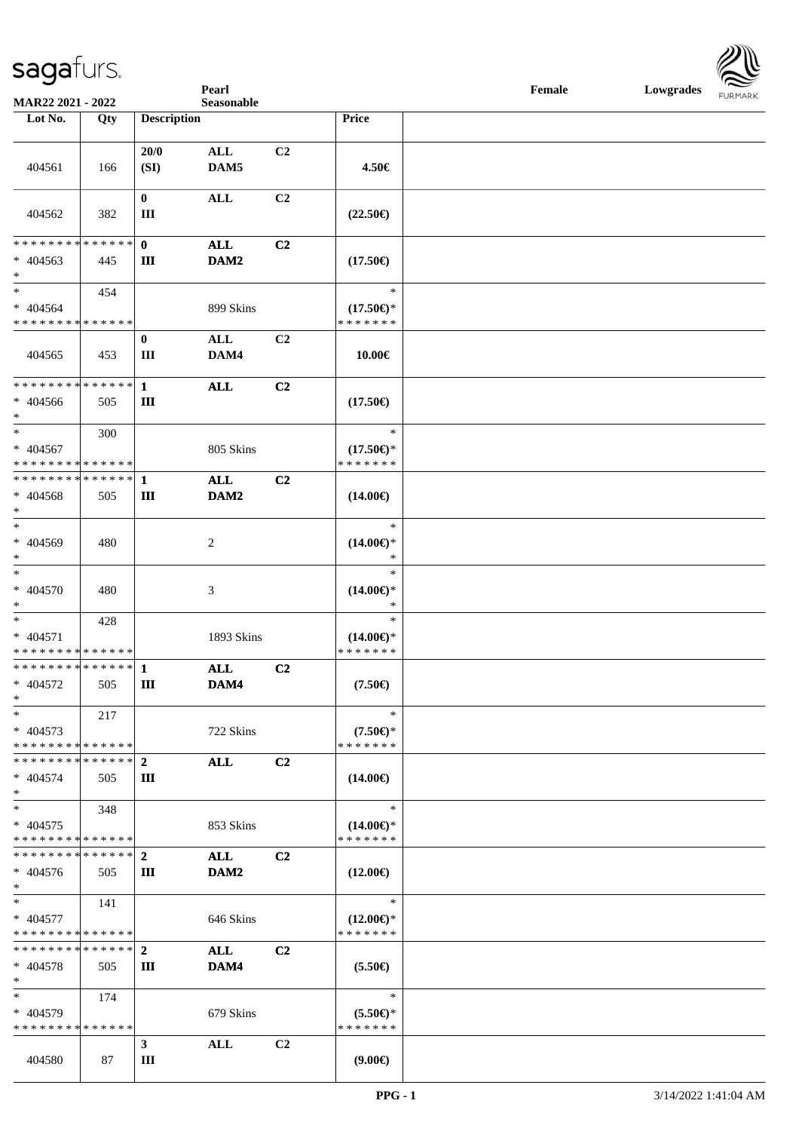**Pearl Female Lowgrades FURMARK** 

| MAR22 2021 - 2022                                              |     |                                | Seasonable             |                |                                                |  |  | FURMARK |
|----------------------------------------------------------------|-----|--------------------------------|------------------------|----------------|------------------------------------------------|--|--|---------|
| Lot No.                                                        | Qty | <b>Description</b>             |                        |                | Price                                          |  |  |         |
| 404561                                                         | 166 | 20/0<br>(SI)                   | ALL<br>DAM5            | C <sub>2</sub> | 4.50€                                          |  |  |         |
| 404562                                                         | 382 | $\bf{0}$<br>Ш                  | $\mathbf{ALL}$         | C2             | $(22.50\epsilon)$                              |  |  |         |
| ******** <mark>******</mark><br>$* 404563$<br>$\ast$           | 445 | $\mathbf{0}$<br>Ш              | <b>ALL</b><br>DAM2     | C2             | $(17.50\epsilon)$                              |  |  |         |
| $\ast$<br>$* 404564$<br>* * * * * * * * * * * * * *            | 454 |                                | 899 Skins              |                | $\ast$<br>$(17.50\epsilon)$ *<br>* * * * * * * |  |  |         |
| 404565                                                         | 453 | $\bf{0}$<br>Ш                  | $\mathbf{ALL}$<br>DAM4 | C2             | 10.00€                                         |  |  |         |
| * * * * * * * * * * * * * * *<br>* 404566<br>$\ast$            | 505 | $\mathbf{1}$<br>Ш              | <b>ALL</b>             | C <sub>2</sub> | $(17.50\epsilon)$                              |  |  |         |
| $\overline{\ast}$<br>$* 404567$<br>* * * * * * * * * * * * * * | 300 |                                | 805 Skins              |                | $\ast$<br>$(17.50\epsilon)$ *<br>* * * * * * * |  |  |         |
| * * * * * * * * * * * * * * *<br>$* 404568$<br>$\ast$          | 505 | $\mathbf{1}$<br>$\mathbf{III}$ | <b>ALL</b><br>DAM2     | C2             | $(14.00\epsilon)$                              |  |  |         |
| $\ast$<br>* 404569<br>$\ast$                                   | 480 |                                | 2                      |                | $\ast$<br>$(14.00\epsilon)$ *<br>$\ast$        |  |  |         |
| $\ast$<br>$* 404570$<br>$\ast$                                 | 480 |                                | 3                      |                | $\ast$<br>$(14.00\epsilon)$ *<br>$\ast$        |  |  |         |
| $\ast$<br>$* 404571$<br>* * * * * * * * * * * * * *            | 428 |                                | 1893 Skins             |                | $\ast$<br>$(14.00\epsilon)$ *<br>* * * * * * * |  |  |         |
| $* 404572$<br>$\ast$                                           | 505 | Ш                              | <b>ALL</b><br>DAM4     | C <sub>2</sub> | $(7.50\epsilon)$                               |  |  |         |
| $\ast$<br>$* 404573$<br>* * * * * * * * * * * * * *            | 217 |                                | 722 Skins              |                | $\ast$<br>$(7.50 \in )^*$<br>* * * * * * *     |  |  |         |
| * * * * * * * * * * * * * * *<br>$* 404574$<br>$\ast$          | 505 | $\overline{2}$<br>Ш            | <b>ALL</b>             | C2             | $(14.00\epsilon)$                              |  |  |         |
| $\ast$<br>$* 404575$<br>* * * * * * * * * * * * * *            | 348 |                                | 853 Skins              |                | $\ast$<br>$(14.00\epsilon)$ *<br>* * * * * * * |  |  |         |
| * * * * * * * * * * * * * *<br>$* 404576$<br>$\ast$            | 505 | $\overline{2}$<br>Ш            | <b>ALL</b><br>DAM2     | C2             | $(12.00\epsilon)$                              |  |  |         |
| $\ast$<br>$* 404577$<br>* * * * * * * * * * * * * *            | 141 |                                | 646 Skins              |                | $\ast$<br>$(12.00\epsilon)$ *<br>* * * * * * * |  |  |         |
| * * * * * * * * * * * * * * *<br>$* 404578$<br>$\ast$          | 505 | $\mathbf{2}$<br>Ш              | <b>ALL</b><br>DAM4     | C <sub>2</sub> | $(5.50\epsilon)$                               |  |  |         |
| $\ast$<br>$* 404579$<br>* * * * * * * * * * * * * *            | 174 |                                | 679 Skins              |                | $\ast$<br>$(5.50 \in )^*$<br>* * * * * * *     |  |  |         |
| 404580                                                         | 87  | $\mathbf{3}$<br>$\rm III$      | ALL                    | C2             | (9.00)                                         |  |  |         |